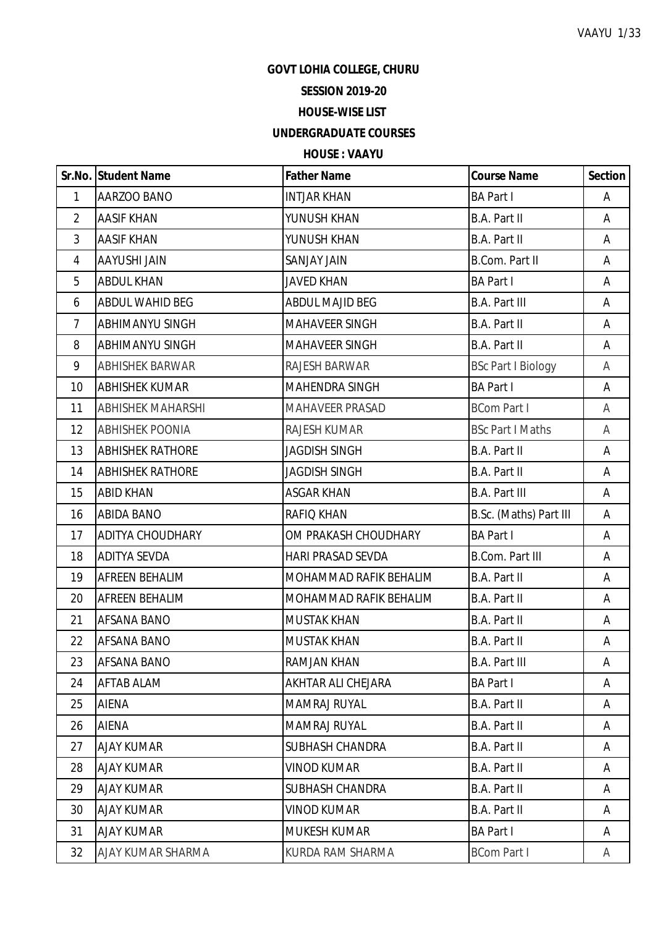#### **GOVT LOHIA COLLEGE, CHURU**

# **SESSION 2019-20**

## **HOUSE-WISE LIST**

### **UNDERGRADUATE COURSES**

### **HOUSE : VAAYU**

|                | Sr.No. Student Name      | <b>Father Name</b>        | <b>Course Name</b>        | Section |
|----------------|--------------------------|---------------------------|---------------------------|---------|
| $\mathbf{1}$   | AARZOO BANO              | <b>INTJAR KHAN</b>        | <b>BA Part I</b>          | A       |
| $\overline{2}$ | <b>AASIF KHAN</b>        | YUNUSH KHAN               | <b>B.A. Part II</b>       | A       |
| 3              | <b>AASIF KHAN</b>        | YUNUSH KHAN               | B.A. Part II              | A       |
| 4              | AAYUSHI JAIN             | SANJAY JAIN               | <b>B.Com. Part II</b>     | A       |
| 5              | <b>ABDUL KHAN</b>        | <b>JAVED KHAN</b>         | <b>BA Part I</b>          | A       |
| 6              | ABDUL WAHID BEG          | <b>ABDUL MAJID BEG</b>    | <b>B.A. Part III</b>      | A       |
| $\overline{7}$ | <b>ABHIMANYU SINGH</b>   | <b>MAHAVEER SINGH</b>     | <b>B.A. Part II</b>       | A       |
| 8              | ABHIMANYU SINGH          | MAHAVEER SINGH            | <b>B.A. Part II</b>       | A       |
| 9              | <b>ABHISHEK BARWAR</b>   | RAJESH BARWAR             | <b>BSc Part I Biology</b> | A       |
| 10             | <b>ABHISHEK KUMAR</b>    | <b>MAHENDRA SINGH</b>     | <b>BA Part I</b>          | A       |
| 11             | <b>ABHISHEK MAHARSHI</b> | MAHAVEER PRASAD           | <b>BCom Part I</b>        | A       |
| 12             | <b>ABHISHEK POONIA</b>   | RAJESH KUMAR              | <b>BSc Part I Maths</b>   | A       |
| 13             | <b>ABHISHEK RATHORE</b>  | <b>JAGDISH SINGH</b>      | <b>B.A. Part II</b>       | A       |
| 14             | <b>ABHISHEK RATHORE</b>  | <b>JAGDISH SINGH</b>      | <b>B.A. Part II</b>       | A       |
| 15             | <b>ABID KHAN</b>         | <b>ASGAR KHAN</b>         | <b>B.A. Part III</b>      | A       |
| 16             | <b>ABIDA BANO</b>        | RAFIQ KHAN                | B.Sc. (Maths) Part III    | A       |
| 17             | <b>ADITYA CHOUDHARY</b>  | OM PRAKASH CHOUDHARY      | <b>BA Part I</b>          | A       |
| 18             | ADITYA SEVDA             | <b>HARI PRASAD SEVDA</b>  | <b>B.Com. Part III</b>    | A       |
| 19             | AFREEN BEHALIM           | MOHAMMAD RAFIK BEHALIM    | <b>B.A. Part II</b>       | A       |
| 20             | AFREEN BEHALIM           | MOHAMMAD RAFIK BEHALIM    | B.A. Part II              | A       |
| 21             | AFSANA BANO              | <b>MUSTAK KHAN</b>        | B.A. Part II              | A       |
| 22             | AFSANA BANO              | <b>MUSTAK KHAN</b>        | B.A. Part II              | Α       |
| 23             | <b>AFSANA BANO</b>       | <b>RAMJAN KHAN</b>        | <b>B.A. Part III</b>      | A       |
| 24             | AFTAB ALAM               | <b>AKHTAR ALI CHEJARA</b> | <b>BA Part I</b>          | A       |
| 25             | <b>AIENA</b>             | MAMRAJ RUYAL              | B.A. Part II              | A       |
| 26             | <b>AIENA</b>             | <b>MAMRAJ RUYAL</b>       | B.A. Part II              | A       |
| 27             | <b>AJAY KUMAR</b>        | <b>SUBHASH CHANDRA</b>    | B.A. Part II              | A       |
| 28             | <b>AJAY KUMAR</b>        | VINOD KUMAR               | B.A. Part II              | A       |
| 29             | <b>AJAY KUMAR</b>        | <b>SUBHASH CHANDRA</b>    | <b>B.A. Part II</b>       | A       |
| 30             | <b>AJAY KUMAR</b>        | <b>VINOD KUMAR</b>        | B.A. Part II              | A       |
| 31             | <b>AJAY KUMAR</b>        | <b>MUKESH KUMAR</b>       | <b>BA Part I</b>          | A       |
| 32             | AJAY KUMAR SHARMA        | KURDA RAM SHARMA          | <b>BCom Part I</b>        | A       |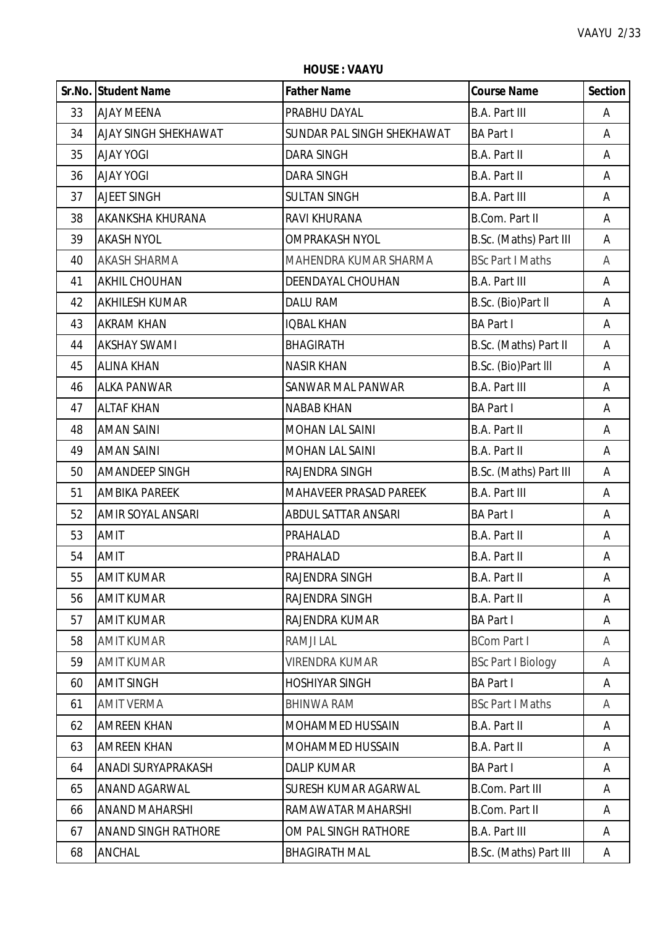**HOUSE : VAAYU**

|    | Sr.No. Student Name        | <b>Father Name</b>         | <b>Course Name</b>        | <b>Section</b> |
|----|----------------------------|----------------------------|---------------------------|----------------|
| 33 | <b>AJAY MEENA</b>          | PRABHU DAYAL               | <b>B.A. Part III</b>      | Α              |
| 34 | AJAY SINGH SHEKHAWAT       | SUNDAR PAL SINGH SHEKHAWAT | <b>BA Part I</b>          | Α              |
| 35 | <b>AJAY YOGI</b>           | <b>DARA SINGH</b>          | B.A. Part II              | Α              |
| 36 | <b>AJAY YOGI</b>           | <b>DARA SINGH</b>          | <b>B.A. Part II</b>       | Α              |
| 37 | <b>AJEET SINGH</b>         | <b>SULTAN SINGH</b>        | <b>B.A. Part III</b>      | Α              |
| 38 | AKANKSHA KHURANA           | RAVI KHURANA               | <b>B.Com. Part II</b>     | Α              |
| 39 | <b>AKASH NYOL</b>          | <b>OMPRAKASH NYOL</b>      | B.Sc. (Maths) Part III    | Α              |
| 40 | <b>AKASH SHARMA</b>        | MAHENDRA KUMAR SHARMA      | <b>BSc Part I Maths</b>   | A              |
| 41 | <b>AKHIL CHOUHAN</b>       | DEENDAYAL CHOUHAN          | <b>B.A. Part III</b>      | Α              |
| 42 | <b>AKHILESH KUMAR</b>      | <b>DALU RAM</b>            | B.Sc. (Bio)Part II        | Α              |
| 43 | <b>AKRAM KHAN</b>          | <b>IQBAL KHAN</b>          | <b>BA Part I</b>          | Α              |
| 44 | <b>AKSHAY SWAMI</b>        | <b>BHAGIRATH</b>           | B.Sc. (Maths) Part II     | Α              |
| 45 | <b>ALINA KHAN</b>          | <b>NASIR KHAN</b>          | B.Sc. (Bio)Part III       | Α              |
| 46 | <b>ALKA PANWAR</b>         | SANWAR MAL PANWAR          | <b>B.A. Part III</b>      | Α              |
| 47 | <b>ALTAF KHAN</b>          | <b>NABAB KHAN</b>          | <b>BA Part I</b>          | Α              |
| 48 | <b>AMAN SAINI</b>          | <b>MOHAN LAL SAINI</b>     | B.A. Part II              | Α              |
| 49 | <b>AMAN SAINI</b>          | MOHAN LAL SAINI            | <b>B.A. Part II</b>       | Α              |
| 50 | AMANDEEP SINGH             | RAJENDRA SINGH             | B.Sc. (Maths) Part III    | Α              |
| 51 | <b>AMBIKA PAREEK</b>       | MAHAVEER PRASAD PAREEK     | <b>B.A. Part III</b>      | Α              |
| 52 | AMIR SOYAL ANSARI          | <b>ABDUL SATTAR ANSARI</b> | <b>BA Part I</b>          | A              |
| 53 | <b>AMIT</b>                | PRAHALAD                   | B.A. Part II              | Α              |
| 54 | <b>AMIT</b>                | PRAHALAD                   | <b>B.A. Part II</b>       | Α              |
| 55 | <b>AMIT KUMAR</b>          | RAJENDRA SINGH             | <b>B.A. Part II</b>       | A              |
| 56 | <b>AMIT KUMAR</b>          | RAJENDRA SINGH             | B.A. Part II              | Α              |
| 57 | <b>AMIT KUMAR</b>          | RAJENDRA KUMAR             | <b>BA Part I</b>          | Α              |
| 58 | <b>AMIT KUMAR</b>          | RAMJI LAL                  | <b>BCom Part I</b>        | A              |
| 59 | <b>AMIT KUMAR</b>          | <b>VIRENDRA KUMAR</b>      | <b>BSc Part I Biology</b> | A              |
| 60 | <b>AMIT SINGH</b>          | <b>HOSHIYAR SINGH</b>      | <b>BA Part I</b>          | A              |
| 61 | <b>AMIT VERMA</b>          | <b>BHINWA RAM</b>          | <b>BSc Part I Maths</b>   | A              |
| 62 | <b>AMREEN KHAN</b>         | MOHAMMED HUSSAIN           | B.A. Part II              | A              |
| 63 | <b>AMREEN KHAN</b>         | <b>MOHAMMED HUSSAIN</b>    | B.A. Part II              | Α              |
| 64 | ANADI SURYAPRAKASH         | <b>DALIP KUMAR</b>         | <b>BA Part I</b>          | Α              |
| 65 | ANAND AGARWAL              | SURESH KUMAR AGARWAL       | <b>B.Com. Part III</b>    | A              |
| 66 | <b>ANAND MAHARSHI</b>      | RAMAWATAR MAHARSHI         | <b>B.Com. Part II</b>     | Α              |
| 67 | <b>ANAND SINGH RATHORE</b> | OM PAL SINGH RATHORE       | <b>B.A. Part III</b>      | A              |
| 68 | ANCHAL                     | <b>BHAGIRATH MAL</b>       | B.Sc. (Maths) Part III    | A              |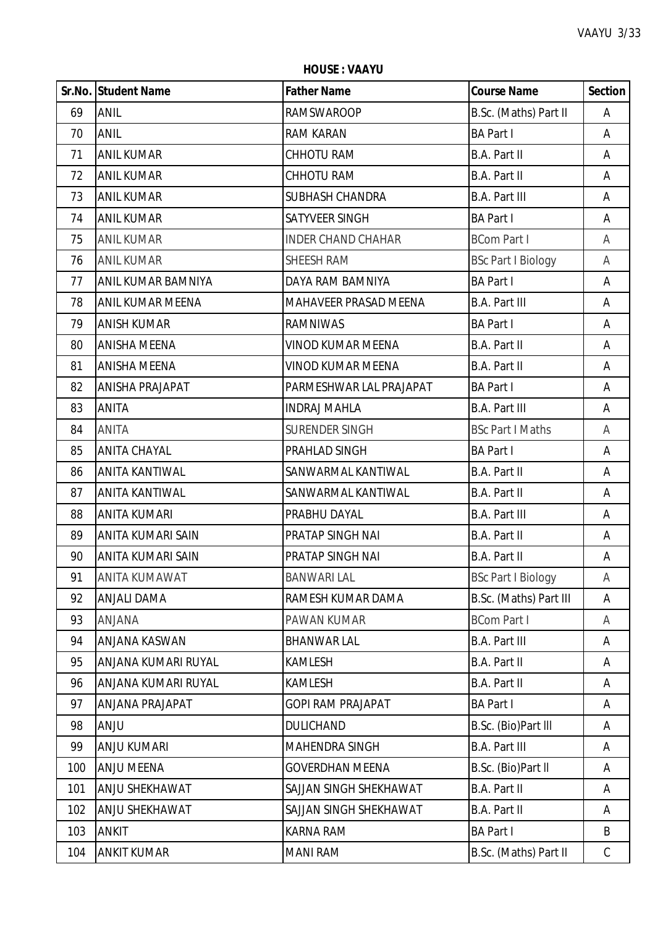**HOUSE : VAAYU**

|     | Sr.No. Student Name     | <b>Father Name</b>        | <b>Course Name</b>        | <b>Section</b> |
|-----|-------------------------|---------------------------|---------------------------|----------------|
| 69  | <b>ANIL</b>             | <b>RAMSWAROOP</b>         | B.Sc. (Maths) Part II     | Α              |
| 70  | <b>ANIL</b>             | <b>RAM KARAN</b>          | <b>BA Part I</b>          | A              |
| 71  | <b>ANIL KUMAR</b>       | <b>CHHOTU RAM</b>         | <b>B.A. Part II</b>       | A              |
| 72  | <b>ANIL KUMAR</b>       | CHHOTU RAM                | <b>B.A. Part II</b>       | A              |
| 73  | <b>ANIL KUMAR</b>       | <b>SUBHASH CHANDRA</b>    | <b>B.A. Part III</b>      | A              |
| 74  | <b>ANIL KUMAR</b>       | SATYVEER SINGH            | <b>BA Part I</b>          | Α              |
| 75  | <b>ANIL KUMAR</b>       | <b>INDER CHAND CHAHAR</b> | <b>BCom Part I</b>        | A              |
| 76  | <b>ANIL KUMAR</b>       | <b>SHEESH RAM</b>         | <b>BSc Part I Biology</b> | Α              |
| 77  | ANIL KUMAR BAMNIYA      | DAYA RAM BAMNIYA          | <b>BA Part I</b>          | A              |
| 78  | <b>ANIL KUMAR MEENA</b> | MAHAVEER PRASAD MEENA     | <b>B.A. Part III</b>      | A              |
| 79  | <b>ANISH KUMAR</b>      | <b>RAMNIWAS</b>           | <b>BA Part I</b>          | Α              |
| 80  | <b>ANISHA MEENA</b>     | <b>VINOD KUMAR MEENA</b>  | B.A. Part II              | A              |
| 81  | <b>ANISHA MEENA</b>     | <b>VINOD KUMAR MEENA</b>  | B.A. Part II              | A              |
| 82  | <b>ANISHA PRAJAPAT</b>  | PARMESHWAR LAL PRAJAPAT   | <b>BA Part I</b>          | A              |
| 83  | <b>ANITA</b>            | <b>INDRAJ MAHLA</b>       | <b>B.A. Part III</b>      | A              |
| 84  | ANITA                   | <b>SURENDER SINGH</b>     | <b>BSc Part I Maths</b>   | A              |
| 85  | <b>ANITA CHAYAL</b>     | PRAHLAD SINGH             | <b>BA Part I</b>          | Α              |
| 86  | <b>ANITA KANTIWAL</b>   | SANWARMAL KANTIWAL        | <b>B.A. Part II</b>       | A              |
| 87  | <b>ANITA KANTIWAL</b>   | SANWARMAL KANTIWAL        | <b>B.A. Part II</b>       | A              |
| 88  | <b>ANITA KUMARI</b>     | PRABHU DAYAL              | <b>B.A. Part III</b>      | A              |
| 89  | ANITA KUMARI SAIN       | PRATAP SINGH NAI          | B.A. Part II              | A              |
| 90  | ANITA KUMARI SAIN       | PRATAP SINGH NAI          | <b>B.A. Part II</b>       | A              |
| 91  | <b>ANITA KUMAWAT</b>    | <b>BANWARI LAL</b>        | <b>BSc Part I Biology</b> | Α              |
| 92  | <b>ANJALI DAMA</b>      | RAMESH KUMAR DAMA         | B.Sc. (Maths) Part III    | Α              |
| 93  | <b>ANJANA</b>           | PAWAN KUMAR               | <b>BCom Part I</b>        | A              |
| 94  | ANJANA KASWAN           | <b>BHANWAR LAL</b>        | <b>B.A. Part III</b>      | A              |
| 95  | ANJANA KUMARI RUYAL     | <b>KAMLESH</b>            | B.A. Part II              | Α              |
| 96  | ANJANA KUMARI RUYAL     | <b>KAMLESH</b>            | B.A. Part II              | A              |
| 97  | <b>ANJANA PRAJAPAT</b>  | <b>GOPI RAM PRAJAPAT</b>  | <b>BA Part I</b>          | A              |
| 98  | <b>ANJU</b>             | <b>DULICHAND</b>          | B.Sc. (Bio)Part III       | Α              |
| 99  | <b>ANJU KUMARI</b>      | <b>MAHENDRA SINGH</b>     | <b>B.A. Part III</b>      | A              |
| 100 | <b>ANJU MEENA</b>       | <b>GOVERDHAN MEENA</b>    | B.Sc. (Bio)Part II        | Α              |
| 101 | ANJU SHEKHAWAT          | SAJJAN SINGH SHEKHAWAT    | <b>B.A. Part II</b>       | A              |
| 102 | ANJU SHEKHAWAT          | SAJJAN SINGH SHEKHAWAT    | <b>B.A. Part II</b>       | A              |
| 103 | <b>ANKIT</b>            | <b>KARNA RAM</b>          | <b>BA Part I</b>          | B              |
| 104 | <b>ANKIT KUMAR</b>      | <b>MANI RAM</b>           | B.Sc. (Maths) Part II     | $\mathsf{C}$   |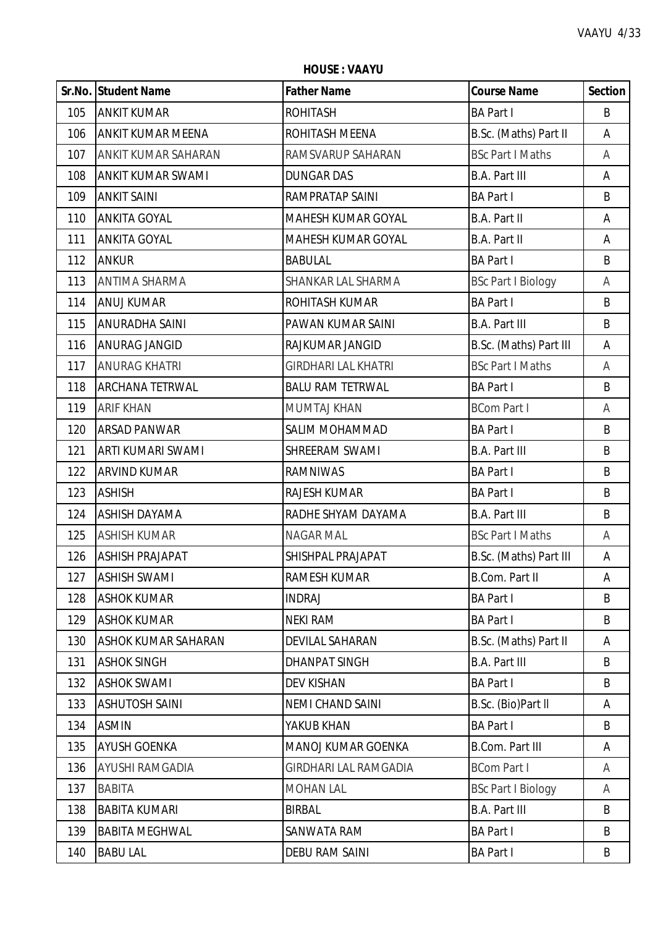**HOUSE : VAAYU**

|     | Sr.No. Student Name        | <b>Father Name</b>           | <b>Course Name</b>        | <b>Section</b> |
|-----|----------------------------|------------------------------|---------------------------|----------------|
| 105 | <b>ANKIT KUMAR</b>         | <b>ROHITASH</b>              | <b>BA Part I</b>          | B              |
| 106 | <b>ANKIT KUMAR MEENA</b>   | ROHITASH MEENA               | B.Sc. (Maths) Part II     | A              |
| 107 | ANKIT KUMAR SAHARAN        | RAMSVARUP SAHARAN            | <b>BSc Part I Maths</b>   | Α              |
| 108 | <b>ANKIT KUMAR SWAMI</b>   | <b>DUNGAR DAS</b>            | <b>B.A. Part III</b>      | Α              |
| 109 | <b>ANKIT SAINI</b>         | RAMPRATAP SAINI              | <b>BA Part I</b>          | B              |
| 110 | <b>ANKITA GOYAL</b>        | MAHESH KUMAR GOYAL           | B.A. Part II              | Α              |
| 111 | <b>ANKITA GOYAL</b>        | MAHESH KUMAR GOYAL           | B.A. Part II              | Α              |
| 112 | <b>ANKUR</b>               | <b>BABULAL</b>               | <b>BA Part I</b>          | B              |
| 113 | <b>ANTIMA SHARMA</b>       | SHANKAR LAL SHARMA           | <b>BSc Part I Biology</b> | Α              |
| 114 | <b>ANUJ KUMAR</b>          | ROHITASH KUMAR               | <b>BA Part I</b>          | B              |
| 115 | <b>ANURADHA SAINI</b>      | PAWAN KUMAR SAINI            | <b>B.A. Part III</b>      | B              |
| 116 | <b>ANURAG JANGID</b>       | RAJKUMAR JANGID              | B.Sc. (Maths) Part III    | Α              |
| 117 | <b>ANURAG KHATRI</b>       | <b>GIRDHARI LAL KHATRI</b>   | <b>BSc Part I Maths</b>   | A              |
| 118 | <b>ARCHANA TETRWAL</b>     | <b>BALU RAM TETRWAL</b>      | <b>BA Part I</b>          | B              |
| 119 | <b>ARIF KHAN</b>           | <b>MUMTAJ KHAN</b>           | <b>BCom Part I</b>        | A              |
| 120 | <b>ARSAD PANWAR</b>        | SALIM MOHAMMAD               | <b>BA Part I</b>          | B              |
| 121 | <b>ARTI KUMARI SWAMI</b>   | SHREERAM SWAMI               | <b>B.A. Part III</b>      | B              |
| 122 | <b>ARVIND KUMAR</b>        | <b>RAMNIWAS</b>              | <b>BA Part I</b>          | B              |
| 123 | <b>ASHISH</b>              | RAJESH KUMAR                 | <b>BA Part I</b>          | B              |
| 124 | <b>ASHISH DAYAMA</b>       | RADHE SHYAM DAYAMA           | <b>B.A. Part III</b>      | B              |
| 125 | <b>ASHISH KUMAR</b>        | NAGAR MAL                    | <b>BSc Part I Maths</b>   | Α              |
| 126 | <b>ASHISH PRAJAPAT</b>     | SHISHPAL PRAJAPAT            | B.Sc. (Maths) Part III    | A              |
| 127 | <b>ASHISH SWAMI</b>        | <b>RAMESH KUMAR</b>          | <b>B.Com. Part II</b>     | A              |
| 128 | <b>ASHOK KUMAR</b>         | <b>INDRAJ</b>                | <b>BA Part I</b>          | B              |
| 129 | <b>ASHOK KUMAR</b>         | <b>NEKI RAM</b>              | <b>BA Part I</b>          | B              |
| 130 | <b>ASHOK KUMAR SAHARAN</b> | <b>DEVILAL SAHARAN</b>       | B.Sc. (Maths) Part II     | Α              |
| 131 | <b>ASHOK SINGH</b>         | <b>DHANPAT SINGH</b>         | B.A. Part III             | B              |
| 132 | <b>ASHOK SWAMI</b>         | <b>DEV KISHAN</b>            | <b>BA Part I</b>          | B              |
| 133 | <b>ASHUTOSH SAINI</b>      | <b>NEMI CHAND SAINI</b>      | B.Sc. (Bio)Part II        | A              |
| 134 | <b>ASMIN</b>               | YAKUB KHAN                   | <b>BA Part I</b>          | B              |
| 135 | <b>AYUSH GOENKA</b>        | MANOJ KUMAR GOENKA           | <b>B.Com. Part III</b>    | Α              |
| 136 | AYUSHI RAMGADIA            | <b>GIRDHARI LAL RAMGADIA</b> | <b>BCom Part I</b>        | A              |
| 137 | <b>BABITA</b>              | <b>MOHAN LAL</b>             | <b>BSc Part I Biology</b> | A              |
| 138 | <b>BABITA KUMARI</b>       | <b>BIRBAL</b>                | <b>B.A. Part III</b>      | B              |
| 139 | <b>BABITA MEGHWAL</b>      | SANWATA RAM                  | <b>BA Part I</b>          | B              |
| 140 | <b>BABU LAL</b>            | <b>DEBU RAM SAINI</b>        | <b>BA Part I</b>          | B              |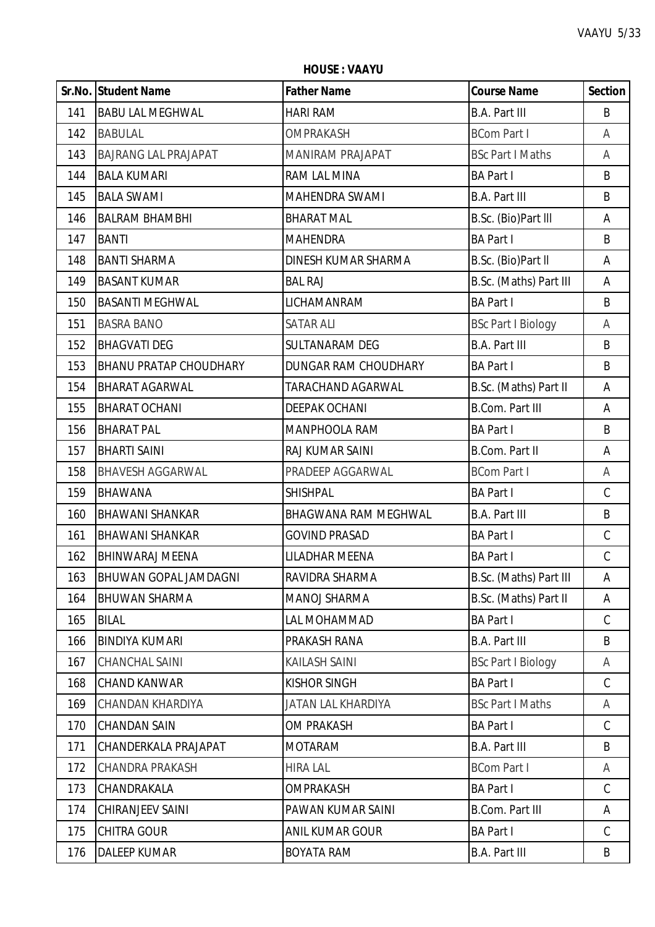**HOUSE : VAAYU**

|     | Sr.No. Student Name          | <b>Father Name</b>          | <b>Course Name</b>        | <b>Section</b> |
|-----|------------------------------|-----------------------------|---------------------------|----------------|
| 141 | <b>BABU LAL MEGHWAL</b>      | HARI RAM                    | <b>B.A. Part III</b>      | B              |
| 142 | <b>BABULAL</b>               | <b>OMPRAKASH</b>            | <b>BCom Part I</b>        | Α              |
| 143 | <b>BAJRANG LAL PRAJAPAT</b>  | <b>MANIRAM PRAJAPAT</b>     | <b>BSc Part I Maths</b>   | A              |
| 144 | <b>BALA KUMARI</b>           | RAM LAL MINA                | <b>BA Part I</b>          | B              |
| 145 | <b>BALA SWAMI</b>            | MAHENDRA SWAMI              | <b>B.A. Part III</b>      | B              |
| 146 | <b>BALRAM BHAMBHI</b>        | <b>BHARAT MAL</b>           | B.Sc. (Bio)Part III       | Α              |
| 147 | <b>BANTI</b>                 | <b>MAHENDRA</b>             | <b>BA Part I</b>          | B              |
| 148 | <b>BANTI SHARMA</b>          | DINESH KUMAR SHARMA         | B.Sc. (Bio)Part II        | Α              |
| 149 | <b>BASANT KUMAR</b>          | <b>BAL RAJ</b>              | B.Sc. (Maths) Part III    | Α              |
| 150 | <b>BASANTI MEGHWAL</b>       | LICHAMANRAM                 | <b>BA Part I</b>          | B              |
| 151 | <b>BASRA BANO</b>            | <b>SATAR ALI</b>            | <b>BSc Part I Biology</b> | Α              |
| 152 | <b>BHAGVATI DEG</b>          | SULTANARAM DEG              | <b>B.A. Part III</b>      | B              |
| 153 | BHANU PRATAP CHOUDHARY       | DUNGAR RAM CHOUDHARY        | <b>BA Part I</b>          | B              |
| 154 | <b>BHARAT AGARWAL</b>        | <b>TARACHAND AGARWAL</b>    | B.Sc. (Maths) Part II     | Α              |
| 155 | <b>BHARAT OCHANI</b>         | <b>DEEPAK OCHANI</b>        | <b>B.Com. Part III</b>    | Α              |
| 156 | <b>BHARAT PAL</b>            | MANPHOOLA RAM               | <b>BA Part I</b>          | B              |
| 157 | <b>BHARTI SAINI</b>          | RAJ KUMAR SAINI             | <b>B.Com. Part II</b>     | Α              |
| 158 | <b>BHAVESH AGGARWAL</b>      | PRADEEP AGGARWAL            | <b>BCom Part I</b>        | Α              |
| 159 | <b>BHAWANA</b>               | <b>SHISHPAL</b>             | <b>BA Part I</b>          | $\mathsf C$    |
| 160 | <b>BHAWANI SHANKAR</b>       | <b>BHAGWANA RAM MEGHWAL</b> | <b>B.A. Part III</b>      | B              |
| 161 | <b>BHAWANI SHANKAR</b>       | <b>GOVIND PRASAD</b>        | <b>BA Part I</b>          | $\mathsf C$    |
| 162 | <b>BHINWARAJ MEENA</b>       | LILADHAR MEENA              | <b>BA Part I</b>          | $\mathsf C$    |
| 163 | <b>BHUWAN GOPAL JAMDAGNI</b> | RAVIDRA SHARMA              | B.Sc. (Maths) Part III    | Α              |
| 164 | <b>BHUWAN SHARMA</b>         | MANOJ SHARMA                | B.Sc. (Maths) Part II     | Α              |
| 165 | <b>BILAL</b>                 | LAL MOHAMMAD                | <b>BA Part I</b>          | $\mathsf C$    |
| 166 | <b>BINDIYA KUMARI</b>        | PRAKASH RANA                | <b>B.A. Part III</b>      | B              |
| 167 | CHANCHAL SAINI               | KAILASH SAINI               | <b>BSc Part I Biology</b> | A              |
| 168 | <b>CHAND KANWAR</b>          | <b>KISHOR SINGH</b>         | <b>BA Part I</b>          | $\mathsf{C}$   |
| 169 | CHANDAN KHARDIYA             | JATAN LAL KHARDIYA          | <b>BSc Part I Maths</b>   | A              |
| 170 | <b>CHANDAN SAIN</b>          | <b>OM PRAKASH</b>           | <b>BA Part I</b>          | $\mathsf C$    |
| 171 | CHANDERKALA PRAJAPAT         | <b>MOTARAM</b>              | <b>B.A. Part III</b>      | B              |
| 172 | <b>CHANDRA PRAKASH</b>       | <b>HIRA LAL</b>             | <b>BCom Part I</b>        | A              |
| 173 | CHANDRAKALA                  | <b>OMPRAKASH</b>            | <b>BA Part I</b>          | $\mathsf{C}$   |
| 174 | CHIRANJEEV SAINI             | PAWAN KUMAR SAINI           | <b>B.Com. Part III</b>    | A              |
| 175 | <b>CHITRA GOUR</b>           | ANIL KUMAR GOUR             | <b>BA Part I</b>          | $\mathsf C$    |
| 176 | <b>DALEEP KUMAR</b>          | <b>BOYATA RAM</b>           | <b>B.A. Part III</b>      | B              |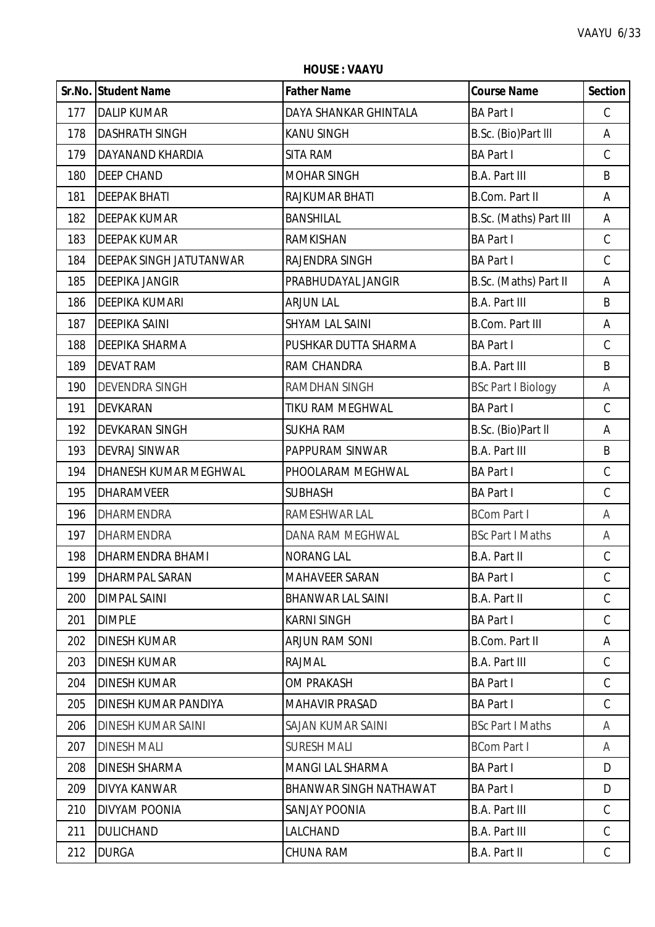**HOUSE : VAAYU**

|     | Sr.No. Student Name            | <b>Father Name</b>       | <b>Course Name</b>        | <b>Section</b> |
|-----|--------------------------------|--------------------------|---------------------------|----------------|
| 177 | <b>DALIP KUMAR</b>             | DAYA SHANKAR GHINTALA    | <b>BA Part I</b>          | $\mathsf C$    |
| 178 | <b>DASHRATH SINGH</b>          | <b>KANU SINGH</b>        | B.Sc. (Bio)Part III       | Α              |
| 179 | DAYANAND KHARDIA               | SITA RAM                 | <b>BA Part I</b>          | $\mathsf C$    |
| 180 | <b>DEEP CHAND</b>              | <b>MOHAR SINGH</b>       | <b>B.A. Part III</b>      | B              |
| 181 | <b>DEEPAK BHATI</b>            | RAJKUMAR BHATI           | <b>B.Com. Part II</b>     | Α              |
| 182 | <b>DEEPAK KUMAR</b>            | <b>BANSHILAL</b>         | B.Sc. (Maths) Part III    | Α              |
| 183 | <b>DEEPAK KUMAR</b>            | RAMKISHAN                | <b>BA Part I</b>          | $\mathsf C$    |
| 184 | <b>DEEPAK SINGH JATUTANWAR</b> | RAJENDRA SINGH           | <b>BA Part I</b>          | $\mathsf C$    |
| 185 | <b>DEEPIKA JANGIR</b>          | PRABHUDAYAL JANGIR       | B.Sc. (Maths) Part II     | Α              |
| 186 | <b>DEEPIKA KUMARI</b>          | <b>ARJUN LAL</b>         | <b>B.A. Part III</b>      | B              |
| 187 | <b>DEEPIKA SAINI</b>           | SHYAM LAL SAINI          | <b>B.Com. Part III</b>    | Α              |
| 188 | DEEPIKA SHARMA                 | PUSHKAR DUTTA SHARMA     | <b>BA Part I</b>          | $\mathsf C$    |
| 189 | <b>DEVAT RAM</b>               | RAM CHANDRA              | <b>B.A. Part III</b>      | B              |
| 190 | <b>DEVENDRA SINGH</b>          | <b>RAMDHAN SINGH</b>     | <b>BSc Part I Biology</b> | A              |
| 191 | <b>DEVKARAN</b>                | TIKU RAM MEGHWAL         | <b>BA Part I</b>          | $\mathsf C$    |
| 192 | DEVKARAN SINGH                 | <b>SUKHA RAM</b>         | B.Sc. (Bio)Part II        | Α              |
| 193 | <b>DEVRAJ SINWAR</b>           | PAPPURAM SINWAR          | <b>B.A. Part III</b>      | B              |
| 194 | DHANESH KUMAR MEGHWAL          | PHOOLARAM MEGHWAL        | <b>BA Part I</b>          | $\mathsf C$    |
| 195 | <b>DHARAMVEER</b>              | <b>SUBHASH</b>           | <b>BA Part I</b>          | $\mathsf C$    |
| 196 | <b>DHARMENDRA</b>              | RAMESHWAR LAL            | <b>BCom Part I</b>        | A              |
| 197 | DHARMENDRA                     | DANA RAM MEGHWAL         | <b>BSc Part I Maths</b>   | Α              |
| 198 | DHARMENDRA BHAMI               | <b>NORANG LAL</b>        | <b>B.A. Part II</b>       | $\mathsf C$    |
| 199 | <b>DHARMPAL SARAN</b>          | <b>MAHAVEER SARAN</b>    | <b>BA Part I</b>          | $\mathcal{C}$  |
| 200 | <b>DIMPAL SAINI</b>            | <b>BHANWAR LAL SAINI</b> | B.A. Part II              | $\mathcal{C}$  |
| 201 | <b>DIMPLE</b>                  | <b>KARNI SINGH</b>       | <b>BA Part I</b>          | $\mathsf{C}$   |
| 202 | <b>DINESH KUMAR</b>            | <b>ARJUN RAM SONI</b>    | B.Com. Part II            | Α              |
| 203 | <b>DINESH KUMAR</b>            | RAJMAL                   | <b>B.A. Part III</b>      | $\mathsf C$    |
| 204 | <b>DINESH KUMAR</b>            | <b>OM PRAKASH</b>        | <b>BA Part I</b>          | $\mathcal{C}$  |
| 205 | DINESH KUMAR PANDIYA           | <b>MAHAVIR PRASAD</b>    | <b>BA Part I</b>          | $\mathcal{C}$  |
| 206 | <b>DINESH KUMAR SAINI</b>      | SAJAN KUMAR SAINI        | <b>BSc Part I Maths</b>   | A              |
| 207 | <b>DINESH MALI</b>             | <b>SURESH MALI</b>       | <b>BCom Part I</b>        | A              |
| 208 | <b>DINESH SHARMA</b>           | <b>MANGI LAL SHARMA</b>  | <b>BA Part I</b>          | D              |
| 209 | <b>DIVYA KANWAR</b>            | BHANWAR SINGH NATHAWAT   | <b>BA Part I</b>          | D              |
| 210 | DIVYAM POONIA                  | <b>SANJAY POONIA</b>     | <b>B.A. Part III</b>      | C              |
| 211 | <b>DULICHAND</b>               | LALCHAND                 | <b>B.A. Part III</b>      | $\mathcal{C}$  |
| 212 | <b>DURGA</b>                   | CHUNA RAM                | B.A. Part II              | $\mathsf{C}$   |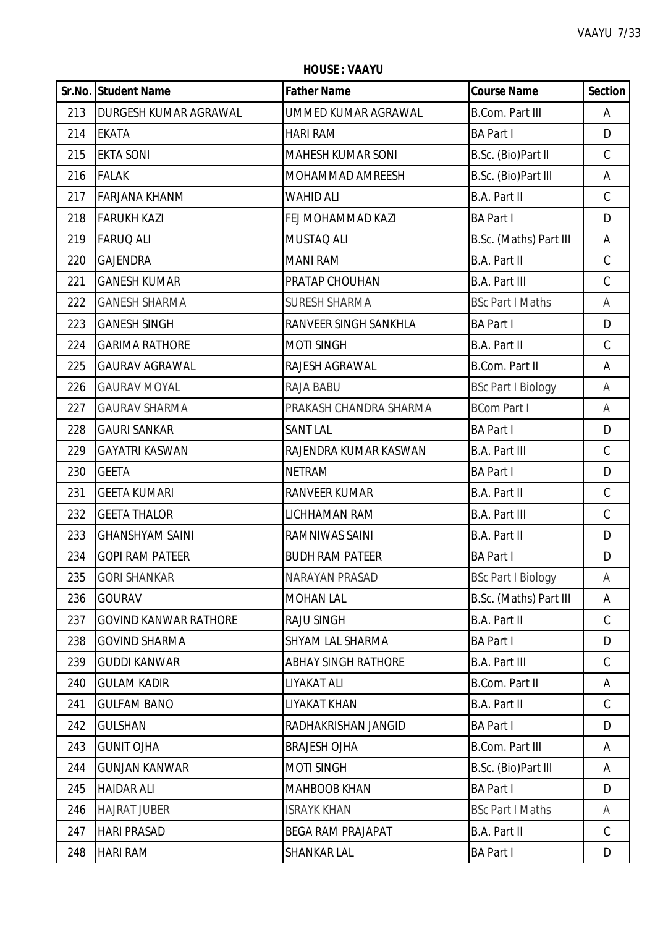|     | Sr.No. Student Name          | <b>Father Name</b>         | <b>Course Name</b>        | <b>Section</b> |
|-----|------------------------------|----------------------------|---------------------------|----------------|
| 213 | <b>DURGESH KUMAR AGRAWAL</b> | UMMED KUMAR AGRAWAL        | <b>B.Com. Part III</b>    | Α              |
| 214 | <b>EKATA</b>                 | <b>HARI RAM</b>            | <b>BA Part I</b>          | D              |
| 215 | <b>EKTA SONI</b>             | <b>MAHESH KUMAR SONI</b>   | B.Sc. (Bio)Part II        | $\mathcal{C}$  |
| 216 | <b>FALAK</b>                 | MOHAMMAD AMREESH           | B.Sc. (Bio)Part III       | Α              |
| 217 | <b>FARJANA KHANM</b>         | WAHID ALI                  | B.A. Part II              | C              |
| 218 | <b>FARUKH KAZI</b>           | FEJ MOHAMMAD KAZI          | <b>BA Part I</b>          | D              |
| 219 | <b>FARUQ ALI</b>             | MUSTAQ ALI                 | B.Sc. (Maths) Part III    | A              |
| 220 | <b>GAJENDRA</b>              | <b>MANI RAM</b>            | <b>B.A. Part II</b>       | $\mathsf C$    |
| 221 | <b>GANESH KUMAR</b>          | PRATAP CHOUHAN             | <b>B.A. Part III</b>      | $\mathcal{C}$  |
| 222 | <b>GANESH SHARMA</b>         | <b>SURESH SHARMA</b>       | <b>BSc Part I Maths</b>   | Α              |
| 223 | <b>GANESH SINGH</b>          | RANVEER SINGH SANKHLA      | <b>BA Part I</b>          | D              |
| 224 | <b>GARIMA RATHORE</b>        | <b>MOTI SINGH</b>          | <b>B.A. Part II</b>       | $\mathsf C$    |
| 225 | <b>GAURAV AGRAWAL</b>        | RAJESH AGRAWAL             | <b>B.Com. Part II</b>     | Α              |
| 226 | <b>GAURAV MOYAL</b>          | RAJA BABU                  | <b>BSc Part I Biology</b> | Α              |
| 227 | <b>GAURAV SHARMA</b>         | PRAKASH CHANDRA SHARMA     | <b>BCom Part I</b>        | A              |
| 228 | <b>GAURI SANKAR</b>          | <b>SANT LAL</b>            | <b>BA Part I</b>          | D              |
| 229 | <b>GAYATRI KASWAN</b>        | RAJENDRA KUMAR KASWAN      | <b>B.A. Part III</b>      | $\mathsf C$    |
| 230 | <b>GEETA</b>                 | <b>NETRAM</b>              | <b>BA Part I</b>          | D              |
| 231 | <b>GEETA KUMARI</b>          | RANVEER KUMAR              | B.A. Part II              | $\mathsf C$    |
| 232 | <b>GEETA THALOR</b>          | LICHHAMAN RAM              | <b>B.A. Part III</b>      | $\mathcal{C}$  |
| 233 | <b>GHANSHYAM SAINI</b>       | RAMNIWAS SAINI             | <b>B.A. Part II</b>       | D              |
| 234 | <b>GOPI RAM PATEER</b>       | <b>BUDH RAM PATEER</b>     | <b>BA Part I</b>          | D              |
| 235 | <b>GORI SHANKAR</b>          | NARAYAN PRASAD             | <b>BSc Part I Biology</b> | A              |
| 236 | <b>GOURAV</b>                | <b>MOHAN LAL</b>           | B.Sc. (Maths) Part III    | Α              |
| 237 | <b>GOVIND KANWAR RATHORE</b> | <b>RAJU SINGH</b>          | B.A. Part II              | C              |
| 238 | <b>GOVIND SHARMA</b>         | SHYAM LAL SHARMA           | <b>BA Part I</b>          | D              |
| 239 | <b>GUDDI KANWAR</b>          | <b>ABHAY SINGH RATHORE</b> | <b>B.A. Part III</b>      | $\mathsf C$    |
| 240 | <b>GULAM KADIR</b>           | LIYAKAT ALI                | <b>B.Com. Part II</b>     | Α              |
| 241 | <b>GULFAM BANO</b>           | LIYAKAT KHAN               | B.A. Part II              | C              |
| 242 | <b>GULSHAN</b>               | RADHAKRISHAN JANGID        | <b>BA Part I</b>          | D              |
| 243 | <b>GUNIT OJHA</b>            | <b>BRAJESH OJHA</b>        | <b>B.Com. Part III</b>    | A              |
| 244 | <b>GUNJAN KANWAR</b>         | <b>MOTI SINGH</b>          | B.Sc. (Bio)Part III       | A              |
| 245 | <b>HAIDAR ALI</b>            | <b>MAHBOOB KHAN</b>        | <b>BA Part I</b>          | D              |
| 246 | <b>HAJRAT JUBER</b>          | <b>ISRAYK KHAN</b>         | <b>BSc Part I Maths</b>   | Α              |
| 247 | <b>HARI PRASAD</b>           | <b>BEGA RAM PRAJAPAT</b>   | B.A. Part II              | C              |
| 248 | <b>HARI RAM</b>              | SHANKAR LAL                | <b>BA Part I</b>          | D              |

**HOUSE : VAAYU**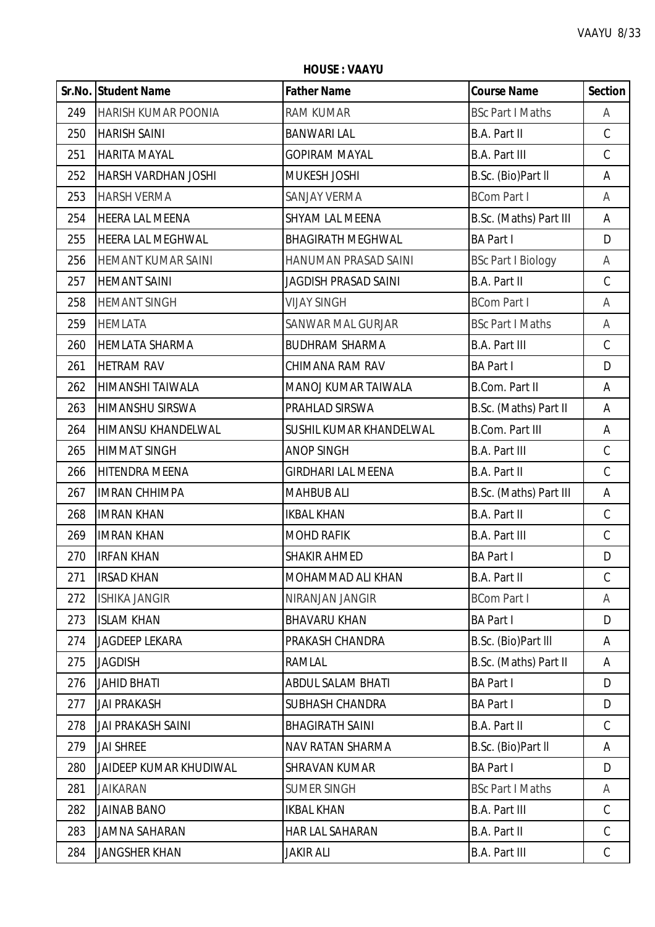**Sr.No. Student Name Father Name Course Name Section** 249 HARISH KUMAR POONIA RAM KUMAR BSC Part I Maths A HARISH SAINI BANWARI LAL B.A. Part II C HARITA MAYAL GOPIRAM MAYAL B.A. Part III C HARSH VARDHAN JOSHI MUKESH JOSHI B.Sc. (Bio)Part ll A HARSH VERMA SANJAY VERMA BCom Part I A 254 | HEERA LAL MEENA SHYAM LAL MEENA B.Sc. (Maths) Part III | A HEERA LAL MEGHWAL BHAGIRATH MEGHWAL BA Part I D HEMANT KUMAR SAINI HANUMAN PRASAD SAINI BSc Part I Biology A HEMANT SAINI JAGDISH PRASAD SAINI B.A. Part II C HEMANT SINGH VIJAY SINGH BCom Part I A 259 HEMLATA ISANWAR MAL GURJAR IBSc Part I Maths A HEMLATA SHARMA BUDHRAM SHARMA B.A. Part III C HETRAM RAV CHIMANA RAM RAV BA Part I D 262 HIIMANSHI TAIWALA MANOJ KUMAR TAIWALA B.Com. Part II A HIMANSHU SIRSWA PRAHLAD SIRSWA B.Sc. (Maths) Part II A HIMANSU KHANDELWAL SUSHIL KUMAR KHANDELWAL B.Com. Part III A HIMMAT SINGH ANOP SINGH B.A. Part III C HITENDRA MEENA GIRDHARI LAL MEENA B.A. Part II C IMRAN CHHIMPA MAHBUB ALI B.Sc. (Maths) Part III A IMRAN KHAN IKBAL KHAN B.A. Part II C 269 IMRAN KHAN MOHD RAFIK B.A. Part III C IRFAN KHAN SHAKIR AHMED BA Part I D 271 IIRSAD KHAN MOHAMMAD ALI KHAN B.A. Part II C 272 ISHIKA JANGIR NIRANJAN JANGIR BCom Part I A ISLAM KHAN BHAVARU KHAN BA Part I D 274 JJAGDEEP LEKARA PRAKASH CHANDRA PRAKASH CHANDRA B.Sc. (Bio)Part III A JAGDISH RAMLAL B.Sc. (Maths) Part II A JAHID BHATI ABDUL SALAM BHATI BA Part I D JAI PRAKASH SUBHASH CHANDRA BA Part I D JAI PRAKASH SAINI BHAGIRATH SAINI B.A. Part II C 279 JJAI SHREE NAVEL AND ANAV RATAN SHARMA BASIC. (Bio)Part II A JAIDEEP KUMAR KHUDIWAL SHRAVAN KUMAR BA Part I D JAIKARAN SUMER SINGH BSc Part I Maths A JAINAB BANO IKBAL KHAN B.A. Part III C JAMNA SAHARAN HAR LAL SAHARAN B.A. Part II C JANGSHER KHAN JAKIR ALI B.A. Part III C

**HOUSE : VAAYU**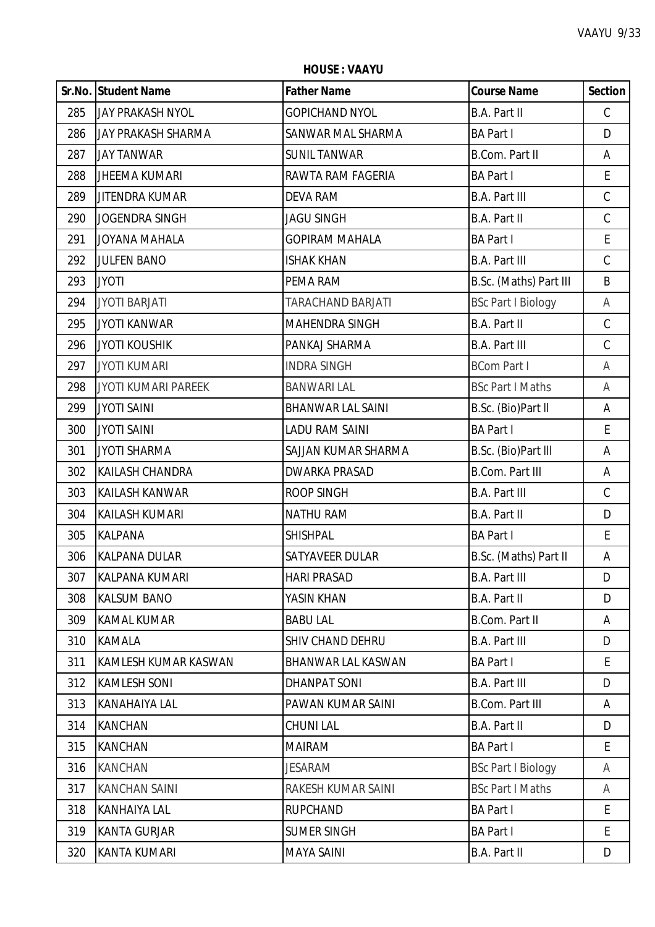ï

|     | Sr.No. Student Name        | <b>Father Name</b>        | <b>Course Name</b>        | <b>Section</b> |
|-----|----------------------------|---------------------------|---------------------------|----------------|
| 285 | <b>JAY PRAKASH NYOL</b>    | <b>GOPICHAND NYOL</b>     | B.A. Part II              | $\mathsf C$    |
| 286 | JAY PRAKASH SHARMA         | SANWAR MAL SHARMA         | <b>BA Part I</b>          | D              |
| 287 | <b>JAY TANWAR</b>          | <b>SUNIL TANWAR</b>       | <b>B.Com. Part II</b>     | Α              |
| 288 | <b>JHEEMA KUMARI</b>       | RAWTA RAM FAGERIA         | <b>BA Part I</b>          | E              |
| 289 | <b>JITENDRA KUMAR</b>      | <b>DEVA RAM</b>           | <b>B.A. Part III</b>      | $\mathsf C$    |
| 290 | <b>JOGENDRA SINGH</b>      | <b>JAGU SINGH</b>         | B.A. Part II              | $\mathsf C$    |
| 291 | JOYANA MAHALA              | <b>GOPIRAM MAHALA</b>     | <b>BA Part I</b>          | E              |
| 292 | <b>JULFEN BANO</b>         | <b>ISHAK KHAN</b>         | <b>B.A. Part III</b>      | $\mathcal{C}$  |
| 293 | <b>JYOTI</b>               | PEMA RAM                  | B.Sc. (Maths) Part III    | B              |
| 294 | <b>JYOTI BARJATI</b>       | TARACHAND BARJATI         | <b>BSc Part I Biology</b> | Α              |
| 295 | <b>JYOTI KANWAR</b>        | <b>MAHENDRA SINGH</b>     | B.A. Part II              | $\mathsf C$    |
| 296 | <b>JYOTI KOUSHIK</b>       | PANKAJ SHARMA             | <b>B.A. Part III</b>      | $\mathsf C$    |
| 297 | <b>JYOTI KUMARI</b>        | <b>INDRA SINGH</b>        | <b>BCom Part I</b>        | A              |
| 298 | <b>JYOTI KUMARI PAREEK</b> | <b>BANWARI LAL</b>        | <b>BSc Part I Maths</b>   | A              |
| 299 | <b>JYOTI SAINI</b>         | <b>BHANWAR LAL SAINI</b>  | B.Sc. (Bio)Part II        | Α              |
| 300 | <b>JYOTI SAINI</b>         | <b>LADU RAM SAINI</b>     | <b>BA Part I</b>          | $\mathsf E$    |
| 301 | <b>JYOTI SHARMA</b>        | SAJJAN KUMAR SHARMA       | B.Sc. (Bio)Part III       | Α              |
| 302 | <b>KAILASH CHANDRA</b>     | <b>DWARKA PRASAD</b>      | <b>B.Com. Part III</b>    | Α              |
| 303 | KAILASH KANWAR             | <b>ROOP SINGH</b>         | <b>B.A. Part III</b>      | $\mathcal{C}$  |
| 304 | KAILASH KUMARI             | <b>NATHU RAM</b>          | B.A. Part II              | D              |
| 305 | <b>KALPANA</b>             | <b>SHISHPAL</b>           | <b>BA Part I</b>          | E              |
| 306 | <b>KALPANA DULAR</b>       | SATYAVEER DULAR           | B.Sc. (Maths) Part II     | A              |
| 307 | KALPANA KUMARI             | <b>HARI PRASAD</b>        | <b>B.A. Part III</b>      | D              |
| 308 | <b>KALSUM BANO</b>         | YASIN KHAN                | B.A. Part II              | D              |
| 309 | <b>KAMAL KUMAR</b>         | <b>BABU LAL</b>           | <b>B.Com. Part II</b>     | Α              |
| 310 | KAMALA                     | <b>SHIV CHAND DEHRU</b>   | <b>B.A. Part III</b>      | D              |
| 311 | KAMLESH KUMAR KASWAN       | <b>BHANWAR LAL KASWAN</b> | <b>BA Part I</b>          | E.             |
| 312 | <b>KAMLESH SONI</b>        | DHANPAT SONI              | <b>B.A. Part III</b>      | D              |
| 313 | KANAHAIYA LAL              | PAWAN KUMAR SAINI         | <b>B.Com. Part III</b>    | A              |
| 314 | <b>KANCHAN</b>             | <b>CHUNI LAL</b>          | B.A. Part II              | D              |
| 315 | <b>KANCHAN</b>             | <b>MAIRAM</b>             | <b>BA Part I</b>          | E              |
| 316 | <b>KANCHAN</b>             | <b>JESARAM</b>            | <b>BSc Part I Biology</b> | A              |
| 317 | <b>KANCHAN SAINI</b>       | RAKESH KUMAR SAINI        | <b>BSc Part I Maths</b>   | A              |
| 318 | <b>KANHAIYA LAL</b>        | <b>RUPCHAND</b>           | <b>BA Part I</b>          | E              |
| 319 | <b>KANTA GURJAR</b>        | <b>SUMER SINGH</b>        | <b>BA Part I</b>          | E              |
| 320 | KANTA KUMARI               | <b>MAYA SAINI</b>         | B.A. Part II              | D              |

**HOUSE : VAAYU**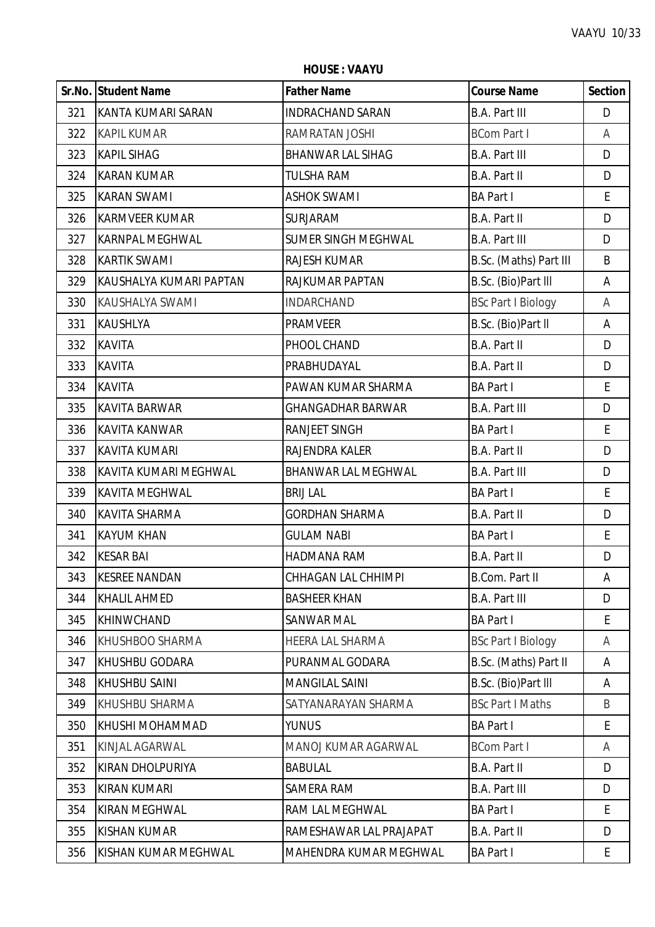|     | Sr.No. Student Name     | <b>Father Name</b>       | <b>Course Name</b>        | <b>Section</b> |
|-----|-------------------------|--------------------------|---------------------------|----------------|
| 321 | KANTA KUMARI SARAN      | <b>INDRACHAND SARAN</b>  | <b>B.A. Part III</b>      | D              |
| 322 | <b>KAPIL KUMAR</b>      | RAMRATAN JOSHI           | <b>BCom Part I</b>        | A              |
| 323 | <b>KAPIL SIHAG</b>      | <b>BHANWAR LAL SIHAG</b> | <b>B.A. Part III</b>      | D              |
| 324 | <b>KARAN KUMAR</b>      | <b>TULSHA RAM</b>        | <b>B.A. Part II</b>       | D              |
| 325 | <b>KARAN SWAMI</b>      | <b>ASHOK SWAMI</b>       | <b>BA Part I</b>          | E              |
| 326 | <b>KARMVEER KUMAR</b>   | <b>SURJARAM</b>          | B.A. Part II              | D              |
| 327 | <b>KARNPAL MEGHWAL</b>  | SUMER SINGH MEGHWAL      | <b>B.A. Part III</b>      | D              |
| 328 | <b>KARTIK SWAMI</b>     | <b>RAJESH KUMAR</b>      | B.Sc. (Maths) Part III    | B              |
| 329 | KAUSHALYA KUMARI PAPTAN | RAJKUMAR PAPTAN          | B.Sc. (Bio)Part III       | A              |
| 330 | KAUSHALYA SWAMI         | <b>INDARCHAND</b>        | <b>BSc Part I Biology</b> | A              |
| 331 | <b>KAUSHLYA</b>         | <b>PRAMVEER</b>          | B.Sc. (Bio)Part II        | Α              |
| 332 | <b>KAVITA</b>           | PHOOL CHAND              | B.A. Part II              | D              |
| 333 | <b>KAVITA</b>           | PRABHUDAYAL              | B.A. Part II              | D              |
| 334 | <b>KAVITA</b>           | PAWAN KUMAR SHARMA       | <b>BA Part I</b>          | E              |
| 335 | <b>KAVITA BARWAR</b>    | <b>GHANGADHAR BARWAR</b> | <b>B.A. Part III</b>      | D              |
| 336 | <b>KAVITA KANWAR</b>    | <b>RANJEET SINGH</b>     | <b>BA Part I</b>          | E              |
| 337 | <b>KAVITA KUMARI</b>    | RAJENDRA KALER           | B.A. Part II              | D              |
| 338 | KAVITA KUMARI MEGHWAL   | BHANWAR LAL MEGHWAL      | <b>B.A. Part III</b>      | D              |
| 339 | <b>KAVITA MEGHWAL</b>   | <b>BRIJ LAL</b>          | <b>BA Part I</b>          | E              |
| 340 | <b>KAVITA SHARMA</b>    | <b>GORDHAN SHARMA</b>    | B.A. Part II              | D              |
| 341 | <b>KAYUM KHAN</b>       | <b>GULAM NABI</b>        | <b>BA Part I</b>          | E              |
| 342 | <b>KESAR BAI</b>        | HADMANA RAM              | <b>B.A. Part II</b>       | D              |
| 343 | <b>KESREE NANDAN</b>    | CHHAGAN LAL CHHIMPI      | B.Com. Part II            | А              |
| 344 | <b>KHALIL AHMED</b>     | <b>BASHEER KHAN</b>      | <b>B.A. Part III</b>      | D              |
| 345 | KHINWCHAND              | <b>SANWAR MAL</b>        | <b>BA Part I</b>          | E              |
| 346 | KHUSHBOO SHARMA         | HEERA LAL SHARMA         | <b>BSc Part I Biology</b> | Α              |
| 347 | <b>KHUSHBU GODARA</b>   | PURANMAL GODARA          | B.Sc. (Maths) Part II     | A              |
| 348 | <b>KHUSHBU SAINI</b>    | <b>MANGILAL SAINI</b>    | B.Sc. (Bio)Part III       | A              |
| 349 | KHUSHBU SHARMA          | SATYANARAYAN SHARMA      | <b>BSc Part I Maths</b>   | B              |
| 350 | KHUSHI MOHAMMAD         | <b>YUNUS</b>             | <b>BA Part I</b>          | E              |
| 351 | KINJAL AGARWAL          | MANOJ KUMAR AGARWAL      | <b>BCom Part I</b>        | Α              |
| 352 | KIRAN DHOLPURIYA        | <b>BABULAL</b>           | B.A. Part II              | D              |
| 353 | <b>KIRAN KUMARI</b>     | SAMERA RAM               | <b>B.A. Part III</b>      | D              |
| 354 | <b>KIRAN MEGHWAL</b>    | RAM LAL MEGHWAL          | <b>BA Part I</b>          | E              |
| 355 | <b>KISHAN KUMAR</b>     | RAMESHAWAR LAL PRAJAPAT  | <b>B.A. Part II</b>       | D              |
| 356 | KISHAN KUMAR MEGHWAL    | MAHENDRA KUMAR MEGHWAL   | <b>BA Part I</b>          | E              |

**HOUSE : VAAYU**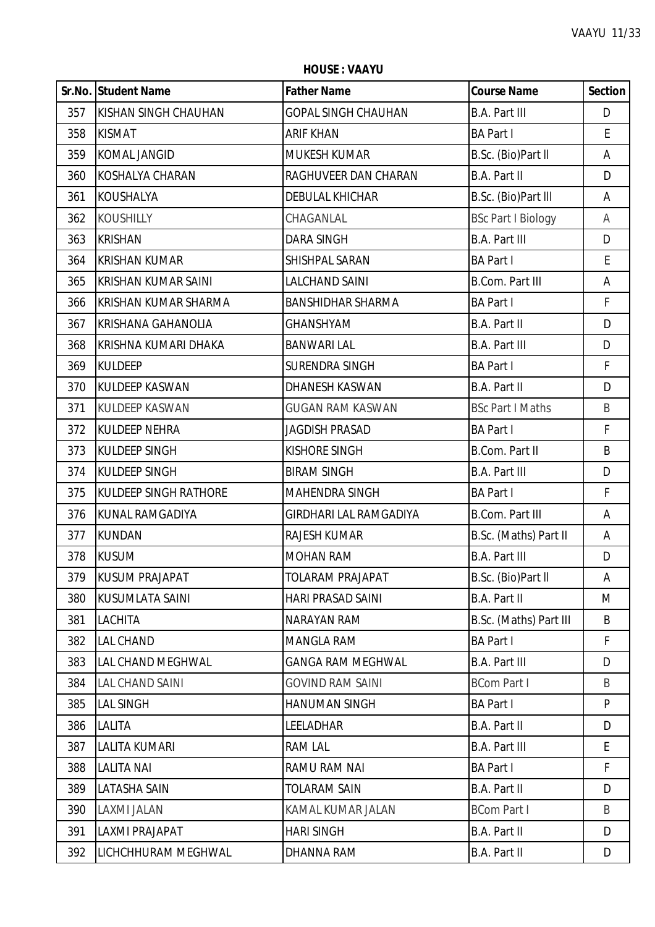|     | Sr.No. Student Name          | <b>Father Name</b>            | <b>Course Name</b>        | <b>Section</b> |
|-----|------------------------------|-------------------------------|---------------------------|----------------|
| 357 | KISHAN SINGH CHAUHAN         | <b>GOPAL SINGH CHAUHAN</b>    | <b>B.A. Part III</b>      | D              |
| 358 | <b>KISMAT</b>                | <b>ARIF KHAN</b>              | <b>BA Part I</b>          | E              |
| 359 | <b>KOMAL JANGID</b>          | <b>MUKESH KUMAR</b>           | B.Sc. (Bio)Part II        | Α              |
| 360 | <b>KOSHALYA CHARAN</b>       | RAGHUVEER DAN CHARAN          | B.A. Part II              | D              |
| 361 | <b>KOUSHALYA</b>             | <b>DEBULAL KHICHAR</b>        | B.Sc. (Bio)Part III       | Α              |
| 362 | <b>KOUSHILLY</b>             | CHAGANLAL                     | <b>BSc Part I Biology</b> | Α              |
| 363 | <b>KRISHAN</b>               | <b>DARA SINGH</b>             | <b>B.A. Part III</b>      | D              |
| 364 | <b>KRISHAN KUMAR</b>         | SHISHPAL SARAN                | <b>BA Part I</b>          | E              |
| 365 | <b>KRISHAN KUMAR SAINI</b>   | <b>LALCHAND SAINI</b>         | <b>B.Com. Part III</b>    | A              |
| 366 | <b>KRISHAN KUMAR SHARMA</b>  | <b>BANSHIDHAR SHARMA</b>      | <b>BA Part I</b>          | F              |
| 367 | <b>KRISHANA GAHANOLIA</b>    | <b>GHANSHYAM</b>              | B.A. Part II              | D              |
| 368 | KRISHNA KUMARI DHAKA         | <b>BANWARI LAL</b>            | <b>B.A. Part III</b>      | D              |
| 369 | <b>KULDEEP</b>               | SURENDRA SINGH                | <b>BA Part I</b>          | F              |
| 370 | <b>KULDEEP KASWAN</b>        | DHANESH KASWAN                | B.A. Part II              | D              |
| 371 | <b>KULDEEP KASWAN</b>        | <b>GUGAN RAM KASWAN</b>       | <b>BSc Part I Maths</b>   | B              |
| 372 | <b>KULDEEP NEHRA</b>         | <b>JAGDISH PRASAD</b>         | <b>BA Part I</b>          | F              |
| 373 | <b>KULDEEP SINGH</b>         | <b>KISHORE SINGH</b>          | <b>B.Com. Part II</b>     | B              |
| 374 | <b>KULDEEP SINGH</b>         | <b>BIRAM SINGH</b>            | <b>B.A. Part III</b>      | D              |
| 375 | <b>KULDEEP SINGH RATHORE</b> | MAHENDRA SINGH                | <b>BA Part I</b>          | F              |
| 376 | <b>KUNAL RAMGADIYA</b>       | <b>GIRDHARI LAL RAMGADIYA</b> | <b>B.Com. Part III</b>    | Α              |
| 377 | <b>KUNDAN</b>                | <b>RAJESH KUMAR</b>           | B.Sc. (Maths) Part II     | Α              |
| 378 | <b>KUSUM</b>                 | <b>MOHAN RAM</b>              | <b>B.A. Part III</b>      | D              |
| 379 | KUSUM PRAJAPAT               | <b>TOLARAM PRAJAPAT</b>       | B.Sc. (Bio)Part II        | Α              |
| 380 | <b>KUSUMLATA SAINI</b>       | <b>HARI PRASAD SAINI</b>      | B.A. Part II              | M              |
| 381 | LACHITA                      | NARAYAN RAM                   | B.Sc. (Maths) Part III    | B              |
| 382 | <b>LAL CHAND</b>             | MANGLA RAM                    | <b>BA Part I</b>          | F              |
| 383 | LAL CHAND MEGHWAL            | <b>GANGA RAM MEGHWAL</b>      | <b>B.A. Part III</b>      | D              |
| 384 | <b>LAL CHAND SAINI</b>       | <b>GOVIND RAM SAINI</b>       | <b>BCom Part I</b>        | B              |
| 385 | <b>LAL SINGH</b>             | HANUMAN SINGH                 | <b>BA Part I</b>          | P              |
| 386 | LALITA                       | LEELADHAR                     | B.A. Part II              | D              |
| 387 | <b>LALITA KUMARI</b>         | <b>RAM LAL</b>                | <b>B.A. Part III</b>      | E              |
| 388 | <b>LALITA NAI</b>            | RAMU RAM NAI                  | <b>BA Part I</b>          | F              |
| 389 | <b>LATASHA SAIN</b>          | <b>TOLARAM SAIN</b>           | B.A. Part II              | D              |
| 390 | LAXMI JALAN                  | KAMAL KUMAR JALAN             | <b>BCom Part I</b>        | B              |
| 391 | LAXMI PRAJAPAT               | <b>HARI SINGH</b>             | B.A. Part II              | D              |
| 392 | LICHCHHURAM MEGHWAL          | DHANNA RAM                    | B.A. Part II              | D              |

**HOUSE : VAAYU**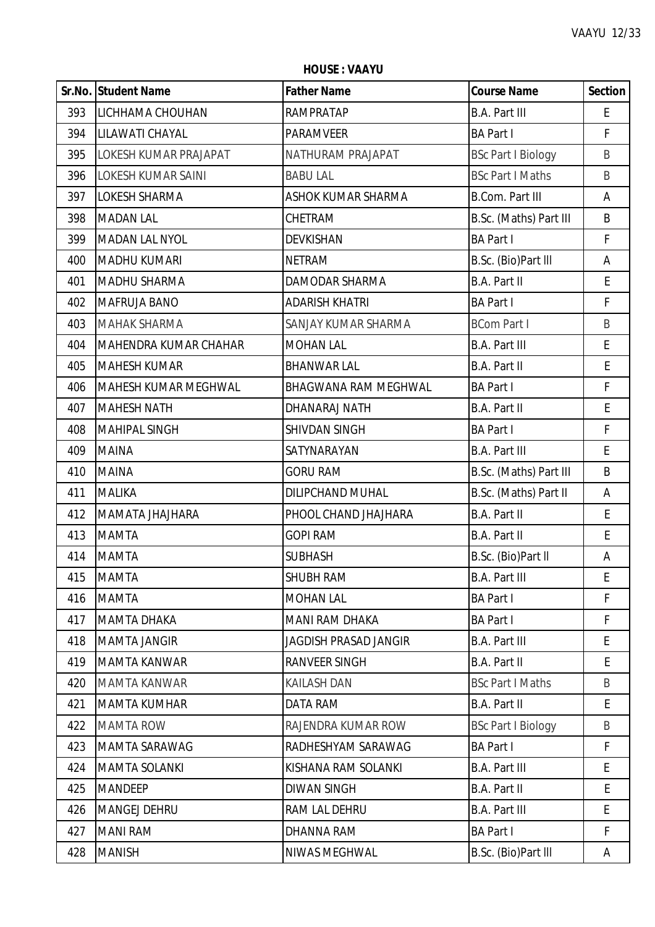|     | Sr.No. Student Name          | <b>Father Name</b>          | <b>Course Name</b>        | <b>Section</b> |
|-----|------------------------------|-----------------------------|---------------------------|----------------|
| 393 | LICHHAMA CHOUHAN             | RAMPRATAP                   | <b>B.A. Part III</b>      | E              |
| 394 | LILAWATI CHAYAL              | <b>PARAMVEER</b>            | <b>BA Part I</b>          | F              |
| 395 | LOKESH KUMAR PRAJAPAT        | NATHURAM PRAJAPAT           | <b>BSc Part I Biology</b> | B              |
| 396 | <b>LOKESH KUMAR SAINI</b>    | <b>BABU LAL</b>             | <b>BSc Part I Maths</b>   | B              |
| 397 | LOKESH SHARMA                | ASHOK KUMAR SHARMA          | <b>B.Com. Part III</b>    | Α              |
| 398 | <b>MADAN LAL</b>             | CHETRAM                     | B.Sc. (Maths) Part III    | B              |
| 399 | <b>MADAN LAL NYOL</b>        | <b>DEVKISHAN</b>            | <b>BA Part I</b>          | F              |
| 400 | <b>MADHU KUMARI</b>          | <b>NETRAM</b>               | B.Sc. (Bio)Part III       | A              |
| 401 | <b>MADHU SHARMA</b>          | <b>DAMODAR SHARMA</b>       | B.A. Part II              | E              |
| 402 | MAFRUJA BANO                 | <b>ADARISH KHATRI</b>       | <b>BA Part I</b>          | F              |
| 403 | <b>MAHAK SHARMA</b>          | SANJAY KUMAR SHARMA         | <b>BCom Part I</b>        | B              |
| 404 | <b>MAHENDRA KUMAR CHAHAR</b> | <b>MOHAN LAL</b>            | <b>B.A. Part III</b>      | E              |
| 405 | <b>MAHESH KUMAR</b>          | <b>BHANWAR LAL</b>          | B.A. Part II              | E              |
| 406 | <b>MAHESH KUMAR MEGHWAL</b>  | <b>BHAGWANA RAM MEGHWAL</b> | <b>BA Part I</b>          | $\mathsf F$    |
| 407 | <b>MAHESH NATH</b>           | DHANARAJ NATH               | B.A. Part II              | E              |
| 408 | <b>MAHIPAL SINGH</b>         | SHIVDAN SINGH               | <b>BA Part I</b>          | $\mathsf{F}$   |
| 409 | <b>MAINA</b>                 | SATYNARAYAN                 | <b>B.A. Part III</b>      | E.             |
| 410 | <b>MAINA</b>                 | <b>GORU RAM</b>             | B.Sc. (Maths) Part III    | B              |
| 411 | <b>MALIKA</b>                | <b>DILIPCHAND MUHAL</b>     | B.Sc. (Maths) Part II     | Α              |
| 412 | MAMATA JHAJHARA              | PHOOL CHAND JHAJHARA        | B.A. Part II              | E              |
| 413 | <b>MAMTA</b>                 | <b>GOPI RAM</b>             | B.A. Part II              | E              |
| 414 | <b>MAMTA</b>                 | <b>SUBHASH</b>              | B.Sc. (Bio)Part II        | A              |
| 415 | <b>MAMTA</b>                 | SHUBH RAM                   | B.A. Part III             | E              |
| 416 | <b>MAMTA</b>                 | <b>MOHAN LAL</b>            | <b>BA Part I</b>          | F              |
| 417 | <b>MAMTA DHAKA</b>           | <b>MANI RAM DHAKA</b>       | <b>BA Part I</b>          | F              |
| 418 | <b>MAMTA JANGIR</b>          | JAGDISH PRASAD JANGIR       | <b>B.A. Part III</b>      | E              |
| 419 | <b>MAMTA KANWAR</b>          | RANVEER SINGH               | B.A. Part II              | E              |
| 420 | <b>MAMTA KANWAR</b>          | <b>KAILASH DAN</b>          | <b>BSc Part I Maths</b>   | B              |
| 421 | <b>MAMTA KUMHAR</b>          | <b>DATA RAM</b>             | B.A. Part II              | E              |
| 422 | <b>MAMTA ROW</b>             | RAJENDRA KUMAR ROW          | <b>BSc Part I Biology</b> | B              |
| 423 | MAMTA SARAWAG                | RADHESHYAM SARAWAG          | <b>BA Part I</b>          | $\mathsf{F}$   |
| 424 | <b>MAMTA SOLANKI</b>         | KISHANA RAM SOLANKI         | <b>B.A. Part III</b>      | E              |
| 425 | <b>MANDEEP</b>               | <b>DIWAN SINGH</b>          | <b>B.A. Part II</b>       | E              |
| 426 | MANGEJ DEHRU                 | RAM LAL DEHRU               | <b>B.A. Part III</b>      | E.             |
| 427 | <b>MANI RAM</b>              | DHANNA RAM                  | <b>BA Part I</b>          | $\mathsf{F}$   |
| 428 | <b>MANISH</b>                | NIWAS MEGHWAL               | B.Sc. (Bio)Part III       | A              |

**HOUSE : VAAYU**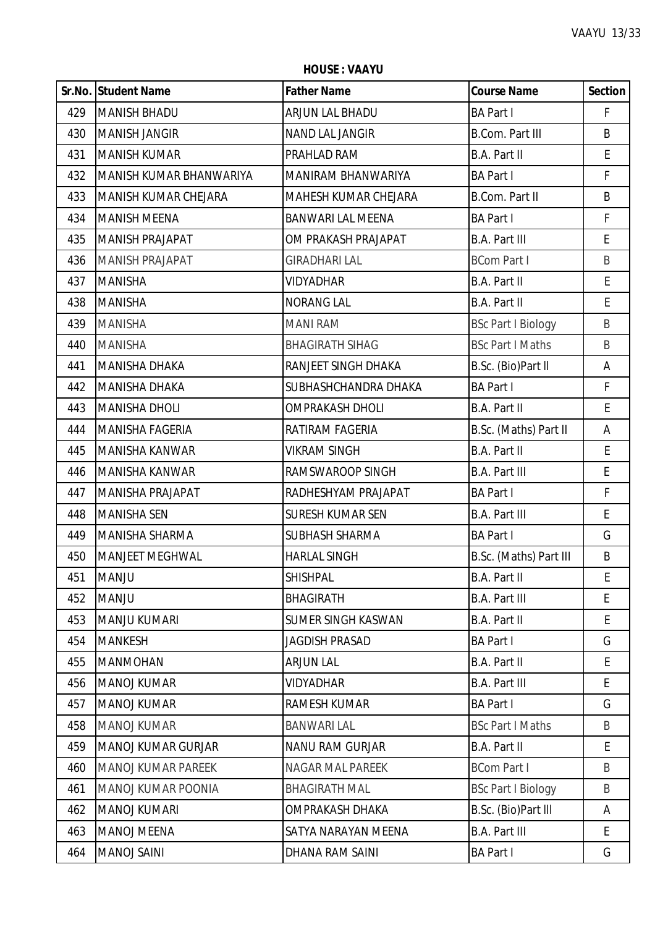**HOUSE : VAAYU**

|     | Sr.No. Student Name         | <b>Father Name</b>        | <b>Course Name</b>        | <b>Section</b>     |
|-----|-----------------------------|---------------------------|---------------------------|--------------------|
| 429 | <b>MANISH BHADU</b>         | ARJUN LAL BHADU           | <b>BA Part I</b>          | $\mathsf{F}$       |
| 430 | <b>MANISH JANGIR</b>        | NAND LAL JANGIR           | <b>B.Com. Part III</b>    | B                  |
| 431 | <b>MANISH KUMAR</b>         | PRAHLAD RAM               | <b>B.A. Part II</b>       | E                  |
| 432 | MANISH KUMAR BHANWARIYA     | MANIRAM BHANWARIYA        | <b>BA Part I</b>          | $\mathsf F$        |
| 433 | <b>MANISH KUMAR CHEJARA</b> | MAHESH KUMAR CHEJARA      | B.Com. Part II            | $\sf B$            |
| 434 | <b>MANISH MEENA</b>         | <b>BANWARI LAL MEENA</b>  | <b>BA Part I</b>          | $\mathsf{F}$       |
| 435 | <b>MANISH PRAJAPAT</b>      | OM PRAKASH PRAJAPAT       | <b>B.A. Part III</b>      | E                  |
| 436 | <b>MANISH PRAJAPAT</b>      | <b>GIRADHARI LAL</b>      | <b>BCom Part I</b>        | $\sf B$            |
| 437 | <b>MANISHA</b>              | <b>VIDYADHAR</b>          | <b>B.A. Part II</b>       | $\mathsf E$        |
| 438 | <b>MANISHA</b>              | <b>NORANG LAL</b>         | <b>B.A. Part II</b>       | E                  |
| 439 | <b>MANISHA</b>              | <b>MANI RAM</b>           | <b>BSc Part I Biology</b> | $\sf B$            |
| 440 | <b>MANISHA</b>              | <b>BHAGIRATH SIHAG</b>    | <b>BSc Part I Maths</b>   | B                  |
| 441 | <b>MANISHA DHAKA</b>        | RANJEET SINGH DHAKA       | B.Sc. (Bio)Part II        | A                  |
| 442 | <b>MANISHA DHAKA</b>        | SUBHASHCHANDRA DHAKA      | <b>BA Part I</b>          | $\mathsf F$        |
| 443 | <b>MANISHA DHOLI</b>        | <b>OMPRAKASH DHOLI</b>    | <b>B.A. Part II</b>       | $\mathsf{E}% _{0}$ |
| 444 | <b>MANISHA FAGERIA</b>      | RATIRAM FAGERIA           | B.Sc. (Maths) Part II     | A                  |
| 445 | <b>MANISHA KANWAR</b>       | <b>VIKRAM SINGH</b>       | B.A. Part II              | E                  |
| 446 | <b>MANISHA KANWAR</b>       | RAMSWAROOP SINGH          | <b>B.A. Part III</b>      | E                  |
| 447 | <b>MANISHA PRAJAPAT</b>     | RADHESHYAM PRAJAPAT       | <b>BA Part I</b>          | $\mathsf F$        |
| 448 | <b>MANISHA SEN</b>          | <b>SURESH KUMAR SEN</b>   | <b>B.A. Part III</b>      | $\mathsf{E}% _{0}$ |
| 449 | MANISHA SHARMA              | SUBHASH SHARMA            | <b>BA Part I</b>          | G                  |
| 450 | <b>MANJEET MEGHWAL</b>      | <b>HARLAL SINGH</b>       | B.Sc. (Maths) Part III    | B                  |
| 451 | <b>MANJU</b>                | <b>SHISHPAL</b>           | <b>B.A. Part II</b>       | E                  |
| 452 | <b>MANJU</b>                | <b>BHAGIRATH</b>          | <b>B.A. Part III</b>      | E                  |
| 453 | <b>MANJU KUMARI</b>         | <b>SUMER SINGH KASWAN</b> | <b>B.A. Part II</b>       | E                  |
| 454 | <b>MANKESH</b>              | <b>JAGDISH PRASAD</b>     | <b>BA Part I</b>          | G                  |
| 455 | <b>MANMOHAN</b>             | <b>ARJUN LAL</b>          | <b>B.A. Part II</b>       | E.                 |
| 456 | <b>MANOJ KUMAR</b>          | <b>VIDYADHAR</b>          | <b>B.A. Part III</b>      | E                  |
| 457 | <b>MANOJ KUMAR</b>          | <b>RAMESH KUMAR</b>       | <b>BA Part I</b>          | G                  |
| 458 | <b>MANOJ KUMAR</b>          | <b>BANWARI LAL</b>        | <b>BSc Part I Maths</b>   | B                  |
| 459 | <b>MANOJ KUMAR GURJAR</b>   | <b>NANU RAM GURJAR</b>    | B.A. Part II              | E                  |
| 460 | <b>MANOJ KUMAR PAREEK</b>   | NAGAR MAL PAREEK          | <b>BCom Part I</b>        | B                  |
| 461 | MANOJ KUMAR POONIA          | <b>BHAGIRATH MAL</b>      | <b>BSc Part I Biology</b> | B                  |
| 462 | <b>MANOJ KUMARI</b>         | OMPRAKASH DHAKA           | B.Sc. (Bio)Part III       | A                  |
| 463 | <b>MANOJ MEENA</b>          | SATYA NARAYAN MEENA       | <b>B.A. Part III</b>      | E                  |
| 464 | <b>MANOJ SAINI</b>          | DHANA RAM SAINI           | <b>BA Part I</b>          | G                  |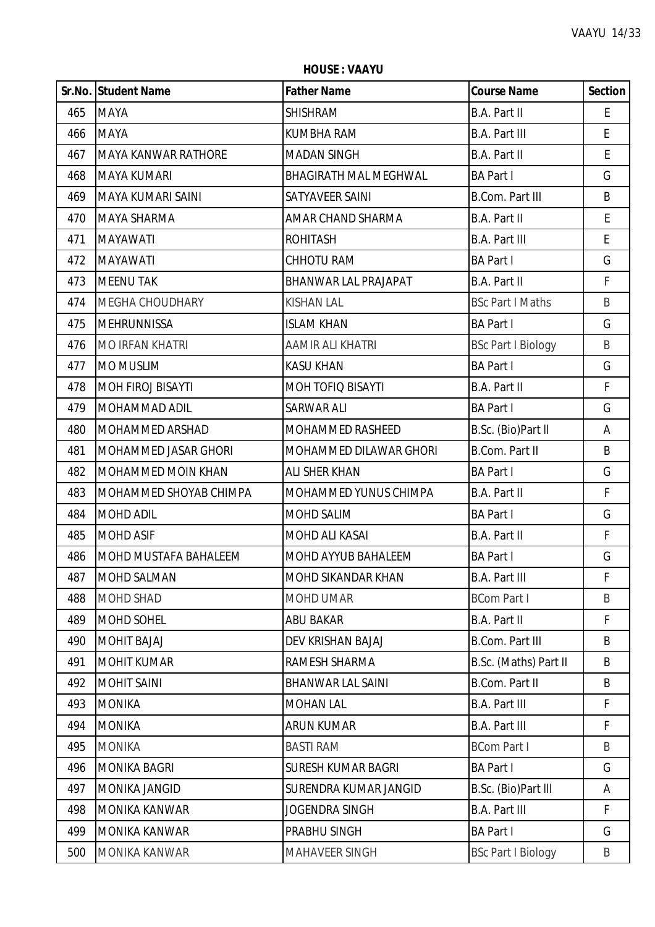**HOUSE : VAAYU**

|     | Sr.No. Student Name        | <b>Father Name</b>           | <b>Course Name</b>        | <b>Section</b>     |
|-----|----------------------------|------------------------------|---------------------------|--------------------|
| 465 | <b>MAYA</b>                | <b>SHISHRAM</b>              | B.A. Part II              | E                  |
| 466 | <b>MAYA</b>                | <b>KUMBHA RAM</b>            | <b>B.A. Part III</b>      | $\mathsf{E}% _{0}$ |
| 467 | <b>MAYA KANWAR RATHORE</b> | <b>MADAN SINGH</b>           | B.A. Part II              | E                  |
| 468 | <b>MAYA KUMARI</b>         | <b>BHAGIRATH MAL MEGHWAL</b> | <b>BA Part I</b>          | G                  |
| 469 | MAYA KUMARI SAINI          | SATYAVEER SAINI              | <b>B.Com. Part III</b>    | B                  |
| 470 | <b>MAYA SHARMA</b>         | AMAR CHAND SHARMA            | B.A. Part II              | $\mathsf E$        |
| 471 | <b>MAYAWATI</b>            | <b>ROHITASH</b>              | <b>B.A. Part III</b>      | $\mathsf{E}% _{0}$ |
| 472 | <b>MAYAWATI</b>            | <b>CHHOTU RAM</b>            | <b>BA Part I</b>          | G                  |
| 473 | <b>MEENU TAK</b>           | BHANWAR LAL PRAJAPAT         | B.A. Part II              | F                  |
| 474 | <b>MEGHA CHOUDHARY</b>     | <b>KISHAN LAL</b>            | <b>BSc Part I Maths</b>   | $\sf B$            |
| 475 | <b>MEHRUNNISSA</b>         | <b>ISLAM KHAN</b>            | <b>BA Part I</b>          | G                  |
| 476 | <b>MO IRFAN KHATRI</b>     | AAMIR ALI KHATRI             | <b>BSc Part I Biology</b> | $\sf B$            |
| 477 | <b>MO MUSLIM</b>           | <b>KASU KHAN</b>             | <b>BA Part I</b>          | G                  |
| 478 | <b>MOH FIROJ BISAYTI</b>   | MOH TOFIQ BISAYTI            | B.A. Part II              | $\mathsf F$        |
| 479 | <b>MOHAMMAD ADIL</b>       | <b>SARWAR ALI</b>            | <b>BA Part I</b>          | G                  |
| 480 | <b>MOHAMMED ARSHAD</b>     | MOHAMMED RASHEED             | B.Sc. (Bio)Part II        | A                  |
| 481 | MOHAMMED JASAR GHORI       | MOHAMMED DILAWAR GHORI       | <b>B.Com. Part II</b>     | B                  |
| 482 | <b>MOHAMMED MOIN KHAN</b>  | <b>ALI SHER KHAN</b>         | <b>BA Part I</b>          | G                  |
| 483 | MOHAMMED SHOYAB CHIMPA     | MOHAMMED YUNUS CHIMPA        | B.A. Part II              | F                  |
| 484 | <b>MOHD ADIL</b>           | MOHD SALIM                   | <b>BA Part I</b>          | G                  |
| 485 | <b>MOHD ASIF</b>           | MOHD ALI KASAI               | B.A. Part II              | $\mathsf F$        |
| 486 | MOHD MUSTAFA BAHALEEM      | <b>MOHD AYYUB BAHALEEM</b>   | <b>BA Part I</b>          | G                  |
| 487 | <b>MOHD SALMAN</b>         | MOHD SIKANDAR KHAN           | <b>B.A. Part III</b>      | Ł                  |
| 488 | <b>MOHD SHAD</b>           | MOHD UMAR                    | <b>BCom Part I</b>        | B                  |
| 489 | <b>MOHD SOHEL</b>          | <b>ABU BAKAR</b>             | B.A. Part II              | $\mathsf{F}$       |
| 490 | <b>MOHIT BAJAJ</b>         | DEV KRISHAN BAJAJ            | <b>B.Com. Part III</b>    | B                  |
| 491 | <b>MOHIT KUMAR</b>         | RAMESH SHARMA                | B.Sc. (Maths) Part II     | B                  |
| 492 | <b>MOHIT SAINI</b>         | <b>BHANWAR LAL SAINI</b>     | <b>B.Com. Part II</b>     | B                  |
| 493 | <b>MONIKA</b>              | <b>MOHAN LAL</b>             | <b>B.A. Part III</b>      | F                  |
| 494 | <b>MONIKA</b>              | <b>ARUN KUMAR</b>            | <b>B.A. Part III</b>      | F.                 |
| 495 | <b>MONIKA</b>              | <b>BASTI RAM</b>             | <b>BCom Part I</b>        | B                  |
| 496 | <b>MONIKA BAGRI</b>        | <b>SURESH KUMAR BAGRI</b>    | <b>BA Part I</b>          | G                  |
| 497 | <b>MONIKA JANGID</b>       | SURENDRA KUMAR JANGID        | B.Sc. (Bio)Part III       | A                  |
| 498 | <b>MONIKA KANWAR</b>       | JOGENDRA SINGH               | <b>B.A. Part III</b>      | F                  |
| 499 | <b>MONIKA KANWAR</b>       | PRABHU SINGH                 | <b>BA Part I</b>          | G                  |
| 500 | MONIKA KANWAR              | <b>MAHAVEER SINGH</b>        | <b>BSc Part I Biology</b> | B                  |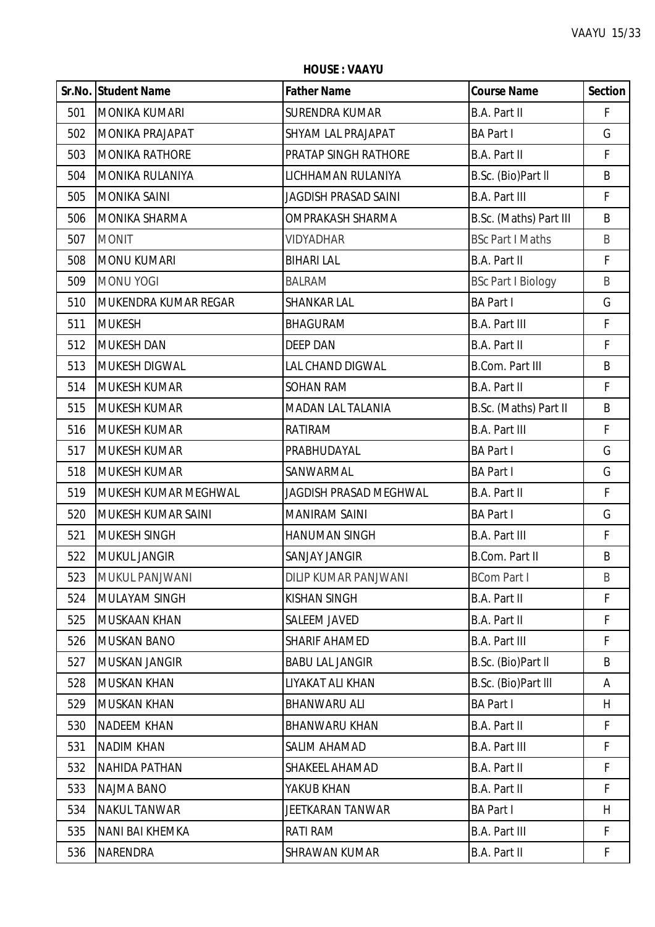**Sr.No. Student Name Father Name Course Name Section** MONIKA KUMARI SURENDRA KUMAR B.A. Part II F 502 | MONIKA PRAJAPAT | SHYAM LAL PRAJAPAT | BA Part I G MONIKA RATHORE PRATAP SINGH RATHORE B.A. Part II F 504 | MONIKA RULANIYA | LICHHAMAN RULANIYA | B.Sc. (Bio)Part II B MONIKA SAINI JAGDISH PRASAD SAINI B.A. Part III F 506 | MONIKA SHARMA | OMPRAKASH SHARMA |B.Sc. (Maths) Part III B MONIT VIDYADHAR BSc Part I Maths B MONU KUMARI BIHARI LAL B.A. Part II F 509 MONU YOGI BALRAM BALRAM BSc Part I Biology B MUKENDRA KUMAR REGAR SHANKAR LAL BA Part I G 511 |MUKESH |BHAGURAM |B.A. Part III F MUKESH DAN DEEP DAN B.A. Part II F 513 | MUKESH DIGWAL | LAL CHAND DIGWAL | B.Com. Part III | B MUKESH KUMAR SOHAN RAM B.A. Part II F 515 MUKESH KUMAR MADAN LAL TALANIA RISESE (Maths) Part II B MUKESH KUMAR RATIRAM B.A. Part III F MUKESH KUMAR PRABHUDAYAL BA Part I G 518 | MUKESH KUMAR | SANWARMAL | BA Part I | G MUKESH KUMAR MEGHWAL JAGDISH PRASAD MEGHWAL B.A. Part II F MUKESH KUMAR SAINI MANIRAM SAINI BA Part I G MUKESH SINGH HANUMAN SINGH B.A. Part III F MUKUL JANGIR SANJAY JANGIR B.Com. Part II B MUKUL PANJWANI DILIP KUMAR PANJWANI BCom Part I B MULAYAM SINGH KISHAN SINGH B.A. Part II F 525 MUSKAAN KHAN SALEEM JAVED B.A. Part II F MUSKAN BANO SHARIF AHAMED B.A. Part III F MUSKAN JANGIR BABU LAL JANGIR B.Sc. (Bio)Part ll B 528 MUSKAN KHAN LIYAKAT ALI KHAN B.Sc. (Bio)Part III | A MUSKAN KHAN BHANWARU ALI BA Part I H NADEEM KHAN BHANWARU KHAN B.A. Part II F NADIM KHAN SALIM AHAMAD B.A. Part III F NAHIDA PATHAN SHAKEEL AHAMAD B.A. Part II F NAJMA BANO YAKUB KHAN B.A. Part II F NAKUL TANWAR JEETKARAN TANWAR BA Part I H 535 NANI BAI KHEMKA RATI RAM B.A. Part III FRAM B.A. Part III FRAM B.A. Part III F

NARENDRA SHRAWAN KUMAR B.A. Part II F

**HOUSE : VAAYU**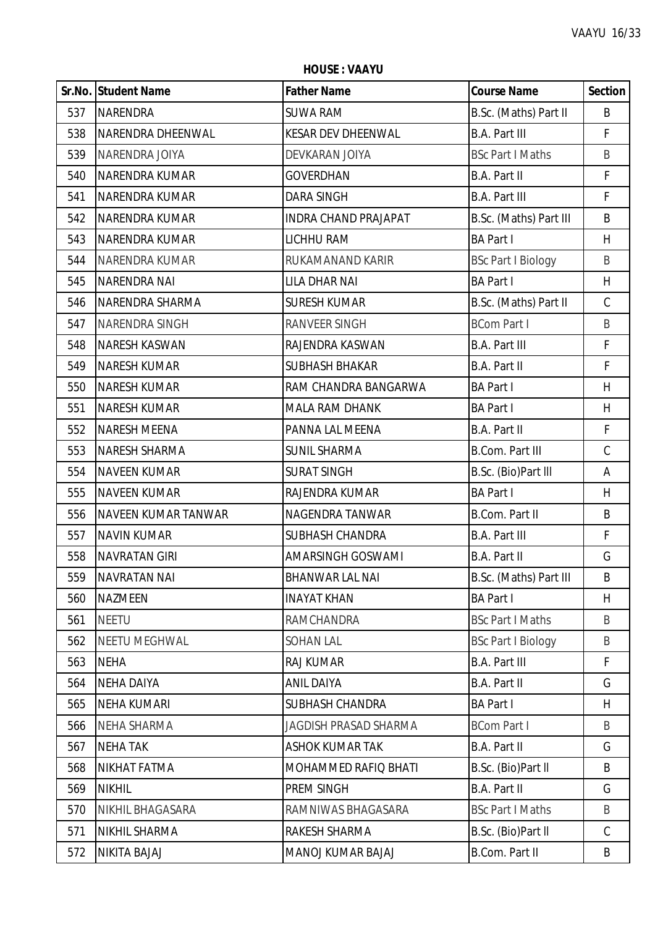**HOUSE : VAAYU**

|     | Sr.No. Student Name   | <b>Father Name</b>           | <b>Course Name</b>        | <b>Section</b> |
|-----|-----------------------|------------------------------|---------------------------|----------------|
| 537 | <b>NARENDRA</b>       | <b>SUWA RAM</b>              | B.Sc. (Maths) Part II     | B              |
| 538 | NARENDRA DHEENWAL     | <b>KESAR DEV DHEENWAL</b>    | <b>B.A. Part III</b>      | F.             |
| 539 | NARENDRA JOIYA        | DEVKARAN JOIYA               | <b>BSc Part I Maths</b>   | B              |
| 540 | NARENDRA KUMAR        | <b>GOVERDHAN</b>             | B.A. Part II              | $\mathsf F$    |
| 541 | <b>NARENDRA KUMAR</b> | DARA SINGH                   | B.A. Part III             | $\mathsf{F}$   |
| 542 | <b>NARENDRA KUMAR</b> | <b>INDRA CHAND PRAJAPAT</b>  | B.Sc. (Maths) Part III    | B              |
| 543 | <b>NARENDRA KUMAR</b> | LICHHU RAM                   | <b>BA Part I</b>          | H              |
| 544 | <b>NARENDRA KUMAR</b> | RUKAMANAND KARIR             | <b>BSc Part I Biology</b> | B              |
| 545 | <b>NARENDRA NAI</b>   | LILA DHAR NAI                | <b>BA Part I</b>          | H              |
| 546 | NARENDRA SHARMA       | <b>SURESH KUMAR</b>          | B.Sc. (Maths) Part II     | $\mathsf C$    |
| 547 | NARENDRA SINGH        | RANVEER SINGH                | <b>BCom Part I</b>        | B              |
| 548 | <b>NARESH KASWAN</b>  | RAJENDRA KASWAN              | <b>B.A. Part III</b>      | $\mathsf F$    |
| 549 | <b>NARESH KUMAR</b>   | <b>SUBHASH BHAKAR</b>        | B.A. Part II              | $\mathsf F$    |
| 550 | <b>NARESH KUMAR</b>   | RAM CHANDRA BANGARWA         | <b>BA Part I</b>          | H              |
| 551 | <b>NARESH KUMAR</b>   | <b>MALA RAM DHANK</b>        | <b>BA Part I</b>          | H              |
| 552 | <b>NARESH MEENA</b>   | PANNA LAL MEENA              | B.A. Part II              | F              |
| 553 | <b>NARESH SHARMA</b>  | <b>SUNIL SHARMA</b>          | <b>B.Com. Part III</b>    | $\mathsf C$    |
| 554 | <b>NAVEEN KUMAR</b>   | <b>SURAT SINGH</b>           | B.Sc. (Bio)Part III       | Α              |
| 555 | <b>NAVEEN KUMAR</b>   | RAJENDRA KUMAR               | <b>BA Part I</b>          | H              |
| 556 | NAVEEN KUMAR TANWAR   | NAGENDRA TANWAR              | <b>B.Com. Part II</b>     | B              |
| 557 | <b>NAVIN KUMAR</b>    | <b>SUBHASH CHANDRA</b>       | <b>B.A. Part III</b>      | $\mathsf F$    |
| 558 | <b>NAVRATAN GIRI</b>  | AMARSINGH GOSWAMI            | B.A. Part II              | G              |
| 559 | <b>NAVRATAN NAI</b>   | <b>BHANWAR LAL NAI</b>       | B.Sc. (Maths) Part III    | B              |
| 560 | <b>NAZMEEN</b>        | <b>INAYAT KHAN</b>           | <b>BA Part I</b>          | H              |
| 561 | <b>NEETU</b>          | <b>RAMCHANDRA</b>            | <b>BSc Part I Maths</b>   | B              |
| 562 | <b>NEETU MEGHWAL</b>  | <b>SOHAN LAL</b>             | <b>BSc Part I Biology</b> | B              |
| 563 | <b>NEHA</b>           | RAJ KUMAR                    | <b>B.A. Part III</b>      | F              |
| 564 | <b>NEHA DAIYA</b>     | <b>ANIL DAIYA</b>            | B.A. Part II              | G              |
| 565 | <b>NEHA KUMARI</b>    | <b>SUBHASH CHANDRA</b>       | <b>BA Part I</b>          | H              |
| 566 | <b>NEHA SHARMA</b>    | <b>JAGDISH PRASAD SHARMA</b> | <b>BCom Part I</b>        | B              |
| 567 | <b>NEHA TAK</b>       | <b>ASHOK KUMAR TAK</b>       | <b>B.A. Part II</b>       | G              |
| 568 | <b>NIKHAT FATMA</b>   | MOHAMMED RAFIQ BHATI         | B.Sc. (Bio)Part II        | B              |
| 569 | <b>NIKHIL</b>         | PREM SINGH                   | <b>B.A. Part II</b>       | G              |
| 570 | NIKHIL BHAGASARA      | RAMNIWAS BHAGASARA           | <b>BSc Part I Maths</b>   | B              |
| 571 | <b>NIKHIL SHARMA</b>  | RAKESH SHARMA                | B.Sc. (Bio)Part II        | $\mathsf{C}$   |
| 572 | NIKITA BAJAJ          | MANOJ KUMAR BAJAJ            | B.Com. Part II            | B              |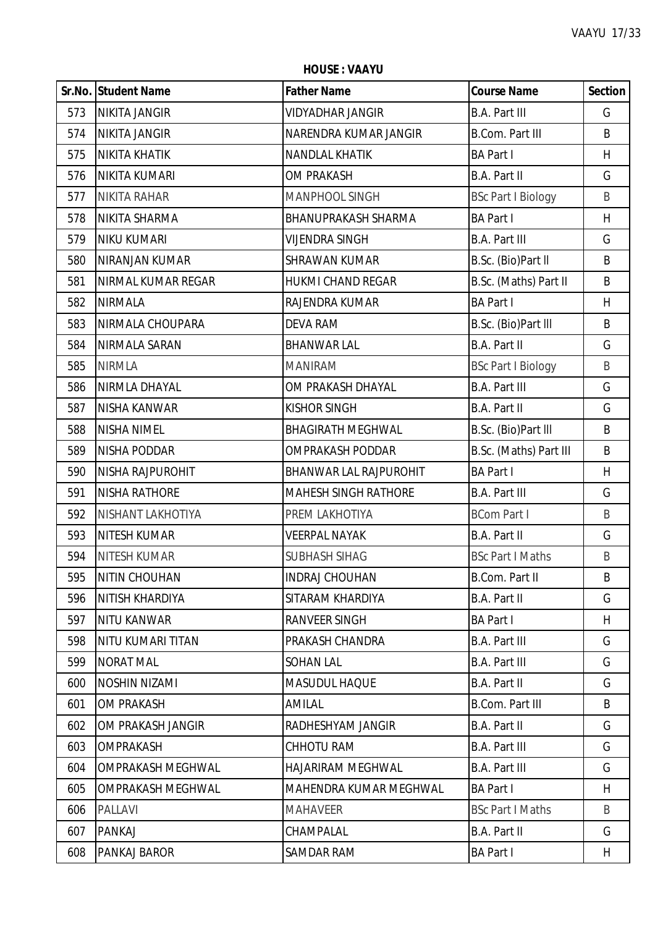**HOUSE : VAAYU**

|     | Sr.No. Student Name      | <b>Father Name</b>          | <b>Course Name</b>        | <b>Section</b> |
|-----|--------------------------|-----------------------------|---------------------------|----------------|
| 573 | <b>NIKITA JANGIR</b>     | <b>VIDYADHAR JANGIR</b>     | <b>B.A. Part III</b>      | G              |
| 574 | <b>NIKITA JANGIR</b>     | NARENDRA KUMAR JANGIR       | <b>B.Com. Part III</b>    | B              |
| 575 | <b>NIKITA KHATIK</b>     | <b>NANDLAL KHATIK</b>       | <b>BA Part I</b>          | H              |
| 576 | NIKITA KUMARI            | <b>OM PRAKASH</b>           | <b>B.A. Part II</b>       | G              |
| 577 | <b>NIKITA RAHAR</b>      | MANPHOOL SINGH              | <b>BSc Part I Biology</b> | B              |
| 578 | NIKITA SHARMA            | <b>BHANUPRAKASH SHARMA</b>  | <b>BA Part I</b>          | H              |
| 579 | <b>NIKU KUMARI</b>       | <b>VIJENDRA SINGH</b>       | <b>B.A. Part III</b>      | G              |
| 580 | NIRANJAN KUMAR           | <b>SHRAWAN KUMAR</b>        | B.Sc. (Bio)Part II        | B              |
| 581 | NIRMAL KUMAR REGAR       | <b>HUKMI CHAND REGAR</b>    | B.Sc. (Maths) Part II     | B              |
| 582 | <b>NIRMALA</b>           | RAJENDRA KUMAR              | <b>BA Part I</b>          | H              |
| 583 | NIRMALA CHOUPARA         | <b>DEVA RAM</b>             | B.Sc. (Bio)Part III       | B              |
| 584 | NIRMALA SARAN            | <b>BHANWAR LAL</b>          | <b>B.A. Part II</b>       | G              |
| 585 | <b>NIRMLA</b>            | <b>MANIRAM</b>              | <b>BSc Part I Biology</b> | B              |
| 586 | NIRMLA DHAYAL            | OM PRAKASH DHAYAL           | <b>B.A. Part III</b>      | G              |
| 587 | <b>NISHA KANWAR</b>      | <b>KISHOR SINGH</b>         | <b>B.A. Part II</b>       | G              |
| 588 | NISHA NIMEL              | <b>BHAGIRATH MEGHWAL</b>    | B.Sc. (Bio)Part III       | B              |
| 589 | <b>NISHA PODDAR</b>      | OMPRAKASH PODDAR            | B.Sc. (Maths) Part III    | B              |
| 590 | NISHA RAJPUROHIT         | BHANWAR LAL RAJPUROHIT      | <b>BA Part I</b>          | H              |
| 591 | <b>NISHA RATHORE</b>     | <b>MAHESH SINGH RATHORE</b> | <b>B.A. Part III</b>      | G              |
| 592 | NISHANT LAKHOTIYA        | PREM LAKHOTIYA              | <b>BCom Part I</b>        | B              |
| 593 | <b>NITESH KUMAR</b>      | <b>VEERPAL NAYAK</b>        | B.A. Part II              | G              |
| 594 | <b>NITESH KUMAR</b>      | <b>SUBHASH SIHAG</b>        | <b>BSc Part I Maths</b>   | B              |
| 595 | NITIN CHOUHAN            | <b>INDRAJ CHOUHAN</b>       | <b>B.Com. Part II</b>     | B              |
| 596 | <b>NITISH KHARDIYA</b>   | SITARAM KHARDIYA            | B.A. Part II              | G              |
| 597 | <b>NITU KANWAR</b>       | RANVEER SINGH               | <b>BA Part I</b>          | H              |
| 598 | <b>NITU KUMARI TITAN</b> | PRAKASH CHANDRA             | <b>B.A. Part III</b>      | G              |
| 599 | <b>NORAT MAL</b>         | <b>SOHAN LAL</b>            | <b>B.A. Part III</b>      | G              |
| 600 | <b>NOSHIN NIZAMI</b>     | <b>MASUDUL HAQUE</b>        | B.A. Part II              | G              |
| 601 | <b>OM PRAKASH</b>        | AMILAL                      | <b>B.Com. Part III</b>    | B              |
| 602 | OM PRAKASH JANGIR        | RADHESHYAM JANGIR           | <b>B.A. Part II</b>       | G              |
| 603 | <b>OMPRAKASH</b>         | <b>CHHOTU RAM</b>           | <b>B.A. Part III</b>      | G              |
| 604 | <b>OMPRAKASH MEGHWAL</b> | <b>HAJARIRAM MEGHWAL</b>    | <b>B.A. Part III</b>      | G              |
| 605 | OMPRAKASH MEGHWAL        | MAHENDRA KUMAR MEGHWAL      | <b>BA Part I</b>          | H              |
| 606 | <b>PALLAVI</b>           | <b>MAHAVEER</b>             | <b>BSc Part I Maths</b>   | B              |
| 607 | PANKAJ                   | CHAMPALAL                   | B.A. Part II              | G              |
| 608 | PANKAJ BAROR             | SAMDAR RAM                  | <b>BA Part I</b>          | H              |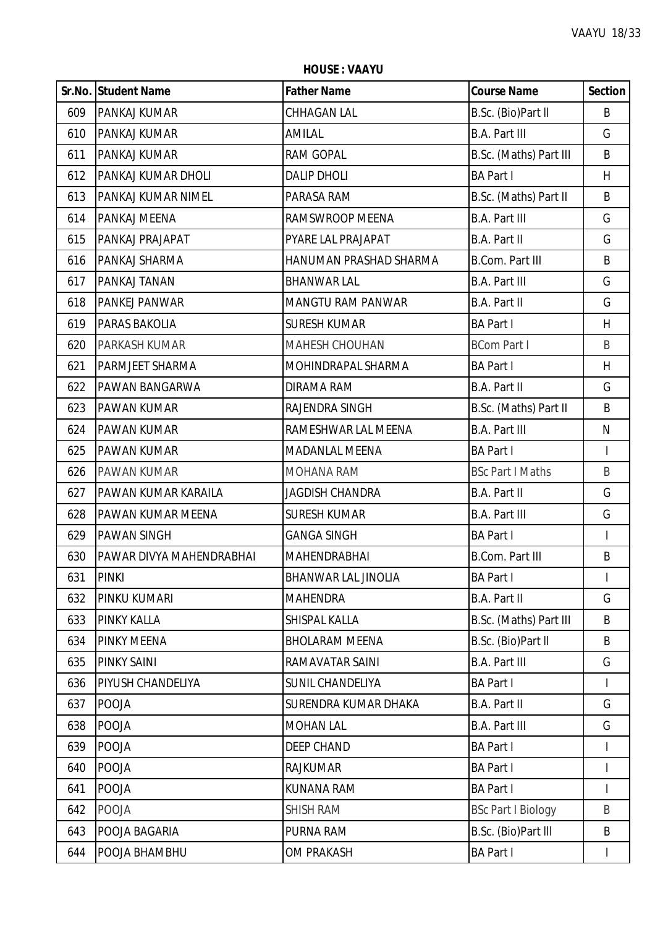**HOUSE : VAAYU**

|     | Sr.No. Student Name      | <b>Father Name</b>         | <b>Course Name</b>        | <b>Section</b> |
|-----|--------------------------|----------------------------|---------------------------|----------------|
| 609 | <b>PANKAJ KUMAR</b>      | <b>CHHAGAN LAL</b>         | B.Sc. (Bio)Part II        | B              |
| 610 | PANKAJ KUMAR             | AMILAL                     | <b>B.A. Part III</b>      | G              |
| 611 | PANKAJ KUMAR             | RAM GOPAL                  | B.Sc. (Maths) Part III    | B              |
| 612 | PANKAJ KUMAR DHOLI       | <b>DALIP DHOLI</b>         | <b>BA Part I</b>          | H              |
| 613 | PANKAJ KUMAR NIMEL       | PARASA RAM                 | B.Sc. (Maths) Part II     | B              |
| 614 | PANKAJ MEENA             | RAMSWROOP MEENA            | <b>B.A. Part III</b>      | G              |
| 615 | PANKAJ PRAJAPAT          | PYARE LAL PRAJAPAT         | <b>B.A. Part II</b>       | G              |
| 616 | PANKAJ SHARMA            | HANUMAN PRASHAD SHARMA     | <b>B.Com. Part III</b>    | B              |
| 617 | PANKAJ TANAN             | <b>BHANWAR LAL</b>         | <b>B.A. Part III</b>      | G              |
| 618 | <b>PANKEJ PANWAR</b>     | <b>MANGTU RAM PANWAR</b>   | B.A. Part II              | G              |
| 619 | <b>PARAS BAKOLIA</b>     | <b>SURESH KUMAR</b>        | <b>BA Part I</b>          | H              |
| 620 | PARKASH KUMAR            | <b>MAHESH CHOUHAN</b>      | <b>BCom Part I</b>        | B              |
| 621 | PARMJEET SHARMA          | MOHINDRAPAL SHARMA         | <b>BA Part I</b>          | H              |
| 622 | PAWAN BANGARWA           | <b>DIRAMA RAM</b>          | <b>B.A. Part II</b>       | G              |
| 623 | <b>PAWAN KUMAR</b>       | RAJENDRA SINGH             | B.Sc. (Maths) Part II     | B              |
| 624 | <b>PAWAN KUMAR</b>       | RAMESHWAR LAL MEENA        | <b>B.A. Part III</b>      | N              |
| 625 | <b>PAWAN KUMAR</b>       | <b>MADANLAL MEENA</b>      | <b>BA Part I</b>          | $\overline{1}$ |
| 626 | <b>PAWAN KUMAR</b>       | MOHANA RAM                 | <b>BSc Part I Maths</b>   | B              |
| 627 | PAWAN KUMAR KARAILA      | <b>JAGDISH CHANDRA</b>     | <b>B.A. Part II</b>       | G              |
| 628 | PAWAN KUMAR MEENA        | <b>SURESH KUMAR</b>        | <b>B.A. Part III</b>      | G              |
| 629 | <b>PAWAN SINGH</b>       | <b>GANGA SINGH</b>         | <b>BA Part I</b>          | T              |
| 630 | PAWAR DIVYA MAHENDRABHAI | <b>MAHENDRABHAI</b>        | <b>B.Com. Part III</b>    | $\sf B$        |
| 631 | PINKI                    | <b>BHANWAR LAL JINOLIA</b> | <b>BA Part I</b>          |                |
| 632 | PINKU KUMARI             | <b>MAHENDRA</b>            | B.A. Part II              | G              |
| 633 | <b>PINKY KALLA</b>       | SHISPAL KALLA              | B.Sc. (Maths) Part III    | B              |
| 634 | <b>PINKY MEENA</b>       | <b>BHOLARAM MEENA</b>      | B.Sc. (Bio)Part II        | B              |
| 635 | <b>PINKY SAINI</b>       | RAMAVATAR SAINI            | <b>B.A. Part III</b>      | G              |
| 636 | PIYUSH CHANDELIYA        | SUNIL CHANDELIYA           | <b>BA Part I</b>          |                |
| 637 | <b>POOJA</b>             | SURENDRA KUMAR DHAKA       | B.A. Part II              | G              |
| 638 | <b>POOJA</b>             | <b>MOHAN LAL</b>           | <b>B.A. Part III</b>      | G              |
| 639 | POOJA                    | <b>DEEP CHAND</b>          | <b>BA Part I</b>          | $\mathsf{I}$   |
| 640 | <b>POOJA</b>             | <b>RAJKUMAR</b>            | <b>BA Part I</b>          |                |
| 641 | <b>POOJA</b>             | KUNANA RAM                 | <b>BA Part I</b>          |                |
| 642 | <b>POOJA</b>             | <b>SHISH RAM</b>           | <b>BSc Part I Biology</b> | B              |
| 643 | POOJA BAGARIA            | PURNA RAM                  | B.Sc. (Bio)Part III       | B              |
| 644 | POOJA BHAMBHU            | <b>OM PRAKASH</b>          | <b>BA Part I</b>          | T              |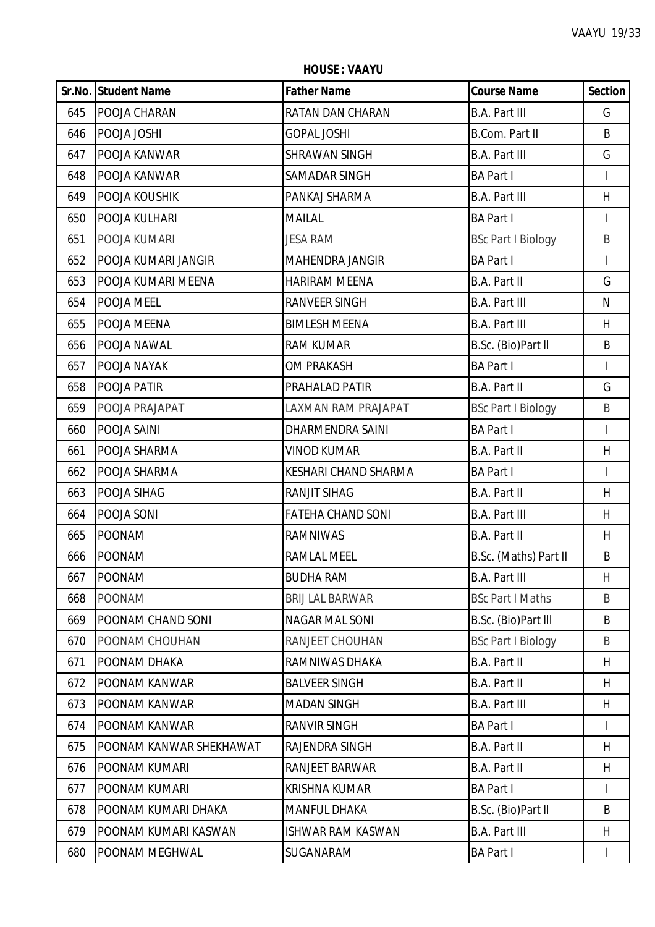**HOUSE : VAAYU**

|     | <b>Sr.No. Student Name</b> | <b>Father Name</b>       | <b>Course Name</b>        | <b>Section</b>           |
|-----|----------------------------|--------------------------|---------------------------|--------------------------|
| 645 | POOJA CHARAN               | RATAN DAN CHARAN         | <b>B.A. Part III</b>      | G                        |
| 646 | POOJA JOSHI                | <b>GOPAL JOSHI</b>       | B.Com. Part II            | B                        |
| 647 | POOJA KANWAR               | <b>SHRAWAN SINGH</b>     | <b>B.A. Part III</b>      | G                        |
| 648 | POOJA KANWAR               | SAMADAR SINGH            | <b>BA Part I</b>          | $\overline{\phantom{a}}$ |
| 649 | POOJA KOUSHIK              | PANKAJ SHARMA            | <b>B.A. Part III</b>      | H                        |
| 650 | POOJA KULHARI              | <b>MAILAL</b>            | <b>BA Part I</b>          | $\overline{1}$           |
| 651 | POOJA KUMARI               | <b>JESA RAM</b>          | <b>BSc Part I Biology</b> | B                        |
| 652 | POOJA KUMARI JANGIR        | <b>MAHENDRA JANGIR</b>   | <b>BA Part I</b>          | I                        |
| 653 | POOJA KUMARI MEENA         | <b>HARIRAM MEENA</b>     | B.A. Part II              | G                        |
| 654 | POOJA MEEL                 | <b>RANVEER SINGH</b>     | <b>B.A. Part III</b>      | N                        |
| 655 | POOJA MEENA                | <b>BIMLESH MEENA</b>     | <b>B.A. Part III</b>      | H                        |
| 656 | POOJA NAWAL                | <b>RAM KUMAR</b>         | B.Sc. (Bio)Part II        | B                        |
| 657 | POOJA NAYAK                | <b>OM PRAKASH</b>        | <b>BA Part I</b>          | $\overline{1}$           |
| 658 | POOJA PATIR                | PRAHALAD PATIR           | B.A. Part II              | G                        |
| 659 | POOJA PRAJAPAT             | LAXMAN RAM PRAJAPAT      | <b>BSc Part I Biology</b> | B                        |
| 660 | POOJA SAINI                | DHARMENDRA SAINI         | <b>BA Part I</b>          | $\overline{1}$           |
| 661 | POOJA SHARMA               | <b>VINOD KUMAR</b>       | B.A. Part II              | H                        |
| 662 | POOJA SHARMA               | KESHARI CHAND SHARMA     | <b>BA Part I</b>          | $\overline{1}$           |
| 663 | POOJA SIHAG                | <b>RANJIT SIHAG</b>      | B.A. Part II              | H                        |
| 664 | POOJA SONI                 | <b>FATEHA CHAND SONI</b> | <b>B.A. Part III</b>      | H                        |
| 665 | <b>POONAM</b>              | <b>RAMNIWAS</b>          | B.A. Part II              | H                        |
| 666 | <b>POONAM</b>              | <b>RAMLAL MEEL</b>       | B.Sc. (Maths) Part II     | B                        |
| 667 | <b>POONAM</b>              | <b>BUDHA RAM</b>         | <b>B.A. Part III</b>      | H                        |
| 668 | <b>POONAM</b>              | <b>BRIJ LAL BARWAR</b>   | <b>BSc Part I Maths</b>   | B                        |
| 669 | POONAM CHAND SONI          | <b>NAGAR MAL SONI</b>    | B.Sc. (Bio)Part III       | B                        |
| 670 | POONAM CHOUHAN             | RANJEET CHOUHAN          | <b>BSc Part I Biology</b> | B                        |
| 671 | POONAM DHAKA               | RAMNIWAS DHAKA           | B.A. Part II              | H                        |
| 672 | POONAM KANWAR              | <b>BALVEER SINGH</b>     | <b>B.A. Part II</b>       | H                        |
| 673 | POONAM KANWAR              | <b>MADAN SINGH</b>       | <b>B.A. Part III</b>      | H.                       |
| 674 | POONAM KANWAR              | RANVIR SINGH             | <b>BA Part I</b>          | $\mathsf{I}$             |
| 675 | POONAM KANWAR SHEKHAWAT    | RAJENDRA SINGH           | B.A. Part II              | H                        |
| 676 | POONAM KUMARI              | RANJEET BARWAR           | B.A. Part II              | H                        |
| 677 | POONAM KUMARI              | <b>KRISHNA KUMAR</b>     | <b>BA Part I</b>          | T                        |
| 678 | POONAM KUMARI DHAKA        | <b>MANFUL DHAKA</b>      | B.Sc. (Bio)Part II        | B                        |
| 679 | POONAM KUMARI KASWAN       | <b>ISHWAR RAM KASWAN</b> | <b>B.A. Part III</b>      | H                        |
| 680 | POONAM MEGHWAL             | SUGANARAM                | <b>BA Part I</b>          | I                        |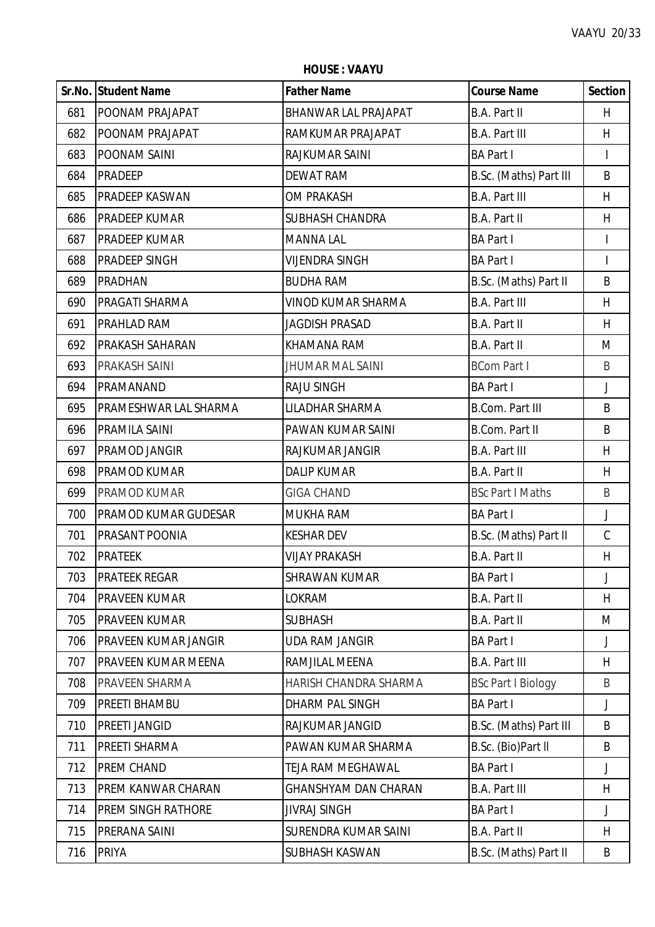|     | Sr.No. Student Name         | <b>Father Name</b>          | <b>Course Name</b>        | <b>Section</b> |
|-----|-----------------------------|-----------------------------|---------------------------|----------------|
| 681 | POONAM PRAJAPAT             | <b>BHANWAR LAL PRAJAPAT</b> | <b>B.A. Part II</b>       | H              |
| 682 | POONAM PRAJAPAT             | RAMKUMAR PRAJAPAT           | <b>B.A. Part III</b>      | H.             |
| 683 | POONAM SAINI                | RAJKUMAR SAINI              | <b>BA Part I</b>          | $\overline{1}$ |
| 684 | <b>PRADEEP</b>              | <b>DEWAT RAM</b>            | B.Sc. (Maths) Part III    | B              |
| 685 | PRADEEP KASWAN              | OM PRAKASH                  | <b>B.A. Part III</b>      | H.             |
| 686 | PRADEEP KUMAR               | <b>SUBHASH CHANDRA</b>      | <b>B.A. Part II</b>       | H              |
| 687 | <b>PRADEEP KUMAR</b>        | <b>MANNA LAL</b>            | <b>BA Part I</b>          |                |
| 688 | <b>PRADEEP SINGH</b>        | <b>VIJENDRA SINGH</b>       | <b>BA Part I</b>          | $\overline{1}$ |
| 689 | <b>PRADHAN</b>              | <b>BUDHA RAM</b>            | B.Sc. (Maths) Part II     | B              |
| 690 | PRAGATI SHARMA              | <b>VINOD KUMAR SHARMA</b>   | <b>B.A. Part III</b>      | H.             |
| 691 | PRAHLAD RAM                 | <b>JAGDISH PRASAD</b>       | <b>B.A. Part II</b>       | H              |
| 692 | <b>PRAKASH SAHARAN</b>      | <b>KHAMANA RAM</b>          | B.A. Part II              | M              |
| 693 | PRAKASH SAINI               | <b>JHUMAR MAL SAINI</b>     | <b>BCom Part I</b>        | B              |
| 694 | PRAMANAND                   | <b>RAJU SINGH</b>           | <b>BA Part I</b>          | $\mathsf{J}$   |
| 695 | PRAMESHWAR LAL SHARMA       | LILADHAR SHARMA             | <b>B.Com. Part III</b>    | B              |
| 696 | PRAMILA SAINI               | PAWAN KUMAR SAINI           | <b>B.Com. Part II</b>     | B              |
| 697 | PRAMOD JANGIR               | RAJKUMAR JANGIR             | <b>B.A. Part III</b>      | H              |
| 698 | PRAMOD KUMAR                | <b>DALIP KUMAR</b>          | B.A. Part II              | H              |
| 699 | PRAMOD KUMAR                | <b>GIGA CHAND</b>           | <b>BSc Part I Maths</b>   | B              |
| 700 | PRAMOD KUMAR GUDESAR        | <b>MUKHA RAM</b>            | <b>BA Part I</b>          | J              |
| 701 | PRASANT POONIA              | <b>KESHAR DEV</b>           | B.Sc. (Maths) Part II     | $\mathcal{C}$  |
| 702 | <b>PRATEEK</b>              | <b>VIJAY PRAKASH</b>        | B.A. Part II              | H              |
| 703 | <b>PRATEEK REGAR</b>        | SHRAWAN KUMAR               | <b>BA Part I</b>          | J              |
| 704 | <b>PRAVEEN KUMAR</b>        | LOKRAM                      | B.A. Part II              | H              |
| 705 | <b>PRAVEEN KUMAR</b>        | <b>SUBHASH</b>              | B.A. Part II              | M              |
| 706 | <b>PRAVEEN KUMAR JANGIR</b> | <b>UDA RAM JANGIR</b>       | <b>BA Part I</b>          | J              |
| 707 | PRAVEEN KUMAR MEENA         | RAMJILAL MEENA              | <b>B.A. Part III</b>      | H              |
| 708 | PRAVEEN SHARMA              | HARISH CHANDRA SHARMA       | <b>BSc Part I Biology</b> | B              |
| 709 | PREETI BHAMBU               | DHARM PAL SINGH             | <b>BA Part I</b>          | J              |
| 710 | <b>PREETI JANGID</b>        | RAJKUMAR JANGID             | B.Sc. (Maths) Part III    | B              |
| 711 | PREETI SHARMA               | PAWAN KUMAR SHARMA          | B.Sc. (Bio)Part II        | B              |
| 712 | PREM CHAND                  | TEJA RAM MEGHAWAL           | <b>BA Part I</b>          | J              |
| 713 | <b>PREM KANWAR CHARAN</b>   | <b>GHANSHYAM DAN CHARAN</b> | <b>B.A. Part III</b>      | H.             |
| 714 | <b>PREM SINGH RATHORE</b>   | <b>JIVRAJ SINGH</b>         | <b>BA Part I</b>          | J              |
| 715 | PRERANA SAINI               | SURENDRA KUMAR SAINI        | <b>B.A. Part II</b>       | H              |
| 716 | <b>PRIYA</b>                | SUBHASH KASWAN              | B.Sc. (Maths) Part II     | B              |

**HOUSE : VAAYU**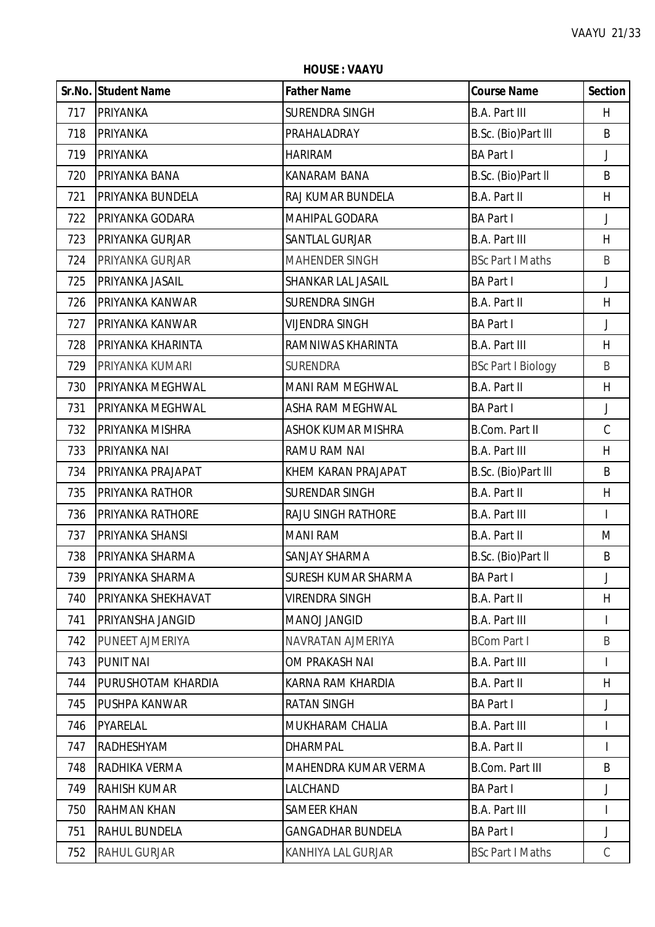**HOUSE : VAAYU**

|     | Sr.No. Student Name       | <b>Father Name</b>         | <b>Course Name</b>        | <b>Section</b> |
|-----|---------------------------|----------------------------|---------------------------|----------------|
| 717 | PRIYANKA                  | SURENDRA SINGH             | <b>B.A. Part III</b>      | H.             |
| 718 | PRIYANKA                  | PRAHALADRAY                | B.Sc. (Bio)Part III       | B              |
| 719 | PRIYANKA                  | <b>HARIRAM</b>             | <b>BA Part I</b>          | J              |
| 720 | PRIYANKA BANA             | <b>KANARAM BANA</b>        | B.Sc. (Bio)Part II        | B              |
| 721 | PRIYANKA BUNDELA          | RAJ KUMAR BUNDELA          | <b>B.A. Part II</b>       | H              |
| 722 | PRIYANKA GODARA           | MAHIPAL GODARA             | <b>BA Part I</b>          | J              |
| 723 | PRIYANKA GURJAR           | <b>SANTLAL GURJAR</b>      | <b>B.A. Part III</b>      | H              |
| 724 | PRIYANKA GURJAR           | <b>MAHENDER SINGH</b>      | <b>BSc Part I Maths</b>   | B              |
| 725 | PRIYANKA JASAIL           | SHANKAR LAL JASAIL         | <b>BA Part I</b>          | J              |
| 726 | PRIYANKA KANWAR           | <b>SURENDRA SINGH</b>      | B.A. Part II              | H              |
| 727 | PRIYANKA KANWAR           | <b>VIJENDRA SINGH</b>      | <b>BA Part I</b>          | J              |
| 728 | PRIYANKA KHARINTA         | RAMNIWAS KHARINTA          | <b>B.A. Part III</b>      | H              |
| 729 | PRIYANKA KUMARI           | <b>SURENDRA</b>            | <b>BSc Part I Biology</b> | B              |
| 730 | PRIYANKA MEGHWAL          | MANI RAM MEGHWAL           | B.A. Part II              | H              |
| 731 | PRIYANKA MEGHWAL          | <b>ASHA RAM MEGHWAL</b>    | <b>BA Part I</b>          | $\mathsf J$    |
| 732 | PRIYANKA MISHRA           | <b>ASHOK KUMAR MISHRA</b>  | B.Com. Part II            | $\mathsf C$    |
| 733 | PRIYANKA NAI              | RAMU RAM NAI               | <b>B.A. Part III</b>      | H              |
| 734 | PRIYANKA PRAJAPAT         | KHEM KARAN PRAJAPAT        | B.Sc. (Bio)Part III       | B              |
| 735 | PRIYANKA RATHOR           | <b>SURENDAR SINGH</b>      | B.A. Part II              | H              |
| 736 | PRIYANKA RATHORE          | <b>RAJU SINGH RATHORE</b>  | <b>B.A. Part III</b>      | $\overline{1}$ |
| 737 | PRIYANKA SHANSI           | <b>MANI RAM</b>            | B.A. Part II              | M              |
| 738 | PRIYANKA SHARMA           | SANJAY SHARMA              | B.Sc. (Bio)Part II        | B              |
| 739 | <b>PRIYANKA SHARMA</b>    | <b>SURESH KUMAR SHARMA</b> | <b>BA Part I</b>          | J              |
| 740 | PRIYANKA SHEKHAVAT        | <b>VIRENDRA SINGH</b>      | B.A. Part II              | H              |
| 741 | PRIYANSHA JANGID          | <b>MANOJ JANGID</b>        | <b>B.A. Part III</b>      |                |
| 742 | PUNEET AJMERIYA           | NAVRATAN AJMERIYA          | <b>BCom Part I</b>        | B              |
| 743 | <b>PUNIT NAI</b>          | OM PRAKASH NAI             | <b>B.A. Part III</b>      |                |
| 744 | <b>PURUSHOTAM KHARDIA</b> | KARNA RAM KHARDIA          | B.A. Part II              | H              |
| 745 | <b>PUSHPA KANWAR</b>      | <b>RATAN SINGH</b>         | <b>BA Part I</b>          | J              |
| 746 | PYARELAL                  | MUKHARAM CHALIA            | <b>B.A. Part III</b>      | L              |
| 747 | RADHESHYAM                | <b>DHARMPAL</b>            | B.A. Part II              | $\mathsf{I}$   |
| 748 | RADHIKA VERMA             | MAHENDRA KUMAR VERMA       | <b>B.Com. Part III</b>    | B              |
| 749 | <b>RAHISH KUMAR</b>       | LALCHAND                   | <b>BA Part I</b>          | J              |
| 750 | <b>RAHMAN KHAN</b>        | <b>SAMEER KHAN</b>         | <b>B.A. Part III</b>      | T              |
| 751 | <b>RAHUL BUNDELA</b>      | <b>GANGADHAR BUNDELA</b>   | <b>BA Part I</b>          | J              |
| 752 | <b>RAHUL GURJAR</b>       | KANHIYA LAL GURJAR         | <b>BSc Part I Maths</b>   | C              |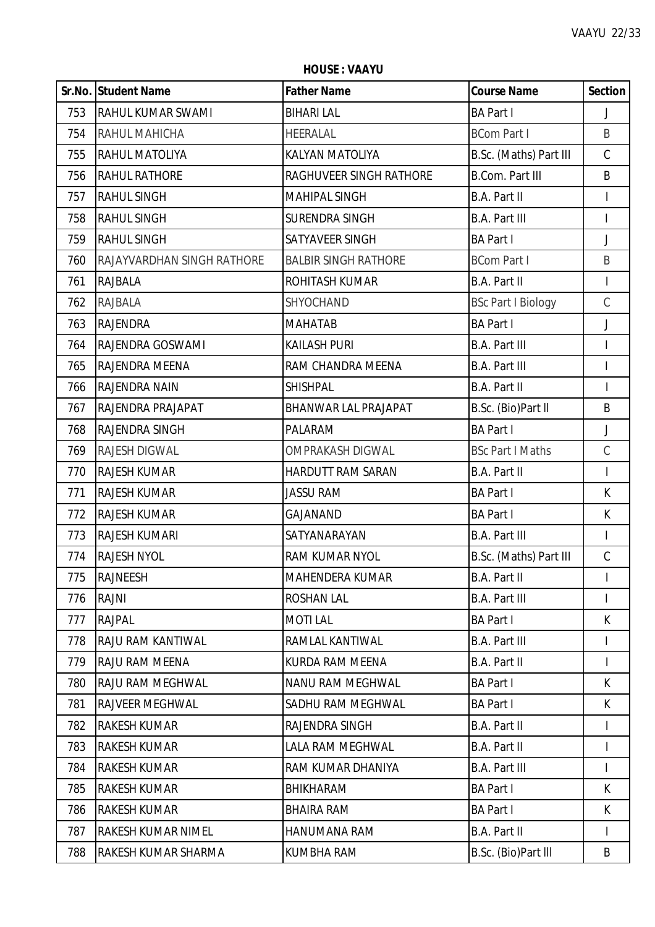**Sr.No. Student Name Father Name Course Name Section** RAHUL KUMAR SWAMI BIHARI LAL BA Part I J RAHUL MAHICHA HEERALAL BCom Part I B RAHUL MATOLIYA KALYAN MATOLIYA B.Sc. (Maths) Part III C 756 RAHUL RATHORE RAGHUVEER SINGH RATHORE B.Com. Part III B RAHUL SINGH MAHIPAL SINGH B.A. Part II I RAHUL SINGH SURENDRA SINGH B.A. Part III I RAHUL SINGH SATYAVEER SINGH BA Part I J RAJAYVARDHAN SINGH RATHORE BALBIR SINGH RATHORE BCom Part I B RAJBALA ROHITASH KUMAR B.A. Part II I 762 RAJBALA SHYOCHAND BSc Part I Biology C RAJENDRA MAHATAB BA Part I J RAJENDRA GOSWAMI KAILASH PURI B.A. Part III I 765 RAJENDRA MEENA RAM CHANDRA MEENA RAM B.A. Part III I RAJENDRA NAIN SHISHPAL B.A. Part II I RAJENDRA PRAJAPAT BHANWAR LAL PRAJAPAT B.Sc. (Bio)Part ll B RAJENDRA SINGH PALARAM BA Part I J RAJESH DIGWAL OMPRAKASH DIGWAL BSc Part I Maths C RAJESH KUMAR HARDUTT RAM SARAN B.A. Part II I RAJESH KUMAR JASSU RAM BA Part I K RAJESH KUMAR GAJANAND BA Part I K RAJESH KUMARI SATYANARAYAN B.A. Part III I RAJESH NYOL RAM KUMAR NYOL B.Sc. (Maths) Part III C RAJNEESH MAHENDERA KUMAR B.A. Part II I RAJNI ROSHAN LAL B.A. Part III I RAJPAL MOTI LAL BA Part I K 778 |RAJU RAM KANTIWAL |RAMLAL KANTIWAL | | | | 779 RAJU RAM MEENA KURDA RAM MEENA B.A. PART II I RAJU RAM MEGHWAL NANU RAM MEGHWAL BA Part I K 781 RAJVEER MEGHWAL SADHU RAM MEGHWAL BA Part I K RAKESH KUMAR RAJENDRA SINGH B.A. Part II I 783 RAKESH KUMAR LALA RAM MEGHWAL B.A. Part II I RAKESH KUMAR RAM KUMAR DHANIYA B.A. Part III I RAKESH KUMAR BHIKHARAM BA Part I K RAKESH KUMAR BHAIRA RAM BA Part I K RAKESH KUMAR NIMEL HANUMANA RAM B.A. Part II I RAKESH KUMAR SHARMA KUMBHA RAM B.Sc. (Bio)Part lll B

**HOUSE : VAAYU**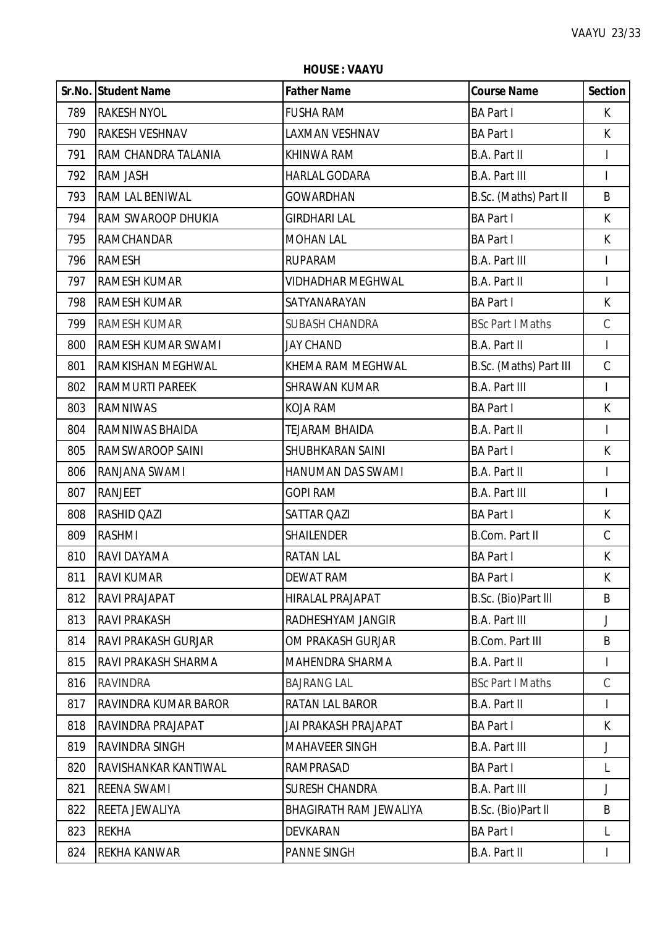**HOUSE : VAAYU**

|     | Sr.No. Student Name        | <b>Father Name</b>            | <b>Course Name</b>      | <b>Section</b>           |
|-----|----------------------------|-------------------------------|-------------------------|--------------------------|
| 789 | <b>RAKESH NYOL</b>         | <b>FUSHA RAM</b>              | <b>BA Part I</b>        | K                        |
| 790 | <b>RAKESH VESHNAV</b>      | LAXMAN VESHNAV                | <b>BA Part I</b>        | K                        |
| 791 | RAM CHANDRA TALANIA        | <b>KHINWA RAM</b>             | B.A. Part II            | I                        |
| 792 | <b>RAM JASH</b>            | <b>HARLAL GODARA</b>          | <b>B.A. Part III</b>    | $\overline{1}$           |
| 793 | <b>RAM LAL BENIWAL</b>     | <b>GOWARDHAN</b>              | B.Sc. (Maths) Part II   | B                        |
| 794 | RAM SWAROOP DHUKIA         | <b>GIRDHARI LAL</b>           | <b>BA Part I</b>        | K                        |
| 795 | <b>RAMCHANDAR</b>          | <b>MOHAN LAL</b>              | <b>BA Part I</b>        | K                        |
| 796 | <b>RAMESH</b>              | <b>RUPARAM</b>                | <b>B.A. Part III</b>    | I                        |
| 797 | <b>RAMESH KUMAR</b>        | VIDHADHAR MEGHWAL             | <b>B.A. Part II</b>     | $\overline{\phantom{a}}$ |
| 798 | <b>RAMESH KUMAR</b>        | SATYANARAYAN                  | <b>BA Part I</b>        | $\mathsf K$              |
| 799 | RAMESH KUMAR               | <b>SUBASH CHANDRA</b>         | <b>BSc Part I Maths</b> | $\mathsf C$              |
| 800 | RAMESH KUMAR SWAMI         | <b>JAY CHAND</b>              | B.A. Part II            | $\mathsf{I}$             |
| 801 | <b>RAMKISHAN MEGHWAL</b>   | KHEMA RAM MEGHWAL             | B.Sc. (Maths) Part III  | $\mathsf C$              |
| 802 | <b>RAMMURTI PAREEK</b>     | <b>SHRAWAN KUMAR</b>          | <b>B.A. Part III</b>    | $\mathsf{I}$             |
| 803 | <b>RAMNIWAS</b>            | <b>KOJA RAM</b>               | <b>BA Part I</b>        | $\mathsf K$              |
| 804 | RAMNIWAS BHAIDA            | <b>TEJARAM BHAIDA</b>         | B.A. Part II            | $\mathsf{I}$             |
| 805 | <b>RAMSWAROOP SAINI</b>    | SHUBHKARAN SAINI              | <b>BA Part I</b>        | K                        |
| 806 | RANJANA SWAMI              | HANUMAN DAS SWAMI             | B.A. Part II            | I                        |
| 807 | <b>RANJEET</b>             | <b>GOPI RAM</b>               | <b>B.A. Part III</b>    | $\mathsf{I}$             |
| 808 | RASHID QAZI                | <b>SATTAR QAZI</b>            | <b>BA Part I</b>        | К                        |
| 809 | <b>RASHMI</b>              | <b>SHAILENDER</b>             | B.Com. Part II          | $\mathsf C$              |
| 810 | RAVI DAYAMA                | <b>RATAN LAL</b>              | <b>BA Part I</b>        | K                        |
| 811 | <b>RAVI KUMAR</b>          | <b>DEWAT RAM</b>              | <b>BA Part I</b>        | K                        |
| 812 | RAVI PRAJAPAT              | <b>HIRALAL PRAJAPAT</b>       | B.Sc. (Bio)Part III     | B                        |
| 813 | <b>RAVI PRAKASH</b>        | RADHESHYAM JANGIR             | <b>B.A. Part III</b>    | J                        |
| 814 | <b>RAVI PRAKASH GURJAR</b> | OM PRAKASH GURJAR             | <b>B.Com. Part III</b>  | B                        |
| 815 | RAVI PRAKASH SHARMA        | MAHENDRA SHARMA               | B.A. Part II            |                          |
| 816 | <b>RAVINDRA</b>            | <b>BAJRANG LAL</b>            | <b>BSc Part I Maths</b> | $\mathcal{C}$            |
| 817 | RAVINDRA KUMAR BAROR       | RATAN LAL BAROR               | B.A. Part II            | T                        |
| 818 | RAVINDRA PRAJAPAT          | JAI PRAKASH PRAJAPAT          | <b>BA Part I</b>        | K                        |
| 819 | <b>RAVINDRA SINGH</b>      | <b>MAHAVEER SINGH</b>         | <b>B.A. Part III</b>    | J                        |
| 820 | RAVISHANKAR KANTIWAL       | RAMPRASAD                     | <b>BA Part I</b>        | L                        |
| 821 | <b>REENA SWAMI</b>         | <b>SURESH CHANDRA</b>         | <b>B.A. Part III</b>    | J                        |
| 822 | REETA JEWALIYA             | <b>BHAGIRATH RAM JEWALIYA</b> | B.Sc. (Bio)Part II      | B                        |
| 823 | <b>REKHA</b>               | <b>DEVKARAN</b>               | <b>BA Part I</b>        | L                        |
| 824 | REKHA KANWAR               | <b>PANNE SINGH</b>            | B.A. Part II            | $\mathsf{I}$             |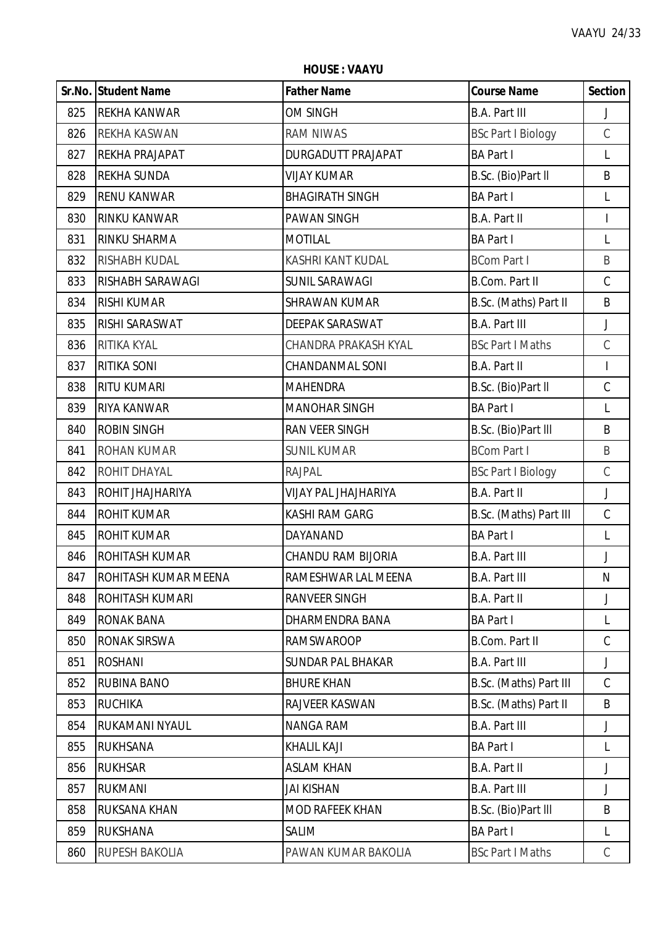**HOUSE : VAAYU**

|     | Sr.No. Student Name         | <b>Father Name</b>          | <b>Course Name</b>        | <b>Section</b> |
|-----|-----------------------------|-----------------------------|---------------------------|----------------|
| 825 | <b>REKHA KANWAR</b>         | OM SINGH                    | <b>B.A. Part III</b>      | J              |
| 826 | REKHA KASWAN                | <b>RAM NIWAS</b>            | <b>BSc Part I Biology</b> | $\mathsf C$    |
| 827 | REKHA PRAJAPAT              | <b>DURGADUTT PRAJAPAT</b>   | <b>BA Part I</b>          | L              |
| 828 | <b>REKHA SUNDA</b>          | <b>VIJAY KUMAR</b>          | B.Sc. (Bio)Part II        | B              |
| 829 | <b>RENU KANWAR</b>          | <b>BHAGIRATH SINGH</b>      | <b>BA Part I</b>          | L              |
| 830 | <b>RINKU KANWAR</b>         | <b>PAWAN SINGH</b>          | B.A. Part II              | $\mathsf{I}$   |
| 831 | RINKU SHARMA                | <b>MOTILAL</b>              | <b>BA Part I</b>          | L              |
| 832 | RISHABH KUDAL               | KASHRI KANT KUDAL           | <b>BCom Part I</b>        | B              |
| 833 | RISHABH SARAWAGI            | SUNIL SARAWAGI              | <b>B.Com. Part II</b>     | $\mathcal{C}$  |
| 834 | <b>RISHI KUMAR</b>          | <b>SHRAWAN KUMAR</b>        | B.Sc. (Maths) Part II     | B              |
| 835 | RISHI SARASWAT              | DEEPAK SARASWAT             | <b>B.A. Part III</b>      | J              |
| 836 | RITIKA KYAL                 | <b>CHANDRA PRAKASH KYAL</b> | <b>BSc Part I Maths</b>   | $\mathsf C$    |
| 837 | <b>RITIKA SONI</b>          | <b>CHANDANMAL SONI</b>      | B.A. Part II              | $\mathsf{I}$   |
| 838 | <b>RITU KUMARI</b>          | <b>MAHENDRA</b>             | B.Sc. (Bio)Part II        | $\mathsf C$    |
| 839 | <b>RIYA KANWAR</b>          | <b>MANOHAR SINGH</b>        | <b>BA Part I</b>          | L              |
| 840 | <b>ROBIN SINGH</b>          | RAN VEER SINGH              | B.Sc. (Bio)Part III       | B              |
| 841 | ROHAN KUMAR                 | <b>SUNIL KUMAR</b>          | <b>BCom Part I</b>        | B              |
| 842 | ROHIT DHAYAL                | <b>RAJPAL</b>               | <b>BSc Part I Biology</b> | $\mathsf C$    |
| 843 | ROHIT JHAJHARIYA            | <b>VIJAY PAL JHAJHARIYA</b> | <b>B.A. Part II</b>       | J              |
| 844 | <b>ROHIT KUMAR</b>          | <b>KASHI RAM GARG</b>       | B.Sc. (Maths) Part III    | $\mathsf C$    |
| 845 | <b>ROHIT KUMAR</b>          | DAYANAND                    | <b>BA Part I</b>          | L              |
| 846 | ROHITASH KUMAR              | CHANDU RAM BIJORIA          | <b>B.A. Part III</b>      | J              |
| 847 | <b>ROHITASH KUMAR MEENA</b> | RAMESHWAR LAL MEENA         | <b>B.A. Part III</b>      | N              |
| 848 | ROHITASH KUMARI             | <b>RANVEER SINGH</b>        | <b>B.A. Part II</b>       | J              |
| 849 | <b>RONAK BANA</b>           | DHARMENDRA BANA             | <b>BA Part I</b>          | L              |
| 850 | RONAK SIRSWA                | <b>RAMSWAROOP</b>           | <b>B.Com. Part II</b>     | $\mathsf C$    |
| 851 | <b>ROSHANI</b>              | <b>SUNDAR PAL BHAKAR</b>    | <b>B.A. Part III</b>      | J              |
| 852 | RUBINA BANO                 | <b>BHURE KHAN</b>           | B.Sc. (Maths) Part III    | $\mathcal{C}$  |
| 853 | <b>RUCHIKA</b>              | RAJVEER KASWAN              | B.Sc. (Maths) Part II     | B              |
| 854 | RUKAMANI NYAUL              | <b>NANGA RAM</b>            | <b>B.A. Part III</b>      | J              |
| 855 | <b>RUKHSANA</b>             | <b>KHALIL KAJI</b>          | <b>BA Part I</b>          | L              |
| 856 | <b>RUKHSAR</b>              | <b>ASLAM KHAN</b>           | <b>B.A. Part II</b>       | J              |
| 857 | <b>RUKMANI</b>              | <b>JAI KISHAN</b>           | <b>B.A. Part III</b>      | J              |
| 858 | RUKSANA KHAN                | <b>MOD RAFEEK KHAN</b>      | B.Sc. (Bio)Part III       | B              |
| 859 | <b>RUKSHANA</b>             | <b>SALIM</b>                | <b>BA Part I</b>          | L              |
| 860 | RUPESH BAKOLIA              | PAWAN KUMAR BAKOLIA         | <b>BSc Part I Maths</b>   | $\mathsf{C}$   |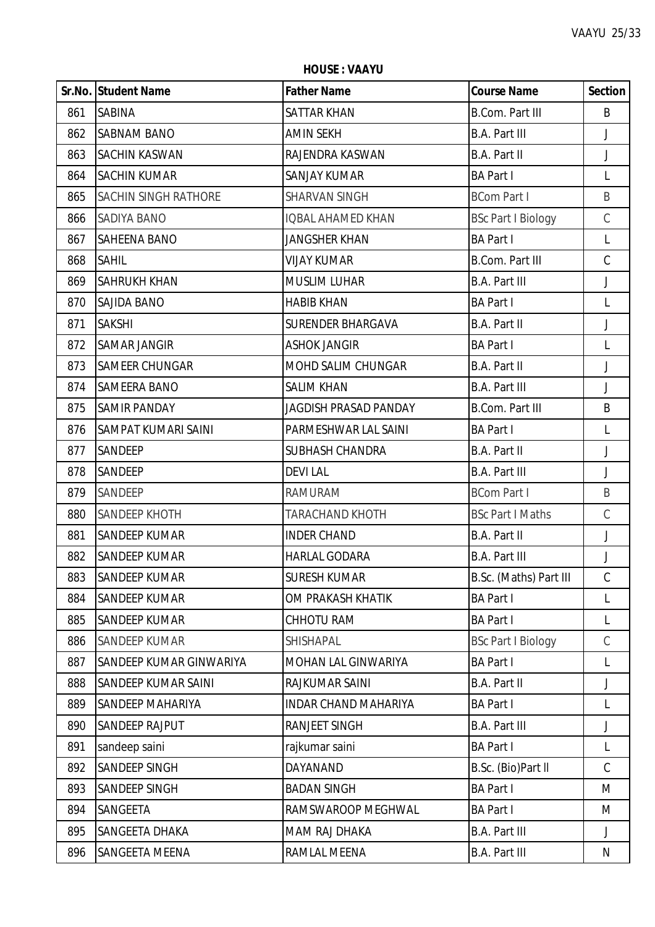**HOUSE : VAAYU**

|     | Sr.No. Student Name         | <b>Father Name</b>           | <b>Course Name</b>        | <b>Section</b> |
|-----|-----------------------------|------------------------------|---------------------------|----------------|
| 861 | <b>SABINA</b>               | <b>SATTAR KHAN</b>           | <b>B.Com. Part III</b>    | B              |
| 862 | <b>SABNAM BANO</b>          | <b>AMIN SEKH</b>             | B.A. Part III             | J              |
| 863 | SACHIN KASWAN               | RAJENDRA KASWAN              | B.A. Part II              | J              |
| 864 | <b>SACHIN KUMAR</b>         | <b>SANJAY KUMAR</b>          | <b>BA Part I</b>          | L              |
| 865 | <b>SACHIN SINGH RATHORE</b> | <b>SHARVAN SINGH</b>         | <b>BCom Part I</b>        | B              |
| 866 | <b>SADIYA BANO</b>          | <b>IQBAL AHAMED KHAN</b>     | <b>BSc Part I Biology</b> | $\mathsf C$    |
| 867 | <b>SAHEENA BANO</b>         | JANGSHER KHAN                | <b>BA Part I</b>          | $\mathsf{L}$   |
| 868 | <b>SAHIL</b>                | <b>VIJAY KUMAR</b>           | <b>B.Com. Part III</b>    | $\mathsf C$    |
| 869 | <b>SAHRUKH KHAN</b>         | <b>MUSLIM LUHAR</b>          | <b>B.A. Part III</b>      | J              |
| 870 | <b>SAJIDA BANO</b>          | <b>HABIB KHAN</b>            | <b>BA Part I</b>          | $\mathsf{L}$   |
| 871 | <b>SAKSHI</b>               | <b>SURENDER BHARGAVA</b>     | B.A. Part II              | J              |
| 872 | <b>SAMAR JANGIR</b>         | <b>ASHOK JANGIR</b>          | <b>BA Part I</b>          | L              |
| 873 | <b>SAMEER CHUNGAR</b>       | MOHD SALIM CHUNGAR           | B.A. Part II              | J              |
| 874 | <b>SAMEERA BANO</b>         | <b>SALIM KHAN</b>            | <b>B.A. Part III</b>      | J              |
| 875 | <b>SAMIR PANDAY</b>         | <b>JAGDISH PRASAD PANDAY</b> | <b>B.Com. Part III</b>    | B              |
| 876 | SAMPAT KUMARI SAINI         | PARMESHWAR LAL SAINI         | <b>BA Part I</b>          | L              |
| 877 | SANDEEP                     | <b>SUBHASH CHANDRA</b>       | B.A. Part II              | J              |
| 878 | SANDEEP                     | <b>DEVILAL</b>               | <b>B.A. Part III</b>      | J              |
| 879 | SANDEEP                     | RAMURAM                      | <b>BCom Part I</b>        | B              |
| 880 | SANDEEP KHOTH               | <b>TARACHAND KHOTH</b>       | <b>BSc Part I Maths</b>   | $\mathsf C$    |
| 881 | <b>SANDEEP KUMAR</b>        | <b>INDER CHAND</b>           | B.A. Part II              | J              |
| 882 | <b>SANDEEP KUMAR</b>        | <b>HARLAL GODARA</b>         | <b>B.A. Part III</b>      | J              |
| 883 | <b>SANDEEP KUMAR</b>        | <b>SURESH KUMAR</b>          | B.Sc. (Maths) Part III    | C              |
| 884 | <b>SANDEEP KUMAR</b>        | OM PRAKASH KHATIK            | <b>BA Part I</b>          | L              |
| 885 | <b>SANDEEP KUMAR</b>        | CHHOTU RAM                   | <b>BA Part I</b>          | $\mathsf{L}$   |
| 886 | <b>SANDEEP KUMAR</b>        | SHISHAPAL                    | <b>BSc Part I Biology</b> | $\mathsf C$    |
| 887 | SANDEEP KUMAR GINWARIYA     | MOHAN LAL GINWARIYA          | <b>BA Part I</b>          | L              |
| 888 | SANDEEP KUMAR SAINI         | RAJKUMAR SAINI               | <b>B.A. Part II</b>       | J              |
| 889 | <b>SANDEEP MAHARIYA</b>     | <b>INDAR CHAND MAHARIYA</b>  | <b>BA Part I</b>          | L              |
| 890 | <b>SANDEEP RAJPUT</b>       | RANJEET SINGH                | <b>B.A. Part III</b>      | J              |
| 891 | sandeep saini               | rajkumar saini               | <b>BA Part I</b>          | L              |
| 892 | SANDEEP SINGH               | DAYANAND                     | B.Sc. (Bio)Part II        | $\mathcal{C}$  |
| 893 | <b>SANDEEP SINGH</b>        | <b>BADAN SINGH</b>           | <b>BA Part I</b>          | M              |
| 894 | SANGEETA                    | RAMSWAROOP MEGHWAL           | <b>BA Part I</b>          | M              |
| 895 | SANGEETA DHAKA              | MAM RAJ DHAKA                | <b>B.A. Part III</b>      | J              |
| 896 | SANGEETA MEENA              | RAMLAL MEENA                 | <b>B.A. Part III</b>      | N              |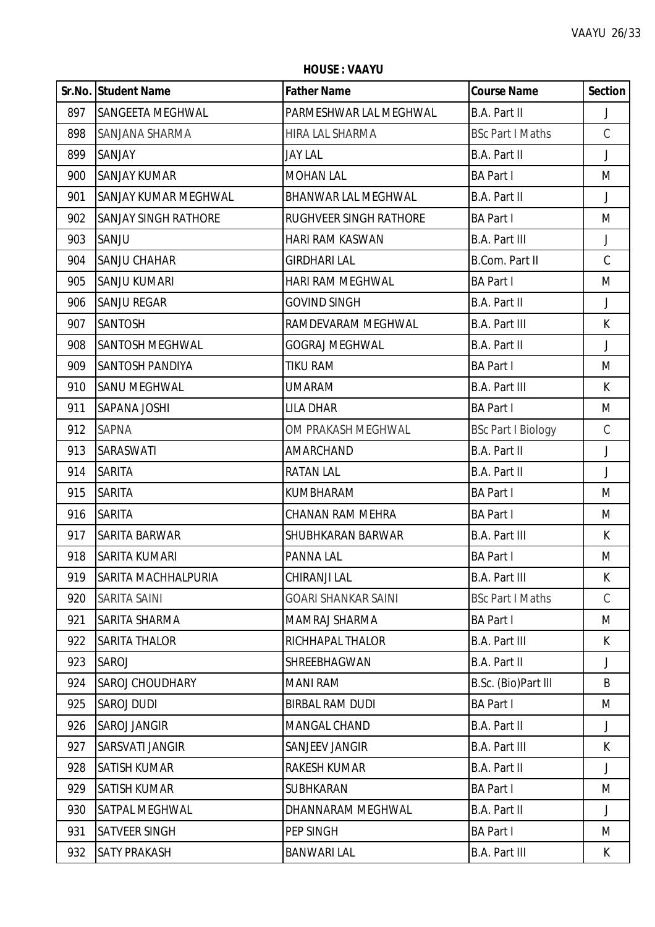**Sr.No. Student Name Father Name Course Name Section** SANGEETA MEGHWAL PARMESHWAR LAL MEGHWAL B.A. Part II J SANJANA SHARMA HIRA LAL SHARMA BSc Part I Maths C SANJAY JAY LAL B.A. Part II J 900 SANJAY KUMAR MARI MOHAN LAL BA Part I MINISTRATION DI MINISTRATORIA MENGINA DI MINISTRATORIA MENGINA DI M SANJAY KUMAR MEGHWAL BHANWAR LAL MEGHWAL B.A. Part II J 902 SANJAY SINGH RATHORE RUGHVEER SINGH RATHORE BA Part I SANJU HARI RAM KASWAN B.A. Part III J SANJU CHAHAR GIRDHARI LAL B.Com. Part II C SANJU KUMARI HARI RAM MEGHWAL BA Part I M SANJU REGAR GOVIND SINGH B.A. Part II J 907 ISANTOSH IRAMDEVARAM MEGHWAL B.A. Part III K 908 SANTOSH MEGHWAL GOGRAJ MEGHWAL B.A. Part II J SANTOSH PANDIYA TIKU RAM BA Part I M 910 SANU MEGHWAL **CONTRACTES IN THE UMARAM** B.A. Part III **K**  SAPANA JOSHI LILA DHAR BA Part I M 912 SAPNA COM PRAKASH MEGHWAL BSC Part I Biology C SARASWATI AMARCHAND B.A. Part II J SARITA RATAN LAL B.A. Part II J SARITA KUMBHARAM BA Part I M SARITA CHANAN RAM MEHRA BA Part I M SARITA BARWAR SHUBHKARAN BARWAR B.A. Part III K SARITA KUMARI PANNA LAL BA Part I M SARITA MACHHALPURIA CHIRANJI LAL B.A. Part III K SARITA SAINI GOARI SHANKAR SAINI BSc Part I Maths C 921 SARITA SHARMA MAMRAJ SHARMA MAMRAJ SHARMA NA BA Part I MAMRAJ SHARMA MAMRAJ SHARMA 922 SARITA THALOR RICHHAPAL THALOR B.A. Part III K SAROJ SHREEBHAGWAN B.A. Part II J 924 SAROJ CHOUDHARY MANI RAM B.Sc. (Bio)Part III B SAROJ DUDI BIRBAL RAM DUDI BA Part I M SAROJ JANGIR MANGAL CHAND B.A. Part II J 927 SARSVATI JANGIR SANJEEV JANGIR B.A. Part III K SATISH KUMAR RAKESH KUMAR B.A. Part II J SATISH KUMAR SUBHKARAN BA Part I M 930 SATPAL MEGHWAL **DHANNARAM MEGHWAL** B.A. Part II J PEP SINGH PEP SINGH BA Part I M SATY PRAKASH BANWARI LAL B.A. Part III K

**HOUSE : VAAYU**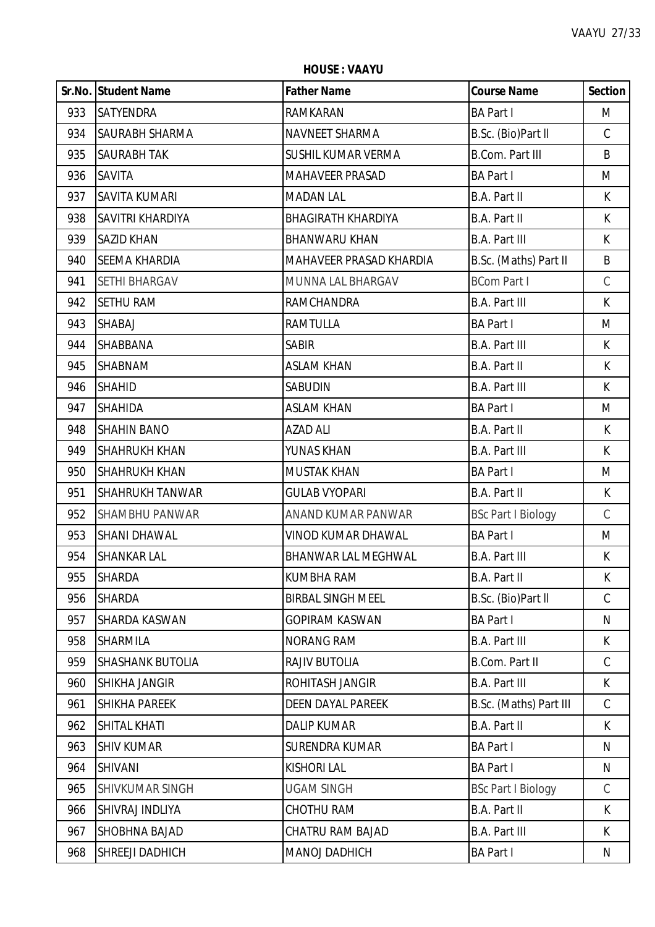**HOUSE : VAAYU**

|     | Sr.No. Student Name    | <b>Father Name</b>        | <b>Course Name</b>        | <b>Section</b> |
|-----|------------------------|---------------------------|---------------------------|----------------|
| 933 | <b>SATYENDRA</b>       | RAMKARAN                  | <b>BA Part I</b>          | M              |
| 934 | <b>SAURABH SHARMA</b>  | NAVNEET SHARMA            | B.Sc. (Bio)Part II        | $\mathsf{C}$   |
| 935 | <b>SAURABH TAK</b>     | SUSHIL KUMAR VERMA        | <b>B.Com. Part III</b>    | B              |
| 936 | <b>SAVITA</b>          | <b>MAHAVEER PRASAD</b>    | <b>BA Part I</b>          | M              |
| 937 | <b>SAVITA KUMARI</b>   | <b>MADAN LAL</b>          | <b>B.A. Part II</b>       | K              |
| 938 | SAVITRI KHARDIYA       | <b>BHAGIRATH KHARDIYA</b> | B.A. Part II              | $\mathsf K$    |
| 939 | <b>SAZID KHAN</b>      | <b>BHANWARU KHAN</b>      | <b>B.A. Part III</b>      | K.             |
| 940 | <b>SEEMA KHARDIA</b>   | MAHAVEER PRASAD KHARDIA   | B.Sc. (Maths) Part II     | B              |
| 941 | <b>SETHI BHARGAV</b>   | MUNNA LAL BHARGAV         | <b>BCom Part I</b>        | $\mathsf C$    |
| 942 | <b>SETHU RAM</b>       | <b>RAMCHANDRA</b>         | <b>B.A. Part III</b>      | $\mathsf{K}$   |
| 943 | SHABAJ                 | <b>RAMTULLA</b>           | <b>BA Part I</b>          | M              |
| 944 | <b>SHABBANA</b>        | <b>SABIR</b>              | <b>B.A. Part III</b>      | K              |
| 945 | <b>SHABNAM</b>         | <b>ASLAM KHAN</b>         | B.A. Part II              | K              |
| 946 | <b>SHAHID</b>          | <b>SABUDIN</b>            | <b>B.A. Part III</b>      | $\mathsf{K}$   |
| 947 | <b>SHAHIDA</b>         | <b>ASLAM KHAN</b>         | <b>BA Part I</b>          | M              |
| 948 | <b>SHAHIN BANO</b>     | <b>AZAD ALI</b>           | B.A. Part II              | K              |
| 949 | <b>SHAHRUKH KHAN</b>   | YUNAS KHAN                | <b>B.A. Part III</b>      | K              |
| 950 | <b>SHAHRUKH KHAN</b>   | <b>MUSTAK KHAN</b>        | <b>BA Part I</b>          | M              |
| 951 | <b>SHAHRUKH TANWAR</b> | <b>GULAB VYOPARI</b>      | <b>B.A. Part II</b>       | K              |
| 952 | <b>SHAMBHU PANWAR</b>  | ANAND KUMAR PANWAR        | <b>BSc Part I Biology</b> | $\mathsf C$    |
| 953 | <b>SHANI DHAWAL</b>    | <b>VINOD KUMAR DHAWAL</b> | <b>BA Part I</b>          | M              |
| 954 | <b>SHANKAR LAL</b>     | BHANWAR LAL MEGHWAL       | <b>B.A. Part III</b>      | K              |
| 955 | <b>SHARDA</b>          | <b>KUMBHA RAM</b>         | <b>B.A. Part II</b>       | K              |
| 956 | <b>SHARDA</b>          | <b>BIRBAL SINGH MEEL</b>  | B.Sc. (Bio)Part II        | $\mathsf C$    |
| 957 | <b>SHARDA KASWAN</b>   | <b>GOPIRAM KASWAN</b>     | <b>BA Part I</b>          | N              |
| 958 | <b>SHARMILA</b>        | <b>NORANG RAM</b>         | <b>B.A. Part III</b>      | K              |
| 959 | SHASHANK BUTOLIA       | RAJIV BUTOLIA             | B.Com. Part II            | $\mathcal{C}$  |
| 960 | <b>SHIKHA JANGIR</b>   | ROHITASH JANGIR           | <b>B.A. Part III</b>      | K.             |
| 961 | <b>SHIKHA PAREEK</b>   | <b>DEEN DAYAL PAREEK</b>  | B.Sc. (Maths) Part III    | $\mathsf C$    |
| 962 | <b>SHITAL KHATI</b>    | <b>DALIP KUMAR</b>        | B.A. Part II              | K              |
| 963 | <b>SHIV KUMAR</b>      | <b>SURENDRA KUMAR</b>     | <b>BA Part I</b>          | N              |
| 964 | <b>SHIVANI</b>         | <b>KISHORI LAL</b>        | <b>BA Part I</b>          | N              |
| 965 | SHIVKUMAR SINGH        | <b>UGAM SINGH</b>         | <b>BSc Part I Biology</b> | C              |
| 966 | SHIVRAJ INDLIYA        | <b>CHOTHU RAM</b>         | B.A. Part II              | K              |
| 967 | SHOBHNA BAJAD          | <b>CHATRU RAM BAJAD</b>   | <b>B.A. Part III</b>      | K              |
| 968 | SHREEJI DADHICH        | MANOJ DADHICH             | <b>BA Part I</b>          | N              |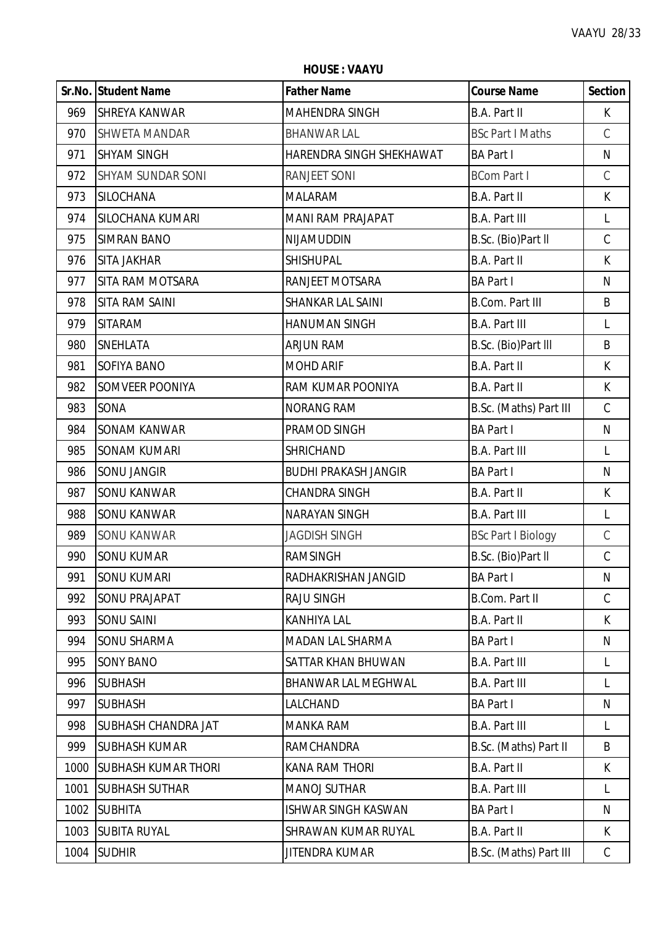**Sr.No. Student Name Father Name Course Name Section** 969 SHREYA KANWAR MAHENDRA SINGH B.A. Part II K 970 SHWETA MANDAR BHANWAR LAL BESC Part I Maths C 971 SHYAM SINGH HARENDRA SINGH SHEKHAWAT BA Part I N 972 SHYAM SUNDAR SONI RANJEET SONI BCom Part I C 973 SILOCHANA MALARAM B.A. Part II K 974 SILOCHANA KUMARI MANI MANI RAM PRAJAPAT B.A. Part III L 975 SIMRAN BANO NIJAMUDDIN B.Sc. (Bio)Part ll C 976 SITA JAKHAR SHISHUPAL B.A. Part II K 977 SITA RAM MOTSARA RANJEET MOTSARA BA Part I N 978 SITA RAM SAINI SHANKAR LAL SAINI B.Com. Part III B 979 SITARAM HANUMAN SINGH B.A. Part III L 980 SNEHLATA ARJUN RAM B.Sc. (Bio)Part lll B 981 SOFIYA BANO MOHD ARIF B.A. Part II K 982 SOMVEER POONIYA RAM KUMAR POONIYA B.A. Part II K 983 SONA NORANG RAM B.S.C. (Maths) Part III C 984 SONAM KANWAR PRAMOD SINGH BA Part I N 985 SONAM KUMARI SHRICHAND B.A. Part III L 986 SONU JANGIR BUDHI PRAKASH JANGIR BA Part I N 987 SONU KANWAR CHANDRA SINGH B.A. Part II K 988 SONU KANWAR NARAYAN SINGH B.A. Part III L 989 SONU KANWAR JAGDISH SINGH BSC Part I Biology C 990 SONU KUMAR RAMSINGH B.Sc. (Bio)Part II C 991 SONU KUMARI RADHAKRISHAN JANGID BA Part I N 992 SONU PRAJAPAT RAJU SINGH B.Com. Part II C 993 SONU SAINI KANHIYA LAL B.A. Part II K 994 SONU SHARMA MADAN LAL SHARMA RADAN BA Part I NIMBA NATURAL SHARMA NATURAL SHARMA 995 SONY BANO SATTAR KHAN BHUWAN B.A. Part III LI 996 SUBHASH BHANWAR LAL MEGHWAL B.A. Part III L 997 |SUBHASH |LALCHAND |BA Part I N 998 SUBHASH CHANDRA JAT MANKA RAM B.A. Part III L 999 SUBHASH KUMAR RAMCHANDRA B.Sc. (Maths) Part II B 1000 SUBHASH KUMAR THORI KANA RAM THORI B.A. Part II K 1001 SUBHASH SUTHAR MANOJ SUTHAR B.A. Part III L 1002 SUBHITA ISHWAR SINGH KASWAN BA Part I NIMBA PART I 1003 SUBITA RUYAL SHRAWAN KUMAR RUYAL B.A. Part II K 1004 SUDHIR JITENDRA KUMAR B.Sc. (Maths) Part III C

**HOUSE : VAAYU**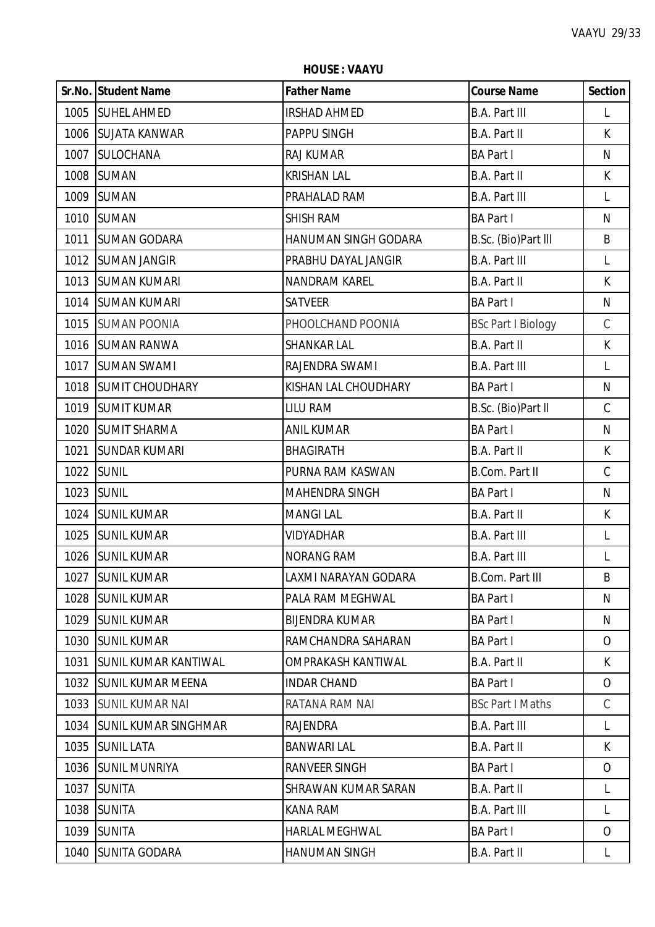**HOUSE : VAAYU**

|      | Sr.No. Student Name          | <b>Father Name</b>    | <b>Course Name</b>        | <b>Section</b> |
|------|------------------------------|-----------------------|---------------------------|----------------|
|      | 1005 SUHEL AHMED             | <b>IRSHAD AHMED</b>   | <b>B.A. Part III</b>      | L              |
|      | 1006 SUJATA KANWAR           | PAPPU SINGH           | B.A. Part II              | $\mathsf{K}$   |
|      | 1007 SULOCHANA               | <b>RAJ KUMAR</b>      | <b>BA Part I</b>          | $\mathsf{N}$   |
|      | 1008 SUMAN                   | <b>KRISHAN LAL</b>    | <b>B.A. Part II</b>       | $\mathsf K$    |
|      | 1009 SUMAN                   | PRAHALAD RAM          | <b>B.A. Part III</b>      | $\mathsf{L}$   |
|      | 1010 SUMAN                   | <b>SHISH RAM</b>      | <b>BA Part I</b>          | N              |
|      | 1011 SUMAN GODARA            | HANUMAN SINGH GODARA  | B.Sc. (Bio)Part III       | B              |
|      | 1012 SUMAN JANGIR            | PRABHU DAYAL JANGIR   | <b>B.A. Part III</b>      | L              |
|      | 1013 SUMAN KUMARI            | NANDRAM KAREL         | B.A. Part II              | $\mathsf K$    |
|      | 1014 SUMAN KUMARI            | <b>SATVEER</b>        | <b>BA Part I</b>          | $\mathsf{N}$   |
|      | 1015 SUMAN POONIA            | PHOOLCHAND POONIA     | <b>BSc Part I Biology</b> | $\mathsf C$    |
|      | 1016 SUMAN RANWA             | <b>SHANKAR LAL</b>    | <b>B.A. Part II</b>       | $\mathsf{K}$   |
|      | 1017 SUMAN SWAMI             | RAJENDRA SWAMI        | <b>B.A. Part III</b>      | $\mathsf{L}$   |
|      | 1018 SUMIT CHOUDHARY         | KISHAN LAL CHOUDHARY  | <b>BA Part I</b>          | $\mathsf{N}$   |
|      | 1019 SUMIT KUMAR             | <b>LILU RAM</b>       | B.Sc. (Bio)Part II        | $\mathsf C$    |
|      | 1020 SUMIT SHARMA            | <b>ANIL KUMAR</b>     | <b>BA Part I</b>          | ${\sf N}$      |
| 1021 | <b>SUNDAR KUMARI</b>         | <b>BHAGIRATH</b>      | <b>B.A. Part II</b>       | $\mathsf K$    |
|      | 1022 SUNIL                   | PURNA RAM KASWAN      | <b>B.Com. Part II</b>     | $\mathsf C$    |
|      | 1023 SUNIL                   | MAHENDRA SINGH        | <b>BA Part I</b>          | $\mathsf{N}$   |
|      | 1024 SUNIL KUMAR             | <b>MANGILAL</b>       | <b>B.A. Part II</b>       | K              |
|      | 1025 SUNIL KUMAR             | <b>VIDYADHAR</b>      | <b>B.A. Part III</b>      | L              |
|      | 1026 SUNIL KUMAR             | <b>NORANG RAM</b>     | <b>B.A. Part III</b>      | L              |
|      | 1027 SUNIL KUMAR             | LAXMI NARAYAN GODARA  | <b>B.Com. Part III</b>    | B              |
|      | 1028 SUNIL KUMAR             | PALA RAM MEGHWAL      | <b>BA Part I</b>          | N              |
|      | 1029 SUNIL KUMAR             | <b>BIJENDRA KUMAR</b> | <b>BA Part I</b>          | N              |
|      | 1030 SUNIL KUMAR             | RAMCHANDRA SAHARAN    | <b>BA Part I</b>          | $\overline{O}$ |
| 1031 | <b>ISUNIL KUMAR KANTIWAL</b> | OMPRAKASH KANTIWAL    | B.A. Part II              | K              |
|      | 1032 SUNIL KUMAR MEENA       | <b>INDAR CHAND</b>    | <b>BA Part I</b>          | 0              |
|      | 1033 SUNIL KUMAR NAI         | RATANA RAM NAI        | <b>BSc Part I Maths</b>   | $\mathsf C$    |
|      | 1034 SUNIL KUMAR SINGHMAR    | <b>RAJENDRA</b>       | <b>B.A. Part III</b>      | $\mathsf{L}$   |
|      | 1035 SUNIL LATA              | <b>BANWARI LAL</b>    | B.A. Part II              | K              |
|      | 1036 SUNIL MUNRIYA           | RANVEER SINGH         | <b>BA Part I</b>          | $\overline{O}$ |
|      | 1037 SUNITA                  | SHRAWAN KUMAR SARAN   | B.A. Part II              | L              |
|      | 1038 SUNITA                  | KANA RAM              | <b>B.A. Part III</b>      | L              |
|      | 1039 SUNITA                  | <b>HARLAL MEGHWAL</b> | <b>BA Part I</b>          | $\overline{O}$ |
|      | 1040 SUNITA GODARA           | <b>HANUMAN SINGH</b>  | B.A. Part II              | L              |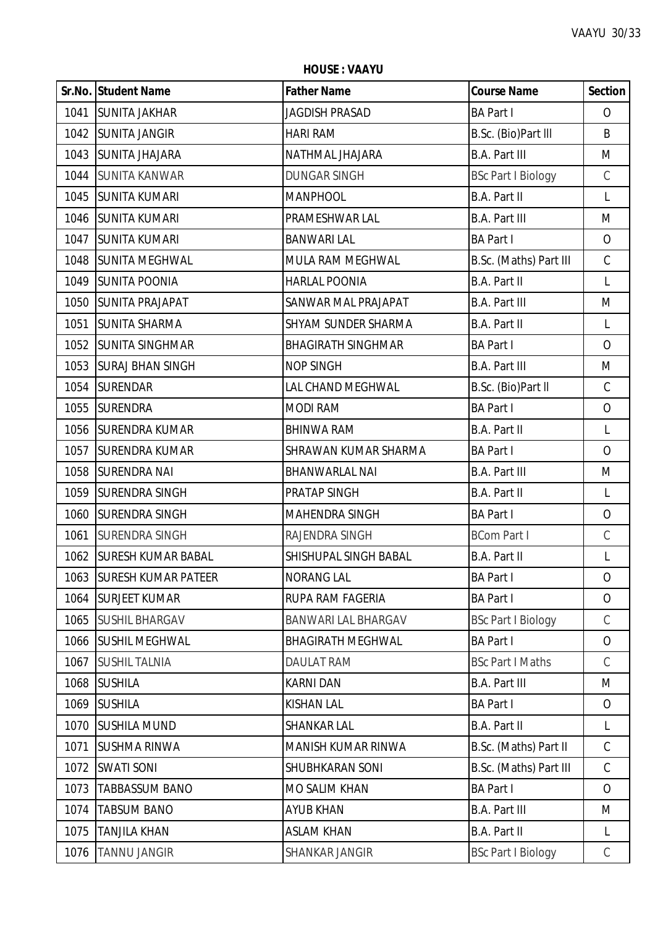**HOUSE : VAAYU**

|      | Sr.No. Student Name      | <b>Father Name</b>           | <b>Course Name</b>        | <b>Section</b> |
|------|--------------------------|------------------------------|---------------------------|----------------|
|      | 1041 SUNITA JAKHAR       | <b>JAGDISH PRASAD</b>        | <b>BA Part I</b>          | $\mathcal{O}$  |
|      | 1042 SUNITA JANGIR       | <b>HARI RAM</b>              | B.Sc. (Bio)Part III       | B              |
|      | 1043 SUNITA JHAJARA      | NATHMAL JHAJARA              | <b>B.A. Part III</b>      | M              |
|      | 1044 SUNITA KANWAR       | <b>DUNGAR SINGH</b>          | <b>BSc Part I Biology</b> | $\mathsf C$    |
|      | 1045 SUNITA KUMARI       | <b>MANPHOOL</b>              | B.A. Part II              | L              |
|      | 1046 SUNITA KUMARI       | PRAMESHWAR LAL               | <b>B.A. Part III</b>      | M              |
| 1047 | <b>SUNITA KUMARI</b>     | <b>BANWARI LAL</b>           | <b>BA Part I</b>          | $\overline{O}$ |
|      | 1048 SUNITA MEGHWAL      | MULA RAM MEGHWAL             | B.Sc. (Maths) Part III    | $\mathsf C$    |
|      | 1049 SUNITA POONIA       | <b>HARLAL POONIA</b>         | B.A. Part II              | L              |
|      | 1050 SUNITA PRAJAPAT     | SANWAR MAL PRAJAPAT          | <b>B.A. Part III</b>      | M              |
| 1051 | <b>SUNITA SHARMA</b>     | SHYAM SUNDER SHARMA          | B.A. Part II              | L              |
|      | 1052 SUNITA SINGHMAR     | <b>BHAGIRATH SINGHMAR</b>    | <b>BA Part I</b>          | $\overline{O}$ |
| 1053 | <b>SURAJ BHAN SINGH</b>  | <b>NOP SINGH</b>             | <b>B.A. Part III</b>      | M              |
|      | 1054 SURENDAR            | LAL CHAND MEGHWAL            | B.Sc. (Bio)Part II        | $\mathsf C$    |
|      | 1055 SURENDRA            | <b>MODI RAM</b>              | <b>BA Part I</b>          | $\mathsf O$    |
|      | 1056 SURENDRA KUMAR      | <b>BHINWA RAM</b>            | B.A. Part II              | L              |
| 1057 | <b>SURENDRA KUMAR</b>    | SHRAWAN KUMAR SHARMA         | <b>BA Part I</b>          | $\overline{O}$ |
| 1058 | <b>SURENDRA NAI</b>      | <b>BHANWARLAL NAI</b>        | <b>B.A. Part III</b>      | M              |
| 1059 | <b>SURENDRA SINGH</b>    | PRATAP SINGH                 | B.A. Part II              | L              |
| 1060 | <b>SURENDRA SINGH</b>    | MAHENDRA SINGH               | <b>BA Part I</b>          | $\mathsf O$    |
| 1061 | <b>SURENDRA SINGH</b>    | RAJENDRA SINGH               | <b>BCom Part I</b>        | $\mathsf C$    |
|      | 1062 SURESH KUMAR BABAL  | <b>SHISHUPAL SINGH BABAL</b> | B.A. Part II              | L              |
|      | 1063 SURESH KUMAR PATEER | <b>NORANG LAL</b>            | <b>BA Part I</b>          | 0              |
| 1064 | <b>SURJEET KUMAR</b>     | RUPA RAM FAGERIA             | <b>BA Part I</b>          | $\overline{O}$ |
|      | 1065 SUSHIL BHARGAV      | <b>BANWARI LAL BHARGAV</b>   | <b>BSc Part I Biology</b> | $\mathcal{C}$  |
|      | 1066 SUSHIL MEGHWAL      | <b>BHAGIRATH MEGHWAL</b>     | <b>BA Part I</b>          | $\overline{O}$ |
| 1067 | <b>SUSHIL TALNIA</b>     | <b>DAULAT RAM</b>            | <b>BSc Part I Maths</b>   | $\mathsf C$    |
| 1068 | <b>SUSHILA</b>           | <b>KARNI DAN</b>             | <b>B.A. Part III</b>      | M              |
| 1069 | <b>SUSHILA</b>           | <b>KISHAN LAL</b>            | <b>BA Part I</b>          | $\overline{O}$ |
| 1070 | <b>SUSHILA MUND</b>      | SHANKAR LAL                  | B.A. Part II              | L              |
| 1071 | <b>SUSHMA RINWA</b>      | MANISH KUMAR RINWA           | B.Sc. (Maths) Part II     | $\mathsf{C}$   |
| 1072 | <b>SWATI SONI</b>        | SHUBHKARAN SONI              | B.Sc. (Maths) Part III    | $\mathcal{C}$  |
| 1073 | <b>TABBASSUM BANO</b>    | MO SALIM KHAN                | <b>BA Part I</b>          | $\overline{O}$ |
| 1074 | <b>TABSUM BANO</b>       | <b>AYUB KHAN</b>             | <b>B.A. Part III</b>      | M              |
| 1075 | <b>TANJILA KHAN</b>      | <b>ASLAM KHAN</b>            | B.A. Part II              | L              |
| 1076 | <b>TANNU JANGIR</b>      | SHANKAR JANGIR               | <b>BSc Part I Biology</b> | C              |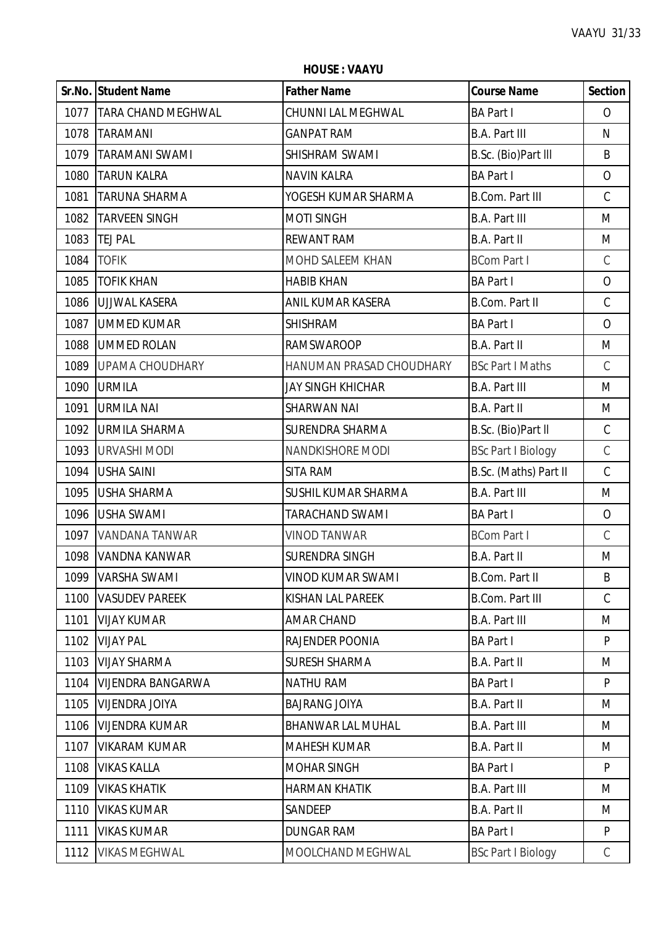ï

|      | Sr.No. Student Name       | <b>Father Name</b>       | <b>Course Name</b>        | <b>Section</b> |
|------|---------------------------|--------------------------|---------------------------|----------------|
| 1077 | <b>TARA CHAND MEGHWAL</b> | CHUNNI LAL MEGHWAL       | <b>BA Part I</b>          | $\overline{O}$ |
|      | 1078   TARAMANI           | <b>GANPAT RAM</b>        | <b>B.A. Part III</b>      | N              |
| 1079 | <b>TARAMANI SWAMI</b>     | SHISHRAM SWAMI           | B.Sc. (Bio)Part III       | B              |
| 1080 | <b>TARUN KALRA</b>        | <b>NAVIN KALRA</b>       | <b>BA Part I</b>          | $\overline{O}$ |
| 1081 | <b>TARUNA SHARMA</b>      | YOGESH KUMAR SHARMA      | <b>B.Com. Part III</b>    | $\mathsf C$    |
| 1082 | <b>TARVEEN SINGH</b>      | <b>MOTI SINGH</b>        | <b>B.A. Part III</b>      | M              |
| 1083 | <b>TEJ PAL</b>            | <b>REWANT RAM</b>        | B.A. Part II              | M              |
| 1084 | <b>TOFIK</b>              | MOHD SALEEM KHAN         | <b>BCom Part I</b>        | $\mathcal{C}$  |
| 1085 | <b>TOFIK KHAN</b>         | <b>HABIB KHAN</b>        | <b>BA Part I</b>          | $\overline{O}$ |
| 1086 | <b>UJJWAL KASERA</b>      | ANIL KUMAR KASERA        | <b>B.Com. Part II</b>     | $\mathsf C$    |
| 1087 | <b>UMMED KUMAR</b>        | <b>SHISHRAM</b>          | <b>BA Part I</b>          | $\overline{O}$ |
| 1088 | <b>UMMED ROLAN</b>        | <b>RAMSWAROOP</b>        | <b>B.A. Part II</b>       | M              |
| 1089 | <b>UPAMA CHOUDHARY</b>    | HANUMAN PRASAD CHOUDHARY | <b>BSc Part I Maths</b>   | $\mathcal{C}$  |
| 1090 | <b>URMILA</b>             | <b>JAY SINGH KHICHAR</b> | <b>B.A. Part III</b>      | M              |
| 1091 | <b>URMILA NAI</b>         | <b>SHARWAN NAI</b>       | <b>B.A. Part II</b>       | M              |
| 1092 | <b>URMILA SHARMA</b>      | <b>SURENDRA SHARMA</b>   | B.Sc. (Bio)Part II        | $\mathsf C$    |
| 1093 | URVASHI MODI              | NANDKISHORE MODI         | <b>BSc Part I Biology</b> | $\mathcal{C}$  |
| 1094 | <b>USHA SAINI</b>         | <b>SITA RAM</b>          | B.Sc. (Maths) Part II     | $\mathcal{C}$  |
| 1095 | <b>USHA SHARMA</b>        | SUSHIL KUMAR SHARMA      | <b>B.A. Part III</b>      | M              |
| 1096 | <b>USHA SWAMI</b>         | <b>TARACHAND SWAMI</b>   | <b>BA Part I</b>          | $\overline{O}$ |
| 1097 | <b>VANDANA TANWAR</b>     | <b>VINOD TANWAR</b>      | <b>BCom Part I</b>        | $\mathsf C$    |
| 1098 | VANDNA KANWAR             | <b>SURENDRA SINGH</b>    | <b>B.A. Part II</b>       | M              |
|      | 1099   VARSHA SWAMI       | VINOD KUMAR SWAMI        | B.Com. Part II            | B              |
| 1100 | <b>VASUDEV PAREEK</b>     | <b>KISHAN LAL PAREEK</b> | <b>B.Com. Part III</b>    | $\mathsf{C}$   |
| 1101 | <b>VIJAY KUMAR</b>        | <b>AMAR CHAND</b>        | <b>B.A. Part III</b>      | M              |
| 1102 | <b>VIJAY PAL</b>          | RAJENDER POONIA          | <b>BA Part I</b>          | P              |
| 1103 | <b>VIJAY SHARMA</b>       | <b>SURESH SHARMA</b>     | <b>B.A. Part II</b>       | M              |
| 1104 | <b>VIJENDRA BANGARWA</b>  | <b>NATHU RAM</b>         | <b>BA Part I</b>          | P              |
| 1105 | <b>VIJENDRA JOIYA</b>     | <b>BAJRANG JOIYA</b>     | B.A. Part II              | M              |
| 1106 | <b>VIJENDRA KUMAR</b>     | <b>BHANWAR LAL MUHAL</b> | <b>B.A. Part III</b>      | M              |
| 1107 | VIKARAM KUMAR             | <b>MAHESH KUMAR</b>      | B.A. Part II              | M              |
| 1108 | <b>VIKAS KALLA</b>        | <b>MOHAR SINGH</b>       | <b>BA Part I</b>          | P              |
| 1109 | <b>VIKAS KHATIK</b>       | <b>HARMAN KHATIK</b>     | <b>B.A. Part III</b>      | M              |
| 1110 | <b>VIKAS KUMAR</b>        | SANDEEP                  | B.A. Part II              | M              |
| 1111 | <b>VIKAS KUMAR</b>        | <b>DUNGAR RAM</b>        | <b>BA Part I</b>          | P              |
| 1112 | <b>VIKAS MEGHWAL</b>      | MOOLCHAND MEGHWAL        | <b>BSc Part I Biology</b> | C              |

**HOUSE : VAAYU**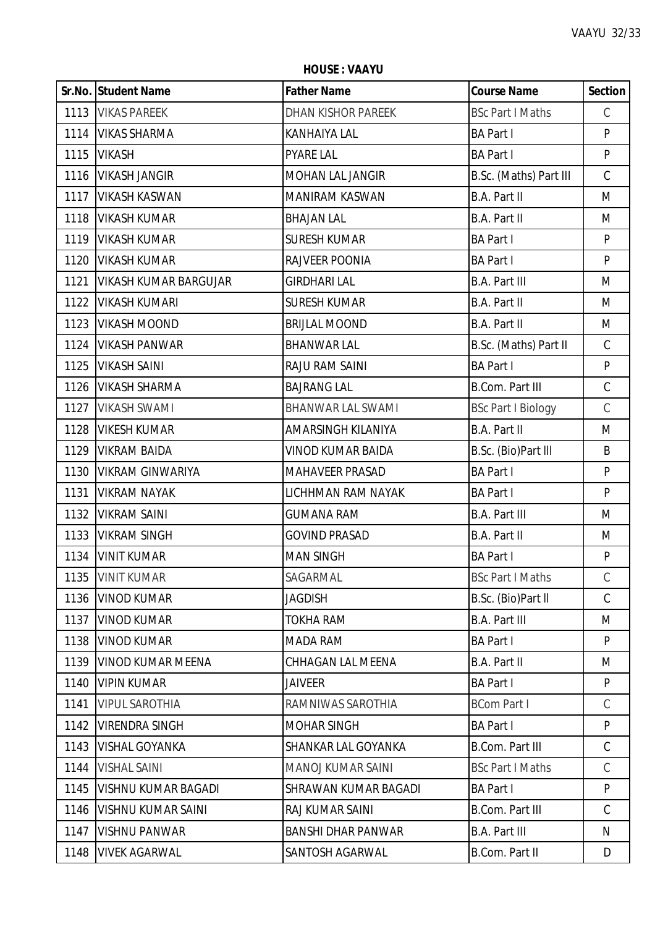**HOUSE : VAAYU**

|      | Sr.No. Student Name          | <b>Father Name</b>        | <b>Course Name</b>        | Section       |
|------|------------------------------|---------------------------|---------------------------|---------------|
|      | 1113 VIKAS PAREEK            | <b>DHAN KISHOR PAREEK</b> | <b>BSc Part I Maths</b>   | $\mathsf C$   |
| 1114 | <b>VIKAS SHARMA</b>          | <b>KANHAIYA LAL</b>       | <b>BA Part I</b>          | P             |
| 1115 | <b>VIKASH</b>                | <b>PYARE LAL</b>          | <b>BA Part I</b>          | P             |
| 1116 | <b>VIKASH JANGIR</b>         | MOHAN LAL JANGIR          | B.Sc. (Maths) Part III    | $\mathsf C$   |
| 1117 | <b>VIKASH KASWAN</b>         | <b>MANIRAM KASWAN</b>     | B.A. Part II              | M             |
| 1118 | <b>VIKASH KUMAR</b>          | <b>BHAJAN LAL</b>         | B.A. Part II              | M             |
| 1119 | <b>VIKASH KUMAR</b>          | <b>SURESH KUMAR</b>       | <b>BA Part I</b>          | P             |
| 1120 | <b>VIKASH KUMAR</b>          | RAJVEER POONIA            | <b>BA Part I</b>          | P             |
| 1121 | <b>VIKASH KUMAR BARGUJAR</b> | <b>GIRDHARI LAL</b>       | <b>B.A. Part III</b>      | M             |
| 1122 | <b>VIKASH KUMARI</b>         | <b>SURESH KUMAR</b>       | B.A. Part II              | M             |
| 1123 | <b>VIKASH MOOND</b>          | <b>BRIJLAL MOOND</b>      | B.A. Part II              | M             |
| 1124 | <b>VIKASH PANWAR</b>         | <b>BHANWAR LAL</b>        | B.Sc. (Maths) Part II     | $\mathcal{C}$ |
| 1125 | <b>VIKASH SAINI</b>          | RAJU RAM SAINI            | <b>BA Part I</b>          | $\mathsf{P}$  |
| 1126 | <b>VIKASH SHARMA</b>         | <b>BAJRANG LAL</b>        | <b>B.Com. Part III</b>    | $\mathsf C$   |
| 1127 | <b>VIKASH SWAMI</b>          | <b>BHANWAR LAL SWAMI</b>  | <b>BSc Part I Biology</b> | $\mathsf C$   |
| 1128 | <b>VIKESH KUMAR</b>          | AMARSINGH KILANIYA        | B.A. Part II              | M             |
| 1129 | <b>VIKRAM BAIDA</b>          | <b>VINOD KUMAR BAIDA</b>  | B.Sc. (Bio)Part III       | B             |
| 1130 | <b>VIKRAM GINWARIYA</b>      | <b>MAHAVEER PRASAD</b>    | <b>BA Part I</b>          | $\mathsf{P}$  |
| 1131 | <b>VIKRAM NAYAK</b>          | LICHHMAN RAM NAYAK        | <b>BA Part I</b>          | P             |
| 1132 | <b>VIKRAM SAINI</b>          | <b>GUMANA RAM</b>         | <b>B.A. Part III</b>      | M             |
| 1133 | <b>VIKRAM SINGH</b>          | <b>GOVIND PRASAD</b>      | B.A. Part II              | M             |
| 1134 | <b>VINIT KUMAR</b>           | <b>MAN SINGH</b>          | <b>BA Part I</b>          | P             |
| 1135 | <b>VINIT KUMAR</b>           | SAGARMAL                  | <b>BSc Part I Maths</b>   | $\mathcal{C}$ |
| 1136 | <b>VINOD KUMAR</b>           | <b>JAGDISH</b>            | B.Sc. (Bio)Part II        | $\mathcal{C}$ |
| 1137 | <b>VINOD KUMAR</b>           | <b>TOKHA RAM</b>          | <b>B.A. Part III</b>      | M             |
| 1138 | <b>VINOD KUMAR</b>           | <b>MADA RAM</b>           | <b>BA Part I</b>          | P             |
| 1139 | <b>VINOD KUMAR MEENA</b>     | CHHAGAN LAL MEENA         | B.A. Part II              | M             |
| 1140 | <b>VIPIN KUMAR</b>           | <b>JAIVEER</b>            | <b>BA Part I</b>          | P             |
| 1141 | <b>VIPUL SAROTHIA</b>        | RAMNIWAS SAROTHIA         | <b>BCom Part I</b>        | $\mathsf C$   |
| 1142 | <b>VIRENDRA SINGH</b>        | <b>MOHAR SINGH</b>        | <b>BA Part I</b>          | P             |
| 1143 | <b>VISHAL GOYANKA</b>        | SHANKAR LAL GOYANKA       | <b>B.Com. Part III</b>    | $\mathsf{C}$  |
| 1144 | <b>VISHAL SAINI</b>          | <b>MANOJ KUMAR SAINI</b>  | <b>BSc Part I Maths</b>   | $\mathsf{C}$  |
| 1145 | VISHNU KUMAR BAGADI          | SHRAWAN KUMAR BAGADI      | <b>BA Part I</b>          | P             |
| 1146 | <b>VISHNU KUMAR SAINI</b>    | RAJ KUMAR SAINI           | <b>B.Com. Part III</b>    | $\mathcal{C}$ |
| 1147 | <b>VISHNU PANWAR</b>         | <b>BANSHI DHAR PANWAR</b> | <b>B.A. Part III</b>      | N             |
| 1148 | <b>VIVEK AGARWAL</b>         | SANTOSH AGARWAL           | B.Com. Part II            | D             |